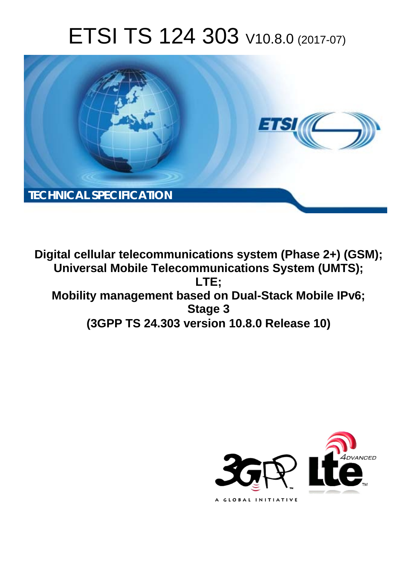# ETSI TS 124 303 V10.8.0 (2017-07)



**Digital cellular telecommunications system (Phase 2+) (GSM); Universal Mobile Telecommunications System (UMTS); LTE; Mobility management based on Dual-Stack Mobile IPv6; Stage 3 (3GPP TS 24.303 version 10.8.0 Release 10)** 

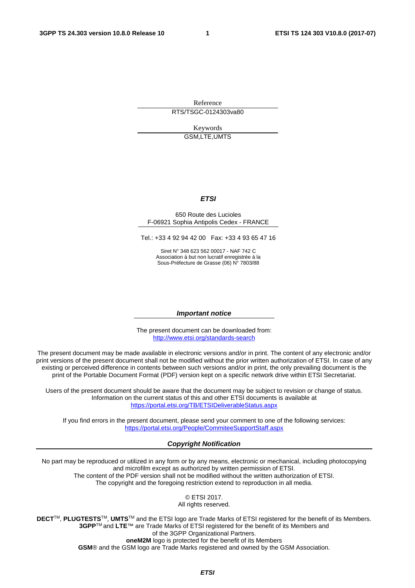Reference RTS/TSGC-0124303va80

> Keywords GSM,LTE,UMTS

#### *ETSI*

#### 650 Route des Lucioles F-06921 Sophia Antipolis Cedex - FRANCE

Tel.: +33 4 92 94 42 00 Fax: +33 4 93 65 47 16

Siret N° 348 623 562 00017 - NAF 742 C Association à but non lucratif enregistrée à la Sous-Préfecture de Grasse (06) N° 7803/88

#### *Important notice*

The present document can be downloaded from: <http://www.etsi.org/standards-search>

The present document may be made available in electronic versions and/or in print. The content of any electronic and/or print versions of the present document shall not be modified without the prior written authorization of ETSI. In case of any existing or perceived difference in contents between such versions and/or in print, the only prevailing document is the print of the Portable Document Format (PDF) version kept on a specific network drive within ETSI Secretariat.

Users of the present document should be aware that the document may be subject to revision or change of status. Information on the current status of this and other ETSI documents is available at <https://portal.etsi.org/TB/ETSIDeliverableStatus.aspx>

If you find errors in the present document, please send your comment to one of the following services: <https://portal.etsi.org/People/CommiteeSupportStaff.aspx>

#### *Copyright Notification*

No part may be reproduced or utilized in any form or by any means, electronic or mechanical, including photocopying and microfilm except as authorized by written permission of ETSI. The content of the PDF version shall not be modified without the written authorization of ETSI. The copyright and the foregoing restriction extend to reproduction in all media.

© ETSI 2017.

All rights reserved.

**DECT**TM, **PLUGTESTS**TM, **UMTS**TM and the ETSI logo are Trade Marks of ETSI registered for the benefit of its Members. **3GPP**TM and **LTE**™ are Trade Marks of ETSI registered for the benefit of its Members and of the 3GPP Organizational Partners.

**oneM2M** logo is protected for the benefit of its Members

**GSM**® and the GSM logo are Trade Marks registered and owned by the GSM Association.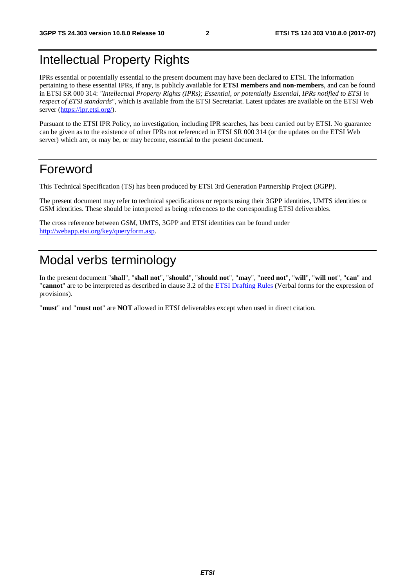# Intellectual Property Rights

IPRs essential or potentially essential to the present document may have been declared to ETSI. The information pertaining to these essential IPRs, if any, is publicly available for **ETSI members and non-members**, and can be found in ETSI SR 000 314: *"Intellectual Property Rights (IPRs); Essential, or potentially Essential, IPRs notified to ETSI in respect of ETSI standards"*, which is available from the ETSI Secretariat. Latest updates are available on the ETSI Web server ([https://ipr.etsi.org/\)](https://ipr.etsi.org/).

Pursuant to the ETSI IPR Policy, no investigation, including IPR searches, has been carried out by ETSI. No guarantee can be given as to the existence of other IPRs not referenced in ETSI SR 000 314 (or the updates on the ETSI Web server) which are, or may be, or may become, essential to the present document.

# Foreword

This Technical Specification (TS) has been produced by ETSI 3rd Generation Partnership Project (3GPP).

The present document may refer to technical specifications or reports using their 3GPP identities, UMTS identities or GSM identities. These should be interpreted as being references to the corresponding ETSI deliverables.

The cross reference between GSM, UMTS, 3GPP and ETSI identities can be found under [http://webapp.etsi.org/key/queryform.asp.](http://webapp.etsi.org/key/queryform.asp)

# Modal verbs terminology

In the present document "**shall**", "**shall not**", "**should**", "**should not**", "**may**", "**need not**", "**will**", "**will not**", "**can**" and "**cannot**" are to be interpreted as described in clause 3.2 of the [ETSI Drafting Rules](https://portal.etsi.org/Services/editHelp!/Howtostart/ETSIDraftingRules.aspx) (Verbal forms for the expression of provisions).

"**must**" and "**must not**" are **NOT** allowed in ETSI deliverables except when used in direct citation.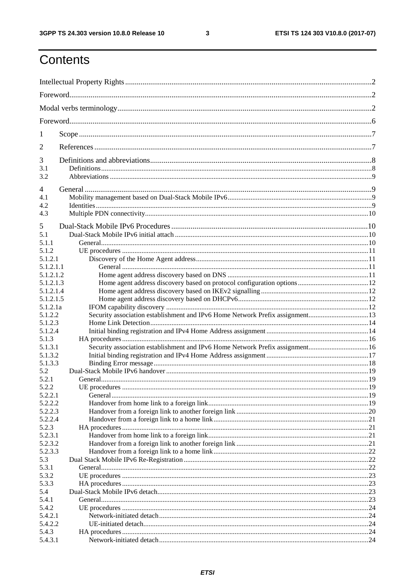$\mathbf{3}$ 

# Contents

| 1                      |                                                                               |  |
|------------------------|-------------------------------------------------------------------------------|--|
| 2                      |                                                                               |  |
| 3                      |                                                                               |  |
| 3.1<br>3.2             |                                                                               |  |
| 4                      |                                                                               |  |
| 4.1<br>4.2             |                                                                               |  |
| 4.3                    |                                                                               |  |
| 5                      |                                                                               |  |
| 5.1                    |                                                                               |  |
| 5.1.1<br>5.1.2         |                                                                               |  |
| 5.1.2.1                |                                                                               |  |
| 5.1.2.1.1              |                                                                               |  |
| 5.1.2.1.2              |                                                                               |  |
| 5.1.2.1.3<br>5.1.2.1.4 |                                                                               |  |
| 5.1.2.1.5              |                                                                               |  |
| 5.1.2.1a               |                                                                               |  |
| 5.1.2.2                | Security association establishment and IPv6 Home Network Prefix assignment13  |  |
| 5.1.2.3                |                                                                               |  |
| 5.1.2.4                |                                                                               |  |
| 5.1.3                  |                                                                               |  |
| 5.1.3.1                | Security association establishment and IPv6 Home Network Prefix assignment 16 |  |
| 5.1.3.2                |                                                                               |  |
| 5.1.3.3                |                                                                               |  |
| 5.2                    |                                                                               |  |
| 5.2.1                  |                                                                               |  |
| 5.2.2                  | UE procedures                                                                 |  |
| 5.2.2.1                |                                                                               |  |
| 5.2.2.2<br>5.2.2.3     |                                                                               |  |
| 5.2.2.4                |                                                                               |  |
| 5.2.3                  |                                                                               |  |
| 5.2.3.1                |                                                                               |  |
| 5.2.3.2                |                                                                               |  |
| 5.2.3.3                |                                                                               |  |
| 5.3                    |                                                                               |  |
| 5.3.1                  |                                                                               |  |
| 5.3.2                  |                                                                               |  |
| 5.3.3                  |                                                                               |  |
| 5.4                    |                                                                               |  |
| 5.4.1                  |                                                                               |  |
| 5.4.2                  |                                                                               |  |
| 5.4.2.1                |                                                                               |  |
| 5.4.2.2                |                                                                               |  |
| 5.4.3<br>5.4.3.1       |                                                                               |  |
|                        |                                                                               |  |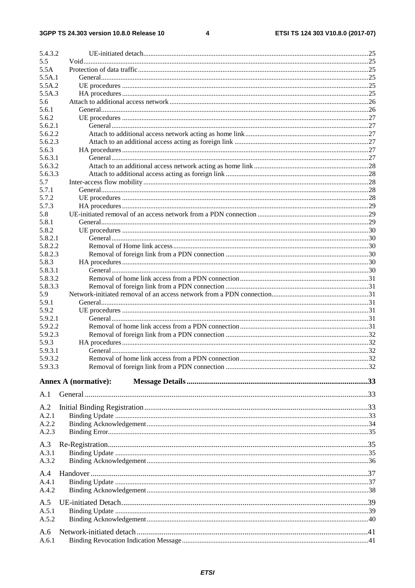$\overline{\mathbf{4}}$ 

| 5.4.3.2 |                             |  |
|---------|-----------------------------|--|
| 5.5     |                             |  |
| 5.5A    |                             |  |
| 5.5A.1  |                             |  |
| 5.5A.2  |                             |  |
| 5.5A.3  |                             |  |
| 5.6     |                             |  |
| 5.6.1   |                             |  |
| 5.6.2   |                             |  |
| 5.6.2.1 |                             |  |
| 5.6.2.2 |                             |  |
| 5.6.2.3 |                             |  |
| 5.6.3   |                             |  |
| 5.6.3.1 |                             |  |
| 5.6.3.2 |                             |  |
| 5.6.3.3 |                             |  |
| 5.7     |                             |  |
| 5.7.1   |                             |  |
|         |                             |  |
| 5.7.2   |                             |  |
| 5.7.3   |                             |  |
| 5.8     |                             |  |
| 5.8.1   |                             |  |
| 5.8.2   |                             |  |
| 5.8.2.1 |                             |  |
| 5.8.2.2 |                             |  |
| 5.8.2.3 |                             |  |
| 5.8.3   |                             |  |
| 5.8.3.1 |                             |  |
| 5.8.3.2 |                             |  |
| 5.8.3.3 |                             |  |
| 5.9     |                             |  |
| 5.9.1   |                             |  |
| 5.9.2   |                             |  |
| 5.9.2.1 |                             |  |
| 5.9.2.2 |                             |  |
| 5.9.2.3 |                             |  |
|         |                             |  |
| 5.9.3   |                             |  |
| 5.9.3.1 |                             |  |
| 5.9.3.2 |                             |  |
| 5.9.3.3 |                             |  |
|         |                             |  |
|         | <b>Annex A (normative):</b> |  |
| A.1     |                             |  |
|         |                             |  |
| A.2     |                             |  |
| A.2.1   |                             |  |
| A.2.2   |                             |  |
| A.2.3   |                             |  |
|         |                             |  |
| A.3     |                             |  |
| A.3.1   |                             |  |
| A.3.2   |                             |  |
|         |                             |  |
| A.4     |                             |  |
| A.4.1   |                             |  |
| A.4.2   |                             |  |
| A.5     |                             |  |
| A.5.1   |                             |  |
|         |                             |  |
| A.5.2   |                             |  |
| A.6     |                             |  |
| A.6.1   |                             |  |
|         |                             |  |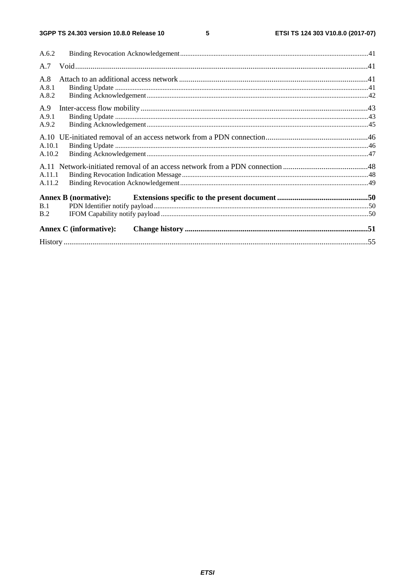$5\phantom{a}$ 

| A.6.2            |                               |  |
|------------------|-------------------------------|--|
| A.7              |                               |  |
| A.8<br>A.8.1     |                               |  |
| A.8.2            |                               |  |
| A.9              |                               |  |
| A.9.1<br>A.9.2   |                               |  |
|                  |                               |  |
| A.10.1<br>A.10.2 |                               |  |
|                  |                               |  |
| A.11.1           |                               |  |
| A.11.2           |                               |  |
|                  | <b>Annex B (normative):</b>   |  |
| B.1<br>B.2       |                               |  |
|                  | <b>Annex C</b> (informative): |  |
|                  |                               |  |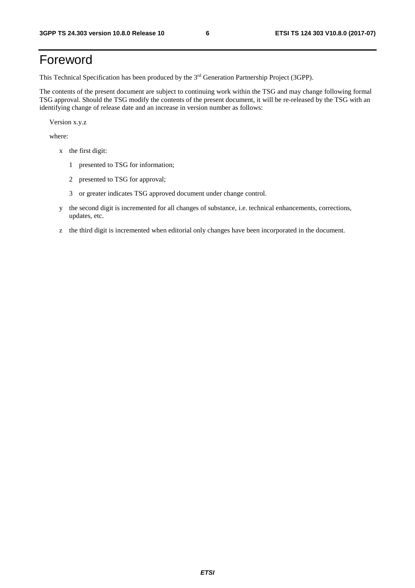# Foreword

This Technical Specification has been produced by the 3rd Generation Partnership Project (3GPP).

The contents of the present document are subject to continuing work within the TSG and may change following formal TSG approval. Should the TSG modify the contents of the present document, it will be re-released by the TSG with an identifying change of release date and an increase in version number as follows:

Version x.y.z

where:

- x the first digit:
	- 1 presented to TSG for information;
	- 2 presented to TSG for approval;
	- 3 or greater indicates TSG approved document under change control.
- y the second digit is incremented for all changes of substance, i.e. technical enhancements, corrections, updates, etc.
- z the third digit is incremented when editorial only changes have been incorporated in the document.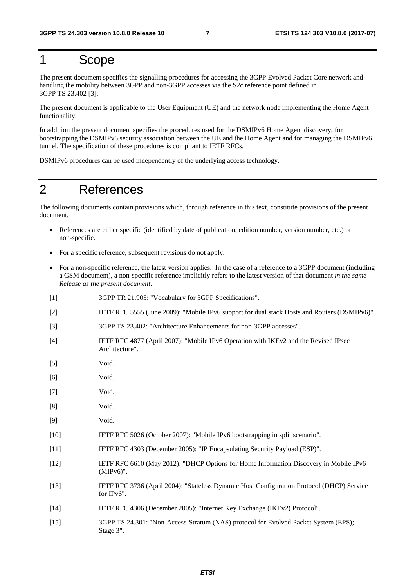### 1 Scope

The present document specifies the signalling procedures for accessing the 3GPP Evolved Packet Core network and handling the mobility between 3GPP and non-3GPP accesses via the S2c reference point defined in 3GPP TS 23.402 [3].

The present document is applicable to the User Equipment (UE) and the network node implementing the Home Agent functionality.

In addition the present document specifies the procedures used for the DSMIPv6 Home Agent discovery, for bootstrapping the DSMIPv6 security association between the UE and the Home Agent and for managing the DSMIPv6 tunnel. The specification of these procedures is compliant to IETF RFCs.

DSMIPv6 procedures can be used independently of the underlying access technology.

### 2 References

The following documents contain provisions which, through reference in this text, constitute provisions of the present document.

- References are either specific (identified by date of publication, edition number, version number, etc.) or non-specific.
- For a specific reference, subsequent revisions do not apply.
- For a non-specific reference, the latest version applies. In the case of a reference to a 3GPP document (including a GSM document), a non-specific reference implicitly refers to the latest version of that document *in the same Release as the present document*.
- [1] 3GPP TR 21.905: "Vocabulary for 3GPP Specifications".
- [2] IETF RFC 5555 (June 2009): "Mobile IPv6 support for dual stack Hosts and Routers (DSMIPv6)".
- [3] 3GPP TS 23.402: "Architecture Enhancements for non-3GPP accesses".
- [4] IETF RFC 4877 (April 2007): "Mobile IPv6 Operation with IKEv2 and the Revised IPsec Architecture".
- [5] Void.
- [6] Void.
- [7] Void.
- [8] Void.
- [9] Void.
- [10] IETF RFC 5026 (October 2007): "Mobile IPv6 bootstrapping in split scenario".
- [11] IETF RFC 4303 (December 2005): "IP Encapsulating Security Payload (ESP)".
- [12] IETF RFC 6610 (May 2012): "DHCP Options for Home Information Discovery in Mobile IPv6 (MIPv6)".
- [13] IETF RFC 3736 (April 2004): "Stateless Dynamic Host Configuration Protocol (DHCP) Service for IPv6".
- [14] IETF RFC 4306 (December 2005): "Internet Key Exchange (IKEv2) Protocol".
- [15] 3GPP TS 24.301: "Non-Access-Stratum (NAS) protocol for Evolved Packet System (EPS); Stage 3".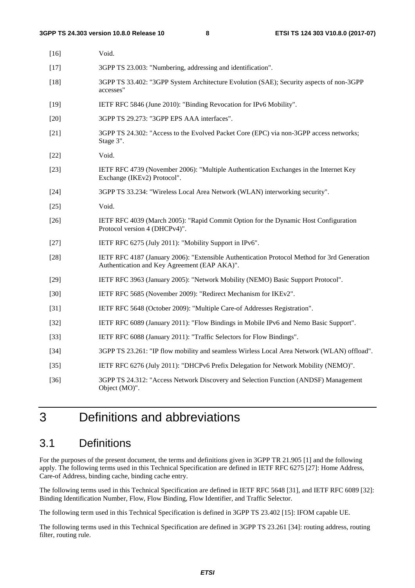| $[16]$ | Void.                                                                                                                                       |
|--------|---------------------------------------------------------------------------------------------------------------------------------------------|
| $[17]$ | 3GPP TS 23.003: "Numbering, addressing and identification".                                                                                 |
| $[18]$ | 3GPP TS 33.402: "3GPP System Architecture Evolution (SAE); Security aspects of non-3GPP<br>accesses"                                        |
| $[19]$ | IETF RFC 5846 (June 2010): "Binding Revocation for IPv6 Mobility".                                                                          |
| $[20]$ | 3GPP TS 29.273: "3GPP EPS AAA interfaces".                                                                                                  |
| $[21]$ | 3GPP TS 24.302: "Access to the Evolved Packet Core (EPC) via non-3GPP access networks;<br>Stage 3".                                         |
| $[22]$ | Void.                                                                                                                                       |
| $[23]$ | IETF RFC 4739 (November 2006): "Multiple Authentication Exchanges in the Internet Key<br>Exchange (IKEv2) Protocol".                        |
| $[24]$ | 3GPP TS 33.234: "Wireless Local Area Network (WLAN) interworking security".                                                                 |
| $[25]$ | Void.                                                                                                                                       |
| $[26]$ | IETF RFC 4039 (March 2005): "Rapid Commit Option for the Dynamic Host Configuration<br>Protocol version 4 (DHCPv4)".                        |
| $[27]$ | IETF RFC 6275 (July 2011): "Mobility Support in IPv6".                                                                                      |
| $[28]$ | IETF RFC 4187 (January 2006): "Extensible Authentication Protocol Method for 3rd Generation<br>Authentication and Key Agreement (EAP AKA)". |
| $[29]$ | IETF RFC 3963 (January 2005): "Network Mobility (NEMO) Basic Support Protocol".                                                             |
| $[30]$ | IETF RFC 5685 (November 2009): "Redirect Mechanism for IKEv2".                                                                              |
| $[31]$ | IETF RFC 5648 (October 2009): "Multiple Care-of Addresses Registration".                                                                    |
| $[32]$ | IETF RFC 6089 (January 2011): "Flow Bindings in Mobile IPv6 and Nemo Basic Support".                                                        |
| $[33]$ | IETF RFC 6088 (January 2011): "Traffic Selectors for Flow Bindings".                                                                        |
| $[34]$ | 3GPP TS 23.261: "IP flow mobility and seamless Wirless Local Area Network (WLAN) offload".                                                  |
| $[35]$ | IETF RFC 6276 (July 2011): "DHCPv6 Prefix Delegation for Network Mobility (NEMO)".                                                          |
| $[36]$ | 3GPP TS 24.312: "Access Network Discovery and Selection Function (ANDSF) Management<br>Object (MO)".                                        |

# 3 Definitions and abbreviations

### 3.1 Definitions

For the purposes of the present document, the terms and definitions given in 3GPP TR 21.905 [1] and the following apply. The following terms used in this Technical Specification are defined in IETF RFC 6275 [27]: Home Address, Care-of Address, binding cache, binding cache entry.

The following terms used in this Technical Specification are defined in IETF RFC 5648 [31], and IETF RFC 6089 [32]: Binding Identification Number, Flow, Flow Binding, Flow Identifier, and Traffic Selector.

The following term used in this Technical Specification is defined in 3GPP TS 23.402 [15]: IFOM capable UE.

The following terms used in this Technical Specification are defined in 3GPP TS 23.261 [34]: routing address, routing filter, routing rule.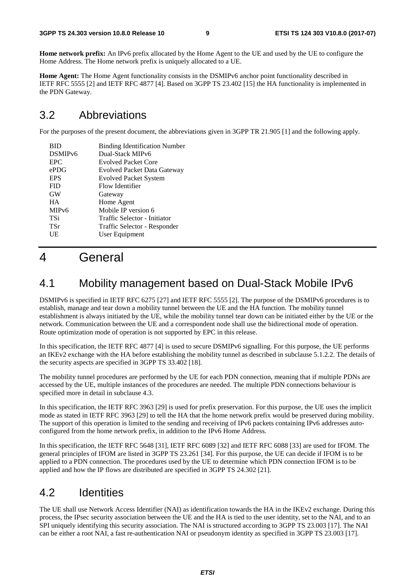**Home network prefix:** An IPv6 prefix allocated by the Home Agent to the UE and used by the UE to configure the Home Address. The Home network prefix is uniquely allocated to a UE.

**Home Agent:** The Home Agent functionality consists in the DSMIPv6 anchor point functionality described in IETF RFC 5555 [2] and IETF RFC 4877 [4]. Based on 3GPP TS 23.402 [15] the HA functionality is implemented in the PDN Gateway.

### 3.2 Abbreviations

For the purposes of the present document, the abbreviations given in 3GPP TR 21.905 [1] and the following apply.

| <b>BID</b>          | <b>Binding Identification Number</b> |
|---------------------|--------------------------------------|
| DSMIP <sub>v6</sub> | Dual-Stack MIPv6                     |
| <b>EPC</b>          | <b>Evolved Packet Core</b>           |
| ePDG                | <b>Evolved Packet Data Gateway</b>   |
| <b>EPS</b>          | <b>Evolved Packet System</b>         |
| <b>FID</b>          | Flow Identifier                      |
| <b>GW</b>           | Gateway                              |
| <b>HA</b>           | Home Agent                           |
| MIP <sub>v</sub> 6  | Mobile IP version 6                  |
| TSi                 | Traffic Selector - Initiator         |
| <b>TSr</b>          | Traffic Selector - Responder         |
| UE                  | User Equipment                       |
|                     |                                      |

# 4 General

### 4.1 Mobility management based on Dual-Stack Mobile IPv6

DSMIPv6 is specified in IETF RFC 6275 [27] and IETF RFC 5555 [2]. The purpose of the DSMIPv6 procedures is to establish, manage and tear down a mobility tunnel between the UE and the HA function. The mobility tunnel establishment is always initiated by the UE, while the mobility tunnel tear down can be initiated either by the UE or the network. Communication between the UE and a correspondent node shall use the bidirectional mode of operation. Route optimization mode of operation is not supported by EPC in this release.

In this specification, the IETF RFC 4877 [4] is used to secure DSMIPv6 signalling. For this purpose, the UE performs an IKEv2 exchange with the HA before establishing the mobility tunnel as described in subclause 5.1.2.2. The details of the security aspects are specified in 3GPP TS 33.402 [18].

The mobility tunnel procedures are performed by the UE for each PDN connection, meaning that if multiple PDNs are accessed by the UE, multiple instances of the procedures are needed. The multiple PDN connections behaviour is specified more in detail in subclause 4.3.

In this specification, the IETF RFC 3963 [29] is used for prefix preservation. For this purpose, the UE uses the implicit mode as stated in IETF RFC 3963 [29] to tell the HA that the home network prefix would be preserved during mobility. The support of this operation is limited to the sending and receiving of IPv6 packets containing IPv6 addresses autoconfigured from the home network prefix, in addition to the IPv6 Home Address.

In this specification, the IETF RFC 5648 [31], IETF RFC 6089 [32] and IETF RFC 6088 [33] are used for IFOM. The general principles of IFOM are listed in 3GPP TS 23.261 [34]. For this purpose, the UE can decide if IFOM is to be applied to a PDN connection. The procedures used by the UE to determine which PDN connection IFOM is to be applied and how the IP flows are distributed are specified in 3GPP TS 24.302 [21].

### 4.2 Identities

The UE shall use Network Access Identifier (NAI) as identification towards the HA in the IKEv2 exchange. During this process, the IPsec security association between the UE and the HA is tied to the user identity, set to the NAI, and to an SPI uniquely identifying this security association. The NAI is structured according to 3GPP TS 23.003 [17]. The NAI can be either a root NAI, a fast re-authentication NAI or pseudonym identity as specified in 3GPP TS 23.003 [17].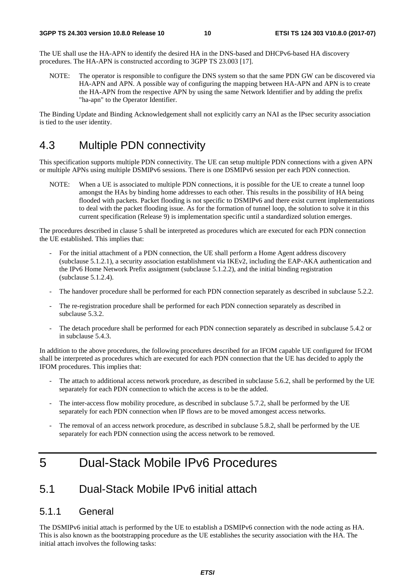The UE shall use the HA-APN to identify the desired HA in the DNS-based and DHCPv6-based HA discovery procedures. The HA-APN is constructed according to 3GPP TS 23.003 [17].

NOTE: The operator is responsible to configure the DNS system so that the same PDN GW can be discovered via HA-APN and APN. A possible way of configuring the mapping between HA-APN and APN is to create the HA-APN from the respective APN by using the same Network Identifier and by adding the prefix "ha-apn" to the Operator Identifier.

The Binding Update and Binding Acknowledgement shall not explicitly carry an NAI as the IPsec security association is tied to the user identity.

### 4.3 Multiple PDN connectivity

This specification supports multiple PDN connectivity. The UE can setup multiple PDN connections with a given APN or multiple APNs using multiple DSMIPv6 sessions. There is one DSMIPv6 session per each PDN connection.

NOTE: When a UE is associated to multiple PDN connections, it is possible for the UE to create a tunnel loop amongst the HAs by binding home addresses to each other. This results in the possibility of HA being flooded with packets. Packet flooding is not specific to DSMIPv6 and there exist current implementations to deal with the packet flooding issue. As for the formation of tunnel loop, the solution to solve it in this current specification (Release 9) is implementation specific until a standardized solution emerges.

The procedures described in clause 5 shall be interpreted as procedures which are executed for each PDN connection the UE established. This implies that:

- For the initial attachment of a PDN connection, the UE shall perform a Home Agent address discovery (subclause 5.1.2.1), a security association establishment via IKEv2, including the EAP-AKA authentication and the IPv6 Home Network Prefix assignment (subclause 5.1.2.2), and the initial binding registration (subclause 5.1.2.4).
- The handover procedure shall be performed for each PDN connection separately as described in subclause 5.2.2.
- The re-registration procedure shall be performed for each PDN connection separately as described in subclause 5.3.2.
- The detach procedure shall be performed for each PDN connection separately as described in subclause 5.4.2 or in subclause 5.4.3.

In addition to the above procedures, the following procedures described for an IFOM capable UE configured for IFOM shall be interpreted as procedures which are executed for each PDN connection that the UE has decided to apply the IFOM procedures. This implies that:

- The attach to additional access network procedure, as described in subclause 5.6.2, shall be performed by the UE separately for each PDN connection to which the access is to be the added.
- The inter-access flow mobility procedure, as described in subclause 5.7.2, shall be performed by the UE separately for each PDN connection when IP flows are to be moved amongest access networks.
- The removal of an access network procedure, as described in subclause 5.8.2, shall be performed by the UE separately for each PDN connection using the access network to be removed.

### 5 Dual-Stack Mobile IPv6 Procedures

### 5.1 Dual-Stack Mobile IPv6 initial attach

#### 5.1.1 General

The DSMIPv6 initial attach is performed by the UE to establish a DSMIPv6 connection with the node acting as HA. This is also known as the bootstrapping procedure as the UE establishes the security association with the HA. The initial attach involves the following tasks: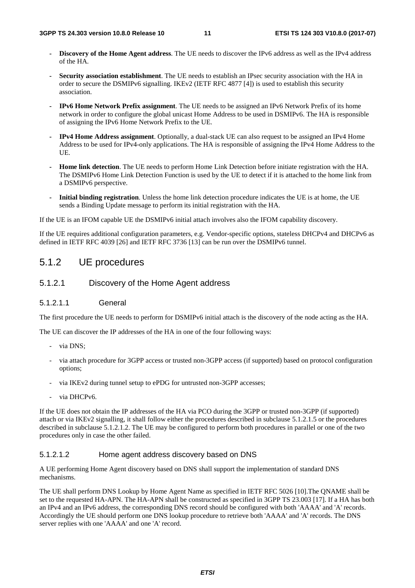- **Discovery of the Home Agent address**. The UE needs to discover the IPv6 address as well as the IPv4 address of the HA.
- **Security association establishment**. The UE needs to establish an IPsec security association with the HA in order to secure the DSMIPv6 signalling. IKEv2 (IETF RFC 4877 [4]) is used to establish this security association.
- **IPv6 Home Network Prefix assignment**. The UE needs to be assigned an IPv6 Network Prefix of its home network in order to configure the global unicast Home Address to be used in DSMIPv6. The HA is responsible of assigning the IPv6 Home Network Prefix to the UE.
- **IPv4 Home Address assignment**. Optionally, a dual-stack UE can also request to be assigned an IPv4 Home Address to be used for IPv4-only applications. The HA is responsible of assigning the IPv4 Home Address to the UE.
- **Home link detection**. The UE needs to perform Home Link Detection before initiate registration with the HA. The DSMIPv6 Home Link Detection Function is used by the UE to detect if it is attached to the home link from a DSMIPv6 perspective.
- **Initial binding registration**. Unless the home link detection procedure indicates the UE is at home, the UE sends a Binding Update message to perform its initial registration with the HA.

If the UE is an IFOM capable UE the DSMIPv6 initial attach involves also the IFOM capability discovery.

If the UE requires additional configuration parameters, e.g. Vendor-specific options, stateless DHCPv4 and DHCPv6 as defined in IETF RFC 4039 [26] and IETF RFC 3736 [13] can be run over the DSMIPv6 tunnel.

#### 5.1.2 UE procedures

5.1.2.1 Discovery of the Home Agent address

#### 5.1.2.1.1 General

The first procedure the UE needs to perform for DSMIPv6 initial attach is the discovery of the node acting as the HA.

The UE can discover the IP addresses of the HA in one of the four following ways:

- via DNS:
- via attach procedure for 3GPP access or trusted non-3GPP access (if supported) based on protocol configuration options;
- via IKEv2 during tunnel setup to ePDG for untrusted non-3GPP accesses;
- via DHCPv6.

If the UE does not obtain the IP addresses of the HA via PCO during the 3GPP or trusted non-3GPP (if supported) attach or via IKEv2 signalling, it shall follow either the procedures described in subclause 5.1.2.1.5 or the procedures described in subclause 5.1.2.1.2. The UE may be configured to perform both procedures in parallel or one of the two procedures only in case the other failed.

#### 5.1.2.1.2 Home agent address discovery based on DNS

A UE performing Home Agent discovery based on DNS shall support the implementation of standard DNS mechanisms.

The UE shall perform DNS Lookup by Home Agent Name as specified in IETF RFC 5026 [10].The QNAME shall be set to the requested HA-APN. The HA-APN shall be constructed as specified in 3GPP TS 23.003 [17]. If a HA has both an IPv4 and an IPv6 address, the corresponding DNS record should be configured with both 'AAAA' and 'A' records. Accordingly the UE should perform one DNS lookup procedure to retrieve both 'AAAA' and 'A' records. The DNS server replies with one 'AAAA' and one 'A' record.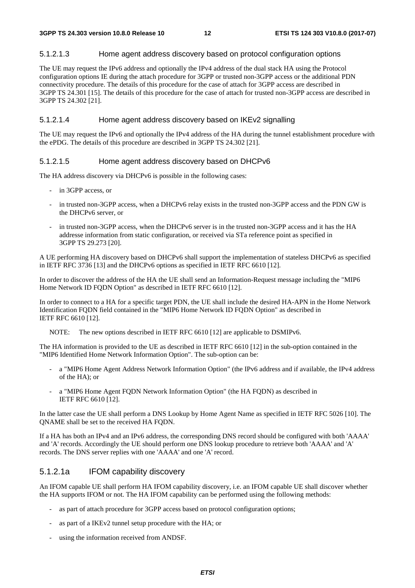#### 5.1.2.1.3 Home agent address discovery based on protocol configuration options

The UE may request the IPv6 address and optionally the IPv4 address of the dual stack HA using the Protocol configuration options IE during the attach procedure for 3GPP or trusted non-3GPP access or the additional PDN connectivity procedure. The details of this procedure for the case of attach for 3GPP access are described in 3GPP TS 24.301 [15]. The details of this procedure for the case of attach for trusted non-3GPP access are described in 3GPP TS 24.302 [21].

#### 5.1.2.1.4 Home agent address discovery based on IKEv2 signalling

The UE may request the IPv6 and optionally the IPv4 address of the HA during the tunnel establishment procedure with the ePDG. The details of this procedure are described in 3GPP TS 24.302 [21].

#### 5.1.2.1.5 Home agent address discovery based on DHCPv6

The HA address discovery via DHCPv6 is possible in the following cases:

- in 3GPP access, or
- in trusted non-3GPP access, when a DHCPv6 relay exists in the trusted non-3GPP access and the PDN GW is the DHCPv6 server, or
- in trusted non-3GPP access, when the DHCPv6 server is in the trusted non-3GPP access and it has the HA addresse information from static configuration, or received via STa reference point as specified in 3GPP TS 29.273 [20].

A UE performing HA discovery based on DHCPv6 shall support the implementation of stateless DHCPv6 as specified in IETF RFC 3736 [13] and the DHCPv6 options as specified in IETF RFC 6610 [12].

In order to discover the address of the HA the UE shall send an Information-Request message including the "MIP6 Home Network ID FQDN Option" as described in IETF RFC 6610 [12].

In order to connect to a HA for a specific target PDN, the UE shall include the desired HA-APN in the Home Network Identification FQDN field contained in the "MIP6 Home Network ID FQDN Option" as described in IETF RFC 6610 [12].

NOTE: The new options described in IETF RFC 6610 [12] are applicable to DSMIPv6.

The HA information is provided to the UE as described in IETF RFC 6610 [12] in the sub-option contained in the "MIP6 Identified Home Network Information Option". The sub-option can be:

- a "MIP6 Home Agent Address Network Information Option" (the IPv6 address and if available, the IPv4 address of the HA); or
- a "MIP6 Home Agent FQDN Network Information Option" (the HA FQDN) as described in IETF RFC 6610 [12].

In the latter case the UE shall perform a DNS Lookup by Home Agent Name as specified in IETF RFC 5026 [10]. The QNAME shall be set to the received HA FQDN.

If a HA has both an IPv4 and an IPv6 address, the corresponding DNS record should be configured with both 'AAAA' and 'A' records. Accordingly the UE should perform one DNS lookup procedure to retrieve both 'AAAA' and 'A' records. The DNS server replies with one 'AAAA' and one 'A' record.

#### 5.1.2.1a IFOM capability discovery

An IFOM capable UE shall perform HA IFOM capability discovery, i.e. an IFOM capable UE shall discover whether the HA supports IFOM or not. The HA IFOM capability can be performed using the following methods:

- as part of attach procedure for 3GPP access based on protocol configuration options;
- as part of a IKEv2 tunnel setup procedure with the HA; or
- using the information received from ANDSF.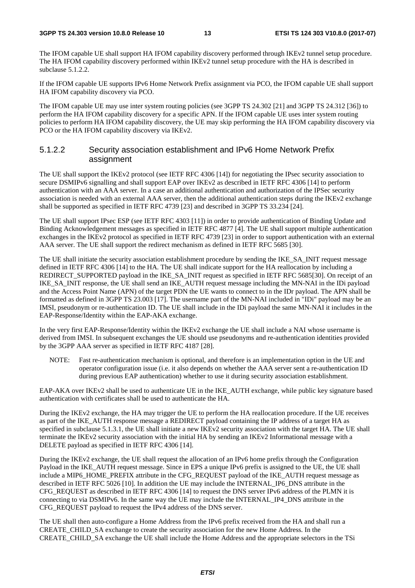The IFOM capable UE shall support HA IFOM capability discovery performed through IKEv2 tunnel setup procedure. The HA IFOM capability discovery performed within IKEv2 tunnel setup procedure with the HA is described in subclause 5.1.2.2.

If the IFOM capable UE supports IPv6 Home Network Prefix assignment via PCO, the IFOM capable UE shall support HA IFOM capability discovery via PCO.

The IFOM capable UE may use inter system routing policies (see 3GPP TS 24.302 [21] and 3GPP TS 24.312 [36]) to perform the HA IFOM capability discovery for a specific APN. If the IFOM capable UE uses inter system routing policies to perform HA IFOM capability discovery, the UE may skip performing the HA IFOM capability discovery via PCO or the HA IFOM capability discovery via IKEv2.

#### 5.1.2.2 Security association establishment and IPv6 Home Network Prefix assignment

The UE shall support the IKEv2 protocol (see IETF RFC 4306 [14]) for negotiating the IPsec security association to secure DSMIPv6 signalling and shall support EAP over IKEv2 as described in IETF RFC 4306 [14] to perform authentication with an AAA server. In a case an additional authentication and authorization of the IPSec security association is needed with an external AAA server, then the additional authentication steps during the IKEv2 exchange shall be supported as specified in IETF RFC 4739 [23] and described in 3GPP TS 33.234 [24].

The UE shall support IPsec ESP (see IETF RFC 4303 [11]) in order to provide authentication of Binding Update and Binding Acknowledgement messages as specified in IETF RFC 4877 [4]. The UE shall support multiple authentication exchanges in the IKEv2 protocol as specified in IETF RFC 4739 [23] in order to support authentication with an external AAA server. The UE shall support the redirect mechanism as defined in IETF RFC 5685 [30].

The UE shall initiate the security association establishment procedure by sending the IKE\_SA\_INIT request message defined in IETF RFC 4306 [14] to the HA. The UE shall indicate support for the HA reallocation by including a REDIRECT\_SUPPORTED payload in the IKE\_SA\_INIT request as specified in IETF RFC 5685[30]. On receipt of an IKE\_SA\_INIT response, the UE shall send an IKE\_AUTH request message including the MN-NAI in the IDi payload and the Access Point Name (APN) of the target PDN the UE wants to connect to in the IDr payload. The APN shall be formatted as defined in 3GPP TS 23.003 [17]. The username part of the MN-NAI included in "IDi" payload may be an IMSI, pseudonym or re-authentication ID. The UE shall include in the IDi payload the same MN-NAI it includes in the EAP-Response/Identity within the EAP-AKA exchange.

In the very first EAP-Response/Identity within the IKEv2 exchange the UE shall include a NAI whose username is derived from IMSI. In subsequent exchanges the UE should use pseudonyms and re-authentication identities provided by the 3GPP AAA server as specified in IETF RFC 4187 [28].

NOTE: Fast re-authentication mechanism is optional, and therefore is an implementation option in the UE and operator configuration issue (i.e. it also depends on whether the AAA server sent a re-authentication ID during previous EAP authentication) whether to use it during security association establishment.

EAP-AKA over IKEv2 shall be used to authenticate UE in the IKE\_AUTH exchange, while public key signature based authentication with certificates shall be used to authenticate the HA.

During the IKEv2 exchange, the HA may trigger the UE to perform the HA reallocation procedure. If the UE receives as part of the IKE\_AUTH response message a REDIRECT payload containing the IP address of a target HA as specified in subclause 5.1.3.1, the UE shall initiate a new IKEv2 security association with the target HA. The UE shall terminate the IKEv2 security association with the initial HA by sending an IKEv2 Informational message with a DELETE payload as specified in IETF RFC 4306 [14].

During the IKEv2 exchange, the UE shall request the allocation of an IPv6 home prefix through the Configuration Payload in the IKE\_AUTH request message. Since in EPS a unique IPv6 prefix is assigned to the UE, the UE shall include a MIP6\_HOME\_PREFIX attribute in the CFG\_REQUEST payload of the IKE\_AUTH request message as described in IETF RFC 5026 [10]. In addition the UE may include the INTERNAL\_IP6\_DNS attribute in the CFG\_REQUEST as described in IETF RFC 4306 [14] to request the DNS server IPv6 address of the PLMN it is connecting to via DSMIPv6. In the same way the UE may include the INTERNAL\_IP4\_DNS attribute in the CFG\_REQUEST payload to request the IPv4 address of the DNS server.

The UE shall then auto-configure a Home Address from the IPv6 prefix received from the HA and shall run a CREATE\_CHILD\_SA exchange to create the security association for the new Home Address. In the CREATE\_CHILD\_SA exchange the UE shall include the Home Address and the appropriate selectors in the TSi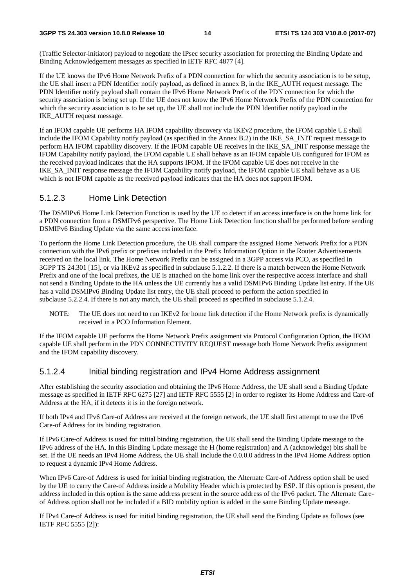#### **3GPP TS 24.303 version 10.8.0 Release 10 14 ETSI TS 124 303 V10.8.0 (2017-07)**

(Traffic Selector-initiator) payload to negotiate the IPsec security association for protecting the Binding Update and Binding Acknowledgement messages as specified in IETF RFC 4877 [4].

If the UE knows the IPv6 Home Network Prefix of a PDN connection for which the security association is to be setup, the UE shall insert a PDN Identifier notify payload, as defined in annex B, in the IKE\_AUTH request message. The PDN Identifier notify payload shall contain the IPv6 Home Network Prefix of the PDN connection for which the security association is being set up. If the UE does not know the IPv6 Home Network Prefix of the PDN connection for which the security association is to be set up, the UE shall not include the PDN Identifier notify payload in the IKE\_AUTH request message.

If an IFOM capable UE performs HA IFOM capability discovery via IKEv2 procedure, the IFOM capable UE shall include the IFOM Capability notify payload (as specified in the Annex B.2) in the IKE\_SA\_INIT request message to perform HA IFOM capability discovery. If the IFOM capable UE receives in the IKE\_SA\_INIT response message the IFOM Capability notify payload, the IFOM capable UE shall behave as an IFOM capable UE configured for IFOM as the received payload indicates that the HA supports IFOM. If the IFOM capable UE does not receive in the IKE\_SA\_INIT response message the IFOM Capability notify payload, the IFOM capable UE shall behave as a UE which is not IFOM capable as the received payload indicates that the HA does not support IFOM.

#### 5.1.2.3 Home Link Detection

The DSMIPv6 Home Link Detection Function is used by the UE to detect if an access interface is on the home link for a PDN connection from a DSMIPv6 perspective. The Home Link Detection function shall be performed before sending DSMIPv6 Binding Update via the same access interface.

To perform the Home Link Detection procedure, the UE shall compare the assigned Home Network Prefix for a PDN connection with the IPv6 prefix or prefixes included in the Prefix Information Option in the Router Advertisements received on the local link. The Home Network Prefix can be assigned in a 3GPP access via PCO, as specified in 3GPP TS 24.301 [15], or via IKEv2 as specified in subclause 5.1.2.2. If there is a match between the Home Network Prefix and one of the local prefixes, the UE is attached on the home link over the respective access interface and shall not send a Binding Update to the HA unless the UE currently has a valid DSMIPv6 Binding Update list entry. If the UE has a valid DSMIPv6 Binding Update list entry, the UE shall proceed to perform the action specified in subclause 5.2.2.4. If there is not any match, the UE shall proceed as specified in subclause 5.1.2.4.

NOTE: The UE does not need to run IKEv2 for home link detection if the Home Network prefix is dynamically received in a PCO Information Element.

If the IFOM capable UE performs the Home Network Prefix assignment via Protocol Configuration Option, the IFOM capable UE shall perform in the PDN CONNECTIVITY REQUEST message both Home Network Prefix assignment and the IFOM capability discovery.

### 5.1.2.4 Initial binding registration and IPv4 Home Address assignment

After establishing the security association and obtaining the IPv6 Home Address, the UE shall send a Binding Update message as specified in IETF RFC 6275 [27] and IETF RFC 5555 [2] in order to register its Home Address and Care-of Address at the HA, if it detects it is in the foreign network.

If both IPv4 and IPv6 Care-of Address are received at the foreign network, the UE shall first attempt to use the IPv6 Care-of Address for its binding registration.

If IPv6 Care-of Address is used for initial binding registration, the UE shall send the Binding Update message to the IPv6 address of the HA. In this Binding Update message the H (home registration) and A (acknowledge) bits shall be set. If the UE needs an IPv4 Home Address, the UE shall include the 0.0.0.0 address in the IPv4 Home Address option to request a dynamic IPv4 Home Address.

When IPv6 Care-of Address is used for initial binding registration, the Alternate Care-of Address option shall be used by the UE to carry the Care-of Address inside a Mobility Header which is protected by ESP. If this option is present, the address included in this option is the same address present in the source address of the IPv6 packet. The Alternate Careof Address option shall not be included if a BID mobility option is added in the same Binding Update message.

If IPv4 Care-of Address is used for initial binding registration, the UE shall send the Binding Update as follows (see IETF RFC 5555 [2]):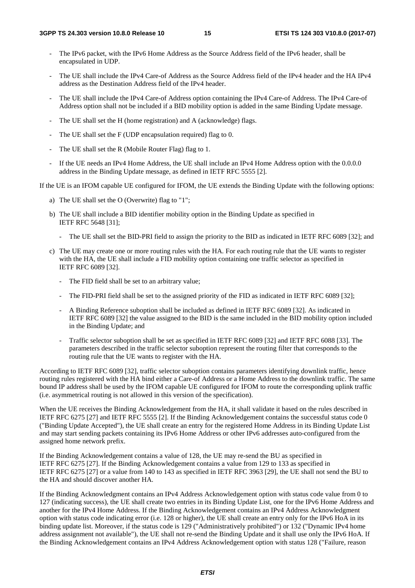- The IPv6 packet, with the IPv6 Home Address as the Source Address field of the IPv6 header, shall be encapsulated in UDP.
- The UE shall include the IPv4 Care-of Address as the Source Address field of the IPv4 header and the HA IPv4 address as the Destination Address field of the IPv4 header.
- The UE shall include the IPv4 Care-of Address option containing the IPv4 Care-of Address. The IPv4 Care-of Address option shall not be included if a BID mobility option is added in the same Binding Update message.
- The UE shall set the H (home registration) and A (acknowledge) flags.
- The UE shall set the F (UDP encapsulation required) flag to 0.
- The UE shall set the R (Mobile Router Flag) flag to 1.
- If the UE needs an IPv4 Home Address, the UE shall include an IPv4 Home Address option with the 0.0.0.0 address in the Binding Update message, as defined in IETF RFC 5555 [2].

If the UE is an IFOM capable UE configured for IFOM, the UE extends the Binding Update with the following options:

- a) The UE shall set the O (Overwrite) flag to "1";
- b) The UE shall include a BID identifier mobility option in the Binding Update as specified in IETF RFC 5648 [31];
	- The UE shall set the BID-PRI field to assign the priority to the BID as indicated in IETF RFC 6089 [32]; and
- c) The UE may create one or more routing rules with the HA. For each routing rule that the UE wants to register with the HA, the UE shall include a FID mobility option containing one traffic selector as specified in IETF RFC 6089 [32].
	- The FID field shall be set to an arbitrary value;
	- The FID-PRI field shall be set to the assigned priority of the FID as indicated in IETF RFC 6089 [32];
	- A Binding Reference suboption shall be included as defined in IETF RFC 6089 [32]. As indicated in IETF RFC 6089 [32] the value assigned to the BID is the same included in the BID mobility option included in the Binding Update; and
	- Traffic selector suboption shall be set as specified in IETF RFC 6089 [32] and IETF RFC 6088 [33]. The parameters described in the traffic selector suboption represent the routing filter that corresponds to the routing rule that the UE wants to register with the HA.

According to IETF RFC 6089 [32], traffic selector suboption contains parameters identifying downlink traffic, hence routing rules registered with the HA bind either a Care-of Address or a Home Address to the downlink traffic. The same bound IP address shall be used by the IFOM capable UE configured for IFOM to route the corresponding uplink traffic (i.e. asymmetrical routing is not allowed in this version of the specification).

When the UE receives the Binding Acknowledgement from the HA, it shall validate it based on the rules described in IETF RFC 6275 [27] and IETF RFC 5555 [2]. If the Binding Acknowledgement contains the successful status code 0 ("Binding Update Accepted"), the UE shall create an entry for the registered Home Address in its Binding Update List and may start sending packets containing its IPv6 Home Address or other IPv6 addresses auto-configured from the assigned home network prefix.

If the Binding Acknowledgement contains a value of 128, the UE may re-send the BU as specified in IETF RFC 6275 [27]. If the Binding Acknowledgement contains a value from 129 to 133 as specified in IETF RFC 6275 [27] or a value from 140 to 143 as specified in IETF RFC 3963 [29], the UE shall not send the BU to the HA and should discover another HA.

If the Binding Acknowledgment contains an IPv4 Address Acknowledgement option with status code value from 0 to 127 (indicating success), the UE shall create two entries in its Binding Update List, one for the IPv6 Home Address and another for the IPv4 Home Address. If the Binding Acknowledgement contains an IPv4 Address Acknowledgment option with status code indicating error (i.e. 128 or higher), the UE shall create an entry only for the IPv6 HoA in its binding update list. Moreover, if the status code is 129 ("Administratively prohibited") or 132 ("Dynamic IPv4 home address assignment not available"), the UE shall not re-send the Binding Update and it shall use only the IPv6 HoA. If the Binding Acknowledgement contains an IPv4 Address Acknowledgement option with status 128 ("Failure, reason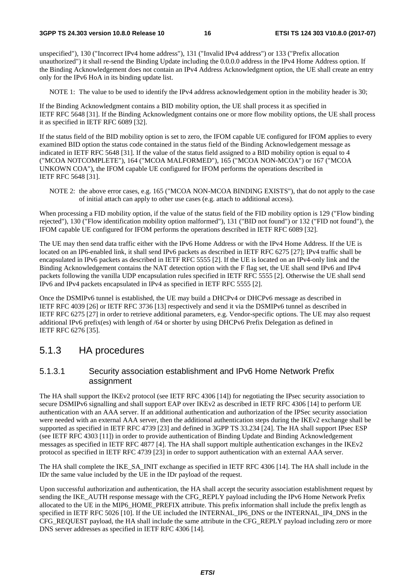unspecified"), 130 ("Incorrect IPv4 home address"), 131 ("Invalid IPv4 address") or 133 ("Prefix allocation unauthorized") it shall re-send the Binding Update including the 0.0.0.0 address in the IPv4 Home Address option. If the Binding Acknowledgement does not contain an IPv4 Address Acknowledgment option, the UE shall create an entry only for the IPv6 HoA in its binding update list.

NOTE 1: The value to be used to identify the IPv4 address acknowledgement option in the mobility header is 30;

If the Binding Acknowledgment contains a BID mobility option, the UE shall process it as specified in IETF RFC 5648 [31]. If the Binding Acknowledgment contains one or more flow mobility options, the UE shall process it as specified in IETF RFC 6089 [32].

If the status field of the BID mobility option is set to zero, the IFOM capable UE configured for IFOM applies to every examined BID option the status code contained in the status field of the Binding Acknowledgement message as indicated in IETF RFC 5648 [31]. If the value of the status field assigned to a BID mobility option is equal to 4 ("MCOA NOTCOMPLETE"), 164 ("MCOA MALFORMED"), 165 ("MCOA NON-MCOA") or 167 ("MCOA UNKOWN COA"), the IFOM capable UE configured for IFOM performs the operations described in IETF RFC 5648 [31].

NOTE 2: the above error cases, e.g. 165 ("MCOA NON-MCOA BINDING EXISTS"), that do not apply to the case of initial attach can apply to other use cases (e.g. attach to additional access).

When processing a FID mobility option, if the value of the status field of the FID mobility option is 129 ("Flow binding") rejected"), 130 ("Flow identification mobility option malformed"), 131 ("BID not found") or 132 ("FID not found"), the IFOM capable UE configured for IFOM performs the operations described in IETF RFC 6089 [32].

The UE may then send data traffic either with the IPv6 Home Address or with the IPv4 Home Address. If the UE is located on an IP6-enabled link, it shall send IPv6 packets as described in IETF RFC 6275 [27]; IPv4 traffic shall be encapsulated in IPv6 packets as described in IETF RFC 5555 [2]. If the UE is located on an IPv4-only link and the Binding Acknowledgement contains the NAT detection option with the F flag set, the UE shall send IPv6 and IPv4 packets following the vanilla UDP encapsulation rules specified in IETF RFC 5555 [2]. Otherwise the UE shall send IPv6 and IPv4 packets encapsulated in IPv4 as specified in IETF RFC 5555 [2].

Once the DSMIPv6 tunnel is established, the UE may build a DHCPv4 or DHCPv6 message as described in IETF RFC 4039 [26] or IETF RFC 3736 [13] respectively and send it via the DSMIPv6 tunnel as described in IETF RFC 6275 [27] in order to retrieve additional parameters, e.g. Vendor-specific options. The UE may also request additional IPv6 prefix(es) with length of /64 or shorter by using DHCPv6 Prefix Delegation as defined in IETF RFC 6276 [35].

#### 5.1.3 HA procedures

#### 5.1.3.1 Security association establishment and IPv6 Home Network Prefix assignment

The HA shall support the IKEv2 protocol (see IETF RFC 4306 [14]) for negotiating the IPsec security association to secure DSMIPv6 signalling and shall support EAP over IKEv2 as described in IETF RFC 4306 [14] to perform UE authentication with an AAA server. If an additional authentication and authorization of the IPSec security association were needed with an external AAA server, then the additional authentication steps during the IKEv2 exchange shall be supported as specified in IETF RFC 4739 [23] and defined in 3GPP TS 33.234 [24]. The HA shall support IPsec ESP (see IETF RFC 4303 [11]) in order to provide authentication of Binding Update and Binding Acknowledgement messages as specified in IETF RFC 4877 [4]. The HA shall support multiple authentication exchanges in the IKEv2 protocol as specified in IETF RFC 4739 [23] in order to support authentication with an external AAA server.

The HA shall complete the IKE\_SA\_INIT exchange as specified in IETF RFC 4306 [14]. The HA shall include in the IDr the same value included by the UE in the IDr payload of the request.

Upon successful authorization and authentication, the HA shall accept the security association establishment request by sending the IKE\_AUTH response message with the CFG\_REPLY payload including the IPv6 Home Network Prefix allocated to the UE in the MIP6\_HOME\_PREFIX attribute. This prefix information shall include the prefix length as specified in IETF RFC 5026 [10]. If the UE included the INTERNAL IP6 DNS or the INTERNAL IP4 DNS in the CFG\_REQUEST payload, the HA shall include the same attribute in the CFG\_REPLY payload including zero or more DNS server addresses as specified in IETF RFC 4306 [14].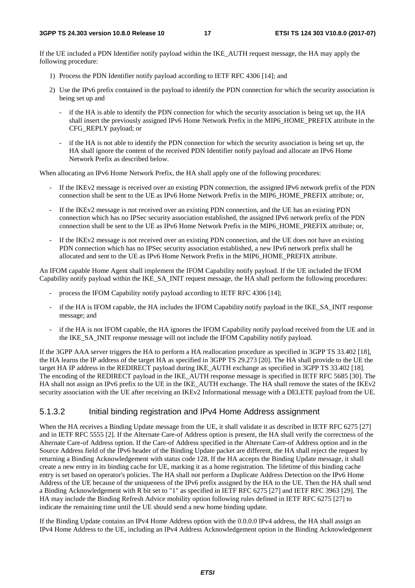If the UE included a PDN Identifier notify payload within the IKE\_AUTH request message, the HA may apply the following procedure:

- 1) Process the PDN Identifier notify payload according to IETF RFC 4306 [14]; and
- 2) Use the IPv6 prefix contained in the payload to identify the PDN connection for which the security association is being set up and
	- if the HA is able to identify the PDN connection for which the security association is being set up, the HA shall insert the previously assigned IPv6 Home Network Prefix in the MIP6\_HOME\_PREFIX attribute in the CFG\_REPLY payload; or
	- if the HA is not able to identify the PDN connection for which the security association is being set up, the HA shall ignore the content of the received PDN Identifier notify payload and allocate an IPv6 Home Network Prefix as described below.

When allocating an IPv6 Home Network Prefix, the HA shall apply one of the following procedures:

- If the IKEv2 message is received over an existing PDN connection, the assigned IPv6 network prefix of the PDN connection shall be sent to the UE as IPv6 Home Network Prefix in the MIP6\_HOME\_PREFIX attribute; or,
- If the IKEv2 message is not received over an existing PDN connection, and the UE has an existing PDN connection which has no IPSec security association established, the assigned IPv6 network prefix of the PDN connection shall be sent to the UE as IPv6 Home Network Prefix in the MIP6\_HOME\_PREFIX attribute; or,
- If the IKEv2 message is not received over an existing PDN connection, and the UE does not have an existing PDN connection which has no IPSec security association established, a new IPv6 network prefix shall be allocated and sent to the UE as IPv6 Home Network Prefix in the MIP6\_HOME\_PREFIX attribute.

An IFOM capable Home Agent shall implement the IFOM Capability notify payload. If the UE included the IFOM Capability notify payload within the IKE\_SA\_INIT request message, the HA shall perform the following procedures:

- process the IFOM Capability notify payload according to IETF RFC 4306 [14];
- if the HA is IFOM capable, the HA includes the IFOM Capability notify payload in the IKE\_SA\_INIT response message; and
- if the HA is not IFOM capable, the HA ignores the IFOM Capability notify payload received from the UE and in the IKE\_SA\_INIT response message will not include the IFOM Capability notify payload.

If the 3GPP AAA server triggers the HA to perform a HA reallocation procedure as specified in 3GPP TS 33.402 [18], the HA learns the IP address of the target HA as specified in 3GPP TS 29.273 [20]. The HA shall provide to the UE the target HA IP address in the REDIRECT payload during IKE\_AUTH exchange as specified in 3GPP TS 33.402 [18]. The encoding of the REDIRECT payload in the IKE\_AUTH response message is specified in IETF RFC 5685 [30]. The HA shall not assign an IPv6 prefix to the UE in the IKE\_AUTH exchange. The HA shall remove the states of the IKEv2 security association with the UE after receiving an IKEv2 Informational message with a DELETE payload from the UE.

#### 5.1.3.2 Initial binding registration and IPv4 Home Address assignment

When the HA receives a Binding Update message from the UE, it shall validate it as described in IETF RFC 6275 [27] and in IETF RFC 5555 [2]. If the Alternate Care-of Address option is present, the HA shall verify the correctness of the Alternate Care-of Address option. If the Care-of Address specified in the Alternate Care-of Address option and in the Source Address field of the IPv6 header of the Binding Update packet are different, the HA shall reject the request by returning a Binding Acknowledgement with status code 128. If the HA accepts the Binding Update message, it shall create a new entry in its binding cache for UE, marking it as a home registration. The lifetime of this binding cache entry is set based on operator's policies. The HA shall not perform a Duplicate Address Detection on the IPv6 Home Address of the UE because of the uniqueness of the IPv6 prefix assigned by the HA to the UE. Then the HA shall send a Binding Acknowledgement with R bit set to "1" as specified in IETF RFC 6275 [27] and IETF RFC 3963 [29]. The HA may include the Binding Refresh Advice mobility option following rules defined in IETF RFC 6275 [27] to indicate the remaining time until the UE should send a new home binding update.

If the Binding Update contains an IPv4 Home Address option with the 0.0.0.0 IPv4 address, the HA shall assign an IPv4 Home Address to the UE, including an IPv4 Address Acknowledgement option in the Binding Acknowledgement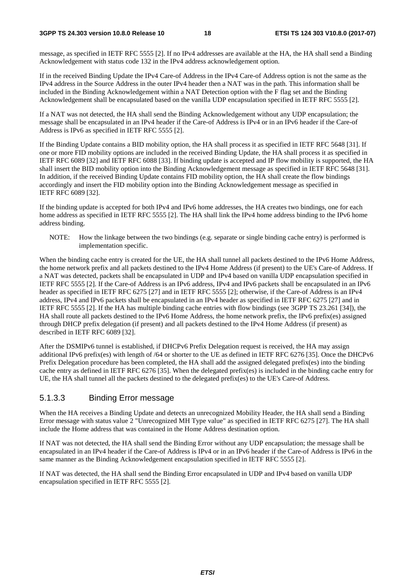message, as specified in IETF RFC 5555 [2]. If no IPv4 addresses are available at the HA, the HA shall send a Binding Acknowledgement with status code 132 in the IPv4 address acknowledgement option.

If in the received Binding Update the IPv4 Care-of Address in the IPv4 Care-of Address option is not the same as the IPv4 address in the Source Address in the outer IPv4 header then a NAT was in the path. This information shall be included in the Binding Acknowledgement within a NAT Detection option with the F flag set and the Binding Acknowledgement shall be encapsulated based on the vanilla UDP encapsulation specified in IETF RFC 5555 [2].

If a NAT was not detected, the HA shall send the Binding Acknowledgement without any UDP encapsulation; the message shall be encapsulated in an IPv4 header if the Care-of Address is IPv4 or in an IPv6 header if the Care-of Address is IPv6 as specified in IETF RFC 5555 [2].

If the Binding Update contains a BID mobility option, the HA shall process it as specified in IETF RFC 5648 [31]. If one or more FID mobility options are included in the received Binding Update, the HA shall process it as specified in IETF RFC 6089 [32] and IETF RFC 6088 [33]. If binding update is accepted and IP flow mobility is supported, the HA shall insert the BID mobility option into the Binding Acknowledgement message as specified in IETF RFC 5648 [31]. In addition, if the received Binding Update contains FID mobility option, the HA shall create the flow bindings accordingly and insert the FID mobility option into the Binding Acknowledgement message as specified in IETF RFC 6089 [32].

If the binding update is accepted for both IPv4 and IPv6 home addresses, the HA creates two bindings, one for each home address as specified in IETF RFC 5555 [2]. The HA shall link the IPv4 home address binding to the IPv6 home address binding.

NOTE: How the linkage between the two bindings (e.g. separate or single binding cache entry) is performed is implementation specific.

When the binding cache entry is created for the UE, the HA shall tunnel all packets destined to the IPv6 Home Address, the home network prefix and all packets destined to the IPv4 Home Address (if present) to the UE's Care-of Address. If a NAT was detected, packets shall be encapsulated in UDP and IPv4 based on vanilla UDP encapsulation specified in IETF RFC 5555 [2]. If the Care-of Address is an IPv6 address, IPv4 and IPv6 packets shall be encapsulated in an IPv6 header as specified in IETF RFC 6275 [27] and in IETF RFC 5555 [2]; otherwise, if the Care-of Address is an IPv4 address, IPv4 and IPv6 packets shall be encapsulated in an IPv4 header as specified in IETF RFC 6275 [27] and in IETF RFC 5555 [2]. If the HA has multiple binding cache entries with flow bindings (see 3GPP TS 23.261 [34]), the HA shall route all packets destined to the IPv6 Home Address, the home network prefix, the IPv6 prefix(es) assigned through DHCP prefix delegation (if present) and all packets destined to the IPv4 Home Address (if present) as described in IETF RFC 6089 [32].

After the DSMIPv6 tunnel is established, if DHCPv6 Prefix Delegation request is received, the HA may assign additional IPv6 prefix(es) with length of /64 or shorter to the UE as defined in IETF RFC 6276 [35]. Once the DHCPv6 Prefix Delegation procedure has been completed, the HA shall add the assigned delegated prefix(es) into the binding cache entry as defined in IETF RFC 6276 [35]. When the delegated prefix(es) is included in the binding cache entry for UE, the HA shall tunnel all the packets destined to the delegated prefix(es) to the UE's Care-of Address.

#### 5.1.3.3 Binding Error message

When the HA receives a Binding Update and detects an unrecognized Mobility Header, the HA shall send a Binding Error message with status value 2 "Unrecognized MH Type value" as specified in IETF RFC 6275 [27]. The HA shall include the Home address that was contained in the Home Address destination option.

If NAT was not detected, the HA shall send the Binding Error without any UDP encapsulation; the message shall be encapsulated in an IPv4 header if the Care-of Address is IPv4 or in an IPv6 header if the Care-of Address is IPv6 in the same manner as the Binding Acknowledgement encapsulation specified in IETF RFC 5555 [2].

If NAT was detected, the HA shall send the Binding Error encapsulated in UDP and IPv4 based on vanilla UDP encapsulation specified in IETF RFC 5555 [2].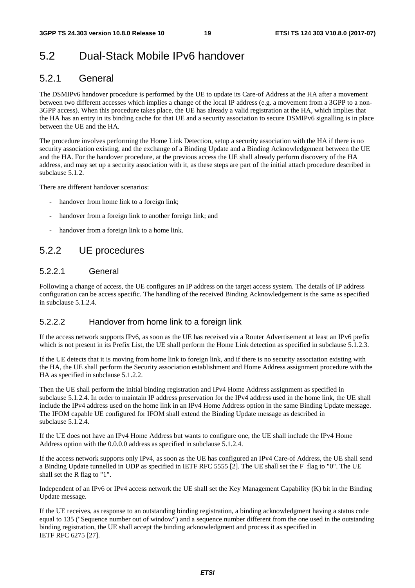### 5.2 Dual-Stack Mobile IPv6 handover

### 5.2.1 General

The DSMIPv6 handover procedure is performed by the UE to update its Care-of Address at the HA after a movement between two different accesses which implies a change of the local IP address (e.g. a movement from a 3GPP to a non-3GPP access). When this procedure takes place, the UE has already a valid registration at the HA, which implies that the HA has an entry in its binding cache for that UE and a security association to secure DSMIPv6 signalling is in place between the UE and the HA.

The procedure involves performing the Home Link Detection, setup a security association with the HA if there is no security association existing, and the exchange of a Binding Update and a Binding Acknowledgement between the UE and the HA. For the handover procedure, at the previous access the UE shall already perform discovery of the HA address, and may set up a security association with it, as these steps are part of the initial attach procedure described in subclause 5.1.2.

There are different handover scenarios:

- handover from home link to a foreign link;
- handover from a foreign link to another foreign link; and
- handover from a foreign link to a home link.

### 5.2.2 UE procedures

#### 5.2.2.1 General

Following a change of access, the UE configures an IP address on the target access system. The details of IP address configuration can be access specific. The handling of the received Binding Acknowledgement is the same as specified in subclause 5.1.2.4.

#### 5.2.2.2 Handover from home link to a foreign link

If the access network supports IPv6, as soon as the UE has received via a Router Advertisement at least an IPv6 prefix which is not present in its Prefix List, the UE shall perform the Home Link detection as specified in subclause 5.1.2.3.

If the UE detects that it is moving from home link to foreign link, and if there is no security association existing with the HA, the UE shall perform the Security association establishment and Home Address assignment procedure with the HA as specified in subclause 5.1.2.2.

Then the UE shall perform the initial binding registration and IPv4 Home Address assignment as specified in subclause 5.1.2.4. In order to maintain IP address preservation for the IPv4 address used in the home link, the UE shall include the IPv4 address used on the home link in an IPv4 Home Address option in the same Binding Update message. The IFOM capable UE configured for IFOM shall extend the Binding Update message as described in subclause 5.1.2.4.

If the UE does not have an IPv4 Home Address but wants to configure one, the UE shall include the IPv4 Home Address option with the 0.0.0.0 address as specified in subclause 5.1.2.4.

If the access network supports only IPv4, as soon as the UE has configured an IPv4 Care-of Address, the UE shall send a Binding Update tunnelled in UDP as specified in IETF RFC 5555 [2]. The UE shall set the F flag to "0". The UE shall set the R flag to "1".

Independent of an IPv6 or IPv4 access network the UE shall set the Key Management Capability (K) bit in the Binding Update message.

If the UE receives, as response to an outstanding binding registration, a binding acknowledgment having a status code equal to 135 ("Sequence number out of window") and a sequence number different from the one used in the outstanding binding registration, the UE shall accept the binding acknowledgment and process it as specified in IETF RFC 6275 [27].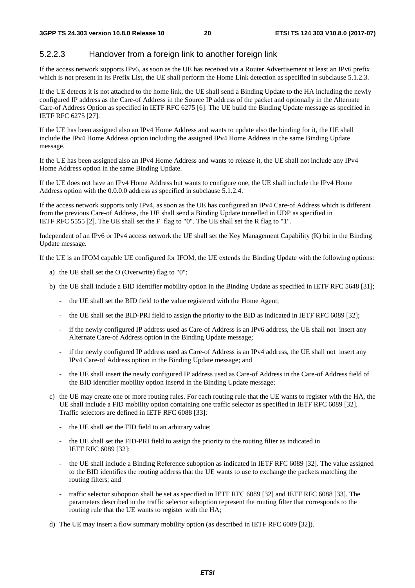#### 5.2.2.3 Handover from a foreign link to another foreign link

If the access network supports IPv6, as soon as the UE has received via a Router Advertisement at least an IPv6 prefix which is not present in its Prefix List, the UE shall perform the Home Link detection as specified in subclause 5.1.2.3.

If the UE detects it is not attached to the home link, the UE shall send a Binding Update to the HA including the newly configured IP address as the Care-of Address in the Source IP address of the packet and optionally in the Alternate Care-of Address Option as specified in IETF RFC 6275 [6]. The UE build the Binding Update message as specified in IETF RFC 6275 [27].

If the UE has been assigned also an IPv4 Home Address and wants to update also the binding for it, the UE shall include the IPv4 Home Address option including the assigned IPv4 Home Address in the same Binding Update message.

If the UE has been assigned also an IPv4 Home Address and wants to release it, the UE shall not include any IPv4 Home Address option in the same Binding Update.

If the UE does not have an IPv4 Home Address but wants to configure one, the UE shall include the IPv4 Home Address option with the 0.0.0.0 address as specified in subclause 5.1.2.4.

If the access network supports only IPv4, as soon as the UE has configured an IPv4 Care-of Address which is different from the previous Care-of Address, the UE shall send a Binding Update tunnelled in UDP as specified in IETF RFC 5555 [2]. The UE shall set the F flag to "0". The UE shall set the R flag to "1".

Independent of an IPv6 or IPv4 access network the UE shall set the Key Management Capability (K) bit in the Binding Update message.

If the UE is an IFOM capable UE configured for IFOM, the UE extends the Binding Update with the following options:

- a) the UE shall set the O (Overwrite) flag to "0";
- b) the UE shall include a BID identifier mobility option in the Binding Update as specified in IETF RFC 5648 [31];
	- the UE shall set the BID field to the value registered with the Home Agent;
	- the UE shall set the BID-PRI field to assign the priority to the BID as indicated in IETF RFC 6089 [32];
	- if the newly configured IP address used as Care-of Address is an IPv6 address, the UE shall not insert any Alternate Care-of Address option in the Binding Update message;
	- if the newly configured IP address used as Care-of Address is an IPv4 address, the UE shall not insert any IPv4 Care-of Address option in the Binding Update message; and
	- the UE shall insert the newly configured IP address used as Care-of Address in the Care-of Address field of the BID identifier mobility option insertd in the Binding Update message;
- c) the UE may create one or more routing rules. For each routing rule that the UE wants to register with the HA, the UE shall include a FID mobility option containing one traffic selector as specified in IETF RFC 6089 [32]. Traffic selectors are defined in IETF RFC 6088 [33]:
	- the UE shall set the FID field to an arbitrary value;
	- the UE shall set the FID-PRI field to assign the priority to the routing filter as indicated in IETF RFC 6089 [32];
	- the UE shall include a Binding Reference suboption as indicated in IETF RFC 6089 [32]. The value assigned to the BID identifies the routing address that the UE wants to use to exchange the packets matching the routing filters; and
	- traffic selector suboption shall be set as specified in IETF RFC 6089 [32] and IETF RFC 6088 [33]. The parameters described in the traffic selector suboption represent the routing filter that corresponds to the routing rule that the UE wants to register with the HA;
- d) The UE may insert a flow summary mobility option (as described in IETF RFC 6089 [32]).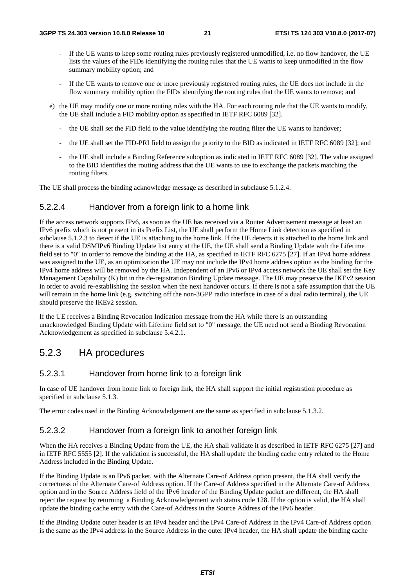- If the UE wants to keep some routing rules previously registered unmodified, i.e. no flow handover, the UE lists the values of the FIDs identifying the routing rules that the UE wants to keep unmodified in the flow summary mobility option; and
- If the UE wants to remove one or more previously registered routing rules, the UE does not include in the flow summary mobility option the FIDs identifying the routing rules that the UE wants to remove; and
- e) the UE may modify one or more routing rules with the HA. For each routing rule that the UE wants to modify, the UE shall include a FID mobility option as specified in IETF RFC 6089 [32].
	- the UE shall set the FID field to the value identifying the routing filter the UE wants to handover;
	- the UE shall set the FID-PRI field to assign the priority to the BID as indicated in IETF RFC 6089 [32]; and
	- the UE shall include a Binding Reference suboption as indicated in IETF RFC 6089 [32]. The value assigned to the BID identifies the routing address that the UE wants to use to exchange the packets matching the routing filters.

The UE shall process the binding acknowledge message as described in subclause 5.1.2.4.

#### 5.2.2.4 Handover from a foreign link to a home link

If the access network supports IPv6, as soon as the UE has received via a Router Advertisement message at least an IPv6 prefix which is not present in its Prefix List, the UE shall perform the Home Link detection as specified in subclause 5.1.2.3 to detect if the UE is attaching to the home link. If the UE detects it is attached to the home link and there is a valid DSMIPv6 Binding Update list entry at the UE, the UE shall send a Binding Update with the Lifetime field set to "0" in order to remove the binding at the HA, as specified in IETF RFC 6275 [27]. If an IPv4 home address was assigned to the UE, as an optimization the UE may not include the IPv4 home address option as the binding for the IPv4 home address will be removed by the HA. Independent of an IPv6 or IPv4 access network the UE shall set the Key Management Capability (K) bit in the de-registration Binding Update message. The UE may preserve the IKEv2 session in order to avoid re-establishing the session when the next handover occurs. If there is not a safe assumption that the UE will remain in the home link (e.g. switching off the non-3GPP radio interface in case of a dual radio terminal), the UE should preserve the IKEv2 session.

If the UE receives a Binding Revocation Indication message from the HA while there is an outstanding unacknowledged Binding Update with Lifetime field set to "0" message, the UE need not send a Binding Revocation Acknowledgement as specified in subclause 5.4.2.1.

#### 5.2.3 HA procedures

#### 5.2.3.1 Handover from home link to a foreign link

In case of UE handover from home link to foreign link, the HA shall support the initial registrstion procedure as specified in subclause 5.1.3.

The error codes used in the Binding Acknowledgement are the same as specified in subclause 5.1.3.2.

#### 5.2.3.2 Handover from a foreign link to another foreign link

When the HA receives a Binding Update from the UE, the HA shall validate it as described in IETF RFC 6275 [27] and in IETF RFC 5555 [2]. If the validation is successful, the HA shall update the binding cache entry related to the Home Address included in the Binding Update.

If the Binding Update is an IPv6 packet, with the Alternate Care-of Address option present, the HA shall verify the correctness of the Alternate Care-of Address option. If the Care-of Address specified in the Alternate Care-of Address option and in the Source Address field of the IPv6 header of the Binding Update packet are different, the HA shall reject the request by returning a Binding Acknowledgement with status code 128. If the option is valid, the HA shall update the binding cache entry with the Care-of Address in the Source Address of the IPv6 header.

If the Binding Update outer header is an IPv4 header and the IPv4 Care-of Address in the IPv4 Care-of Address option is the same as the IPv4 address in the Source Address in the outer IPv4 header, the HA shall update the binding cache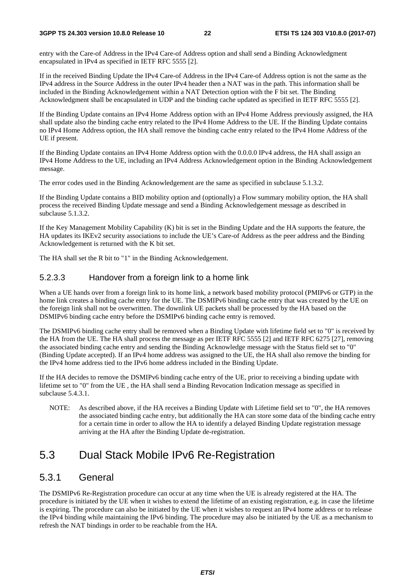entry with the Care-of Address in the IPv4 Care-of Address option and shall send a Binding Acknowledgment encapsulated in IPv4 as specified in IETF RFC 5555 [2].

If in the received Binding Update the IPv4 Care-of Address in the IPv4 Care-of Address option is not the same as the IPv4 address in the Source Address in the outer IPv4 header then a NAT was in the path. This information shall be included in the Binding Acknowledgement within a NAT Detection option with the F bit set. The Binding Acknowledgment shall be encapsulated in UDP and the binding cache updated as specified in IETF RFC 5555 [2].

If the Binding Update contains an IPv4 Home Address option with an IPv4 Home Address previously assigned, the HA shall update also the binding cache entry related to the IPv4 Home Address to the UE. If the Binding Update contains no IPv4 Home Address option, the HA shall remove the binding cache entry related to the IPv4 Home Address of the UE if present.

If the Binding Update contains an IPv4 Home Address option with the 0.0.0.0 IPv4 address, the HA shall assign an IPv4 Home Address to the UE, including an IPv4 Address Acknowledgement option in the Binding Acknowledgement message.

The error codes used in the Binding Acknowledgement are the same as specified in subclause 5.1.3.2.

If the Binding Update contains a BID mobility option and (optionally) a Flow summary mobility option, the HA shall process the received Binding Update message and send a Binding Acknowledgement message as described in subclause 5.1.3.2.

If the Key Management Mobility Capability (K) bit is set in the Binding Update and the HA supports the feature, the HA updates its IKEv2 security associations to include the UE's Care-of Address as the peer address and the Binding Acknowledgement is returned with the K bit set.

The HA shall set the R bit to "1" in the Binding Acknowledgement.

#### 5.2.3.3 Handover from a foreign link to a home link

When a UE hands over from a foreign link to its home link, a network based mobility protocol (PMIPv6 or GTP) in the home link creates a binding cache entry for the UE. The DSMIPv6 binding cache entry that was created by the UE on the foreign link shall not be overwritten. The downlink UE packets shall be processed by the HA based on the DSMIPv6 binding cache entry before the DSMIPv6 binding cache entry is removed.

The DSMIPv6 binding cache entry shall be removed when a Binding Update with lifetime field set to "0" is received by the HA from the UE. The HA shall process the message as per IETF RFC 5555 [2] and IETF RFC 6275 [27], removing the associated binding cache entry and sending the Binding Acknowledge message with the Status field set to "0" (Binding Update accepted). If an IPv4 home address was assigned to the UE, the HA shall also remove the binding for the IPv4 home address tied to the IPv6 home address included in the Binding Update.

If the HA decides to remove the DSMIPv6 binding cache entry of the UE, prior to receiving a binding update with lifetime set to "0" from the UE , the HA shall send a Binding Revocation Indication message as specified in subclause 5.4.3.1.

NOTE: As described above, if the HA receives a Binding Update with Lifetime field set to "0", the HA removes the associated binding cache entry, but additionally the HA can store some data of the binding cache entry for a certain time in order to allow the HA to identify a delayed Binding Update registration message arriving at the HA after the Binding Update de-registration.

### 5.3 Dual Stack Mobile IPv6 Re-Registration

#### 5.3.1 General

The DSMIPv6 Re-Registration procedure can occur at any time when the UE is already registered at the HA. The procedure is initiated by the UE when it wishes to extend the lifetime of an existing registration, e.g. in case the lifetime is expiring. The procedure can also be initiated by the UE when it wishes to request an IPv4 home address or to release the IPv4 binding while maintaining the IPv6 binding. The procedure may also be initiated by the UE as a mechanism to refresh the NAT bindings in order to be reachable from the HA.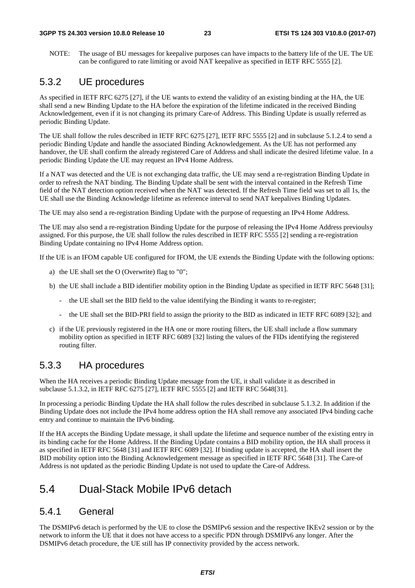NOTE: The usage of BU messages for keepalive purposes can have impacts to the battery life of the UE. The UE can be configured to rate limiting or avoid NAT keepalive as specified in IETF RFC 5555 [2].

#### 5.3.2 UE procedures

As specified in IETF RFC 6275 [27], if the UE wants to extend the validity of an existing binding at the HA, the UE shall send a new Binding Update to the HA before the expiration of the lifetime indicated in the received Binding Acknowledgement, even if it is not changing its primary Care-of Address. This Binding Update is usually referred as periodic Binding Update.

The UE shall follow the rules described in IETF RFC 6275 [27], IETF RFC 5555 [2] and in subclause 5.1.2.4 to send a periodic Binding Update and handle the associated Binding Acknowledgement. As the UE has not performed any handover, the UE shall confirm the already registered Care of Address and shall indicate the desired lifetime value. In a periodic Binding Update the UE may request an IPv4 Home Address.

If a NAT was detected and the UE is not exchanging data traffic, the UE may send a re-registration Binding Update in order to refresh the NAT binding. The Binding Update shall be sent with the interval contained in the Refresh Time field of the NAT detection option received when the NAT was detected. If the Refresh Time field was set to all 1s, the UE shall use the Binding Acknowledge lifetime as reference interval to send NAT keepalives Binding Updates.

The UE may also send a re-registration Binding Update with the purpose of requesting an IPv4 Home Address.

The UE may also send a re-registration Binding Update for the purpose of releasing the IPv4 Home Address previoulsy assigned. For this purpose, the UE shall follow the rules described in IETF RFC 5555 [2] sending a re-registration Binding Update containing no IPv4 Home Address option.

If the UE is an IFOM capable UE configured for IFOM, the UE extends the Binding Update with the following options:

- a) the UE shall set the O (Overwrite) flag to "0";
- b) the UE shall include a BID identifier mobility option in the Binding Update as specified in IETF RFC 5648 [31];
	- the UE shall set the BID field to the value identifying the Binding it wants to re-register;
	- the UE shall set the BID-PRI field to assign the priority to the BID as indicated in IETF RFC 6089 [32]; and
- c) if the UE previously registered in the HA one or more routing filters, the UE shall include a flow summary mobility option as specified in IETF RFC 6089 [32] listing the values of the FIDs identifying the registered routing filter.

#### 5.3.3 HA procedures

When the HA receives a periodic Binding Update message from the UE, it shall validate it as described in subclause 5.1.3.2, in IETF RFC 6275 [27], IETF RFC 5555 [2] and IETF RFC 5648[31].

In processing a periodic Binding Update the HA shall follow the rules described in subclause 5.1.3.2. In addition if the Binding Update does not include the IPv4 home address option the HA shall remove any associated IPv4 binding cache entry and continue to maintain the IPv6 binding.

If the HA accepts the Binding Update message, it shall update the lifetime and sequence number of the existing entry in its binding cache for the Home Address. If the Binding Update contains a BID mobility option, the HA shall process it as specified in IETF RFC 5648 [31] and IETF RFC 6089 [32]. If binding update is accepted, the HA shall insert the BID mobility option into the Binding Acknowledgement message as specified in IETF RFC 5648 [31]. The Care-of Address is not updated as the periodic Binding Update is not used to update the Care-of Address.

### 5.4 Dual-Stack Mobile IPv6 detach

#### 5.4.1 General

The DSMIPv6 detach is performed by the UE to close the DSMIPv6 session and the respective IKEv2 session or by the network to inform the UE that it does not have access to a specific PDN through DSMIPv6 any longer. After the DSMIPv6 detach procedure, the UE still has IP connectivity provided by the access network.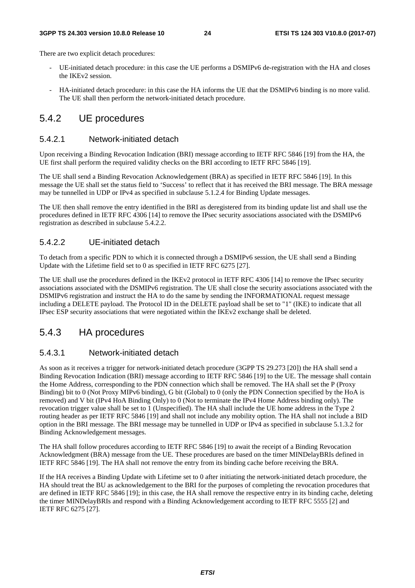There are two explicit detach procedures:

- UE-initiated detach procedure: in this case the UE performs a DSMIPv6 de-registration with the HA and closes the IKEv2 session.
- HA-initiated detach procedure: in this case the HA informs the UE that the DSMIPv6 binding is no more valid. The UE shall then perform the network-initiated detach procedure.

#### 5.4.2 UE procedures

#### 5.4.2.1 Network-initiated detach

Upon receiving a Binding Revocation Indication (BRI) message according to IETF RFC 5846 [19] from the HA, the UE first shall perform the required validity checks on the BRI according to IETF RFC 5846 [19].

The UE shall send a Binding Revocation Acknowledgement (BRA) as specified in IETF RFC 5846 [19]. In this message the UE shall set the status field to 'Success' to reflect that it has received the BRI message. The BRA message may be tunnelled in UDP or IPv4 as specified in subclause 5.1.2.4 for Binding Update messages.

The UE then shall remove the entry identified in the BRI as deregistered from its binding update list and shall use the procedures defined in IETF RFC 4306 [14] to remove the IPsec security associations associated with the DSMIPv6 registration as described in subclause 5.4.2.2.

#### 5.4.2.2 UE-initiated detach

To detach from a specific PDN to which it is connected through a DSMIPv6 session, the UE shall send a Binding Update with the Lifetime field set to 0 as specified in IETF RFC 6275 [27].

The UE shall use the procedures defined in the IKEv2 protocol in IETF RFC 4306 [14] to remove the IPsec security associations associated with the DSMIPv6 registration. The UE shall close the security associations associated with the DSMIPv6 registration and instruct the HA to do the same by sending the INFORMATIONAL request message including a DELETE payload. The Protocol ID in the DELETE payload shall be set to "1" (IKE) to indicate that all IPsec ESP security associations that were negotiated within the IKEv2 exchange shall be deleted.

#### 5.4.3 HA procedures

#### 5.4.3.1 Network-initiated detach

As soon as it receives a trigger for network-initiated detach procedure (3GPP TS 29.273 [20]) the HA shall send a Binding Revocation Indication (BRI) message according to IETF RFC 5846 [19] to the UE. The message shall contain the Home Address, corresponding to the PDN connection which shall be removed. The HA shall set the P (Proxy Binding) bit to 0 (Not Proxy MIPv6 binding), G bit (Global) to 0 (only the PDN Connection specified by the HoA is removed) and V bit (IPv4 HoA Binding Only) to 0 (Not to terminate the IPv4 Home Address binding only). The revocation trigger value shall be set to 1 (Unspecified). The HA shall include the UE home address in the Type 2 routing header as per IETF RFC 5846 [19] and shall not include any mobility option. The HA shall not include a BID option in the BRI message. The BRI message may be tunnelled in UDP or IPv4 as specified in subclause 5.1.3.2 for Binding Acknowledgement messages.

The HA shall follow procedures according to IETF RFC 5846 [19] to await the receipt of a Binding Revocation Acknowledgment (BRA) message from the UE. These procedures are based on the timer MINDelayBRIs defined in IETF RFC 5846 [19]. The HA shall not remove the entry from its binding cache before receiving the BRA.

If the HA receives a Binding Update with Lifetime set to 0 after initiating the network-initiated detach procedure, the HA should treat the BU as acknowledgement to the BRI for the purposes of completing the revocation procedures that are defined in IETF RFC 5846 [19]; in this case, the HA shall remove the respective entry in its binding cache, deleting the timer MINDelayBRIs and respond with a Binding Acknowledgement according to IETF RFC 5555 [2] and IETF RFC 6275 [27].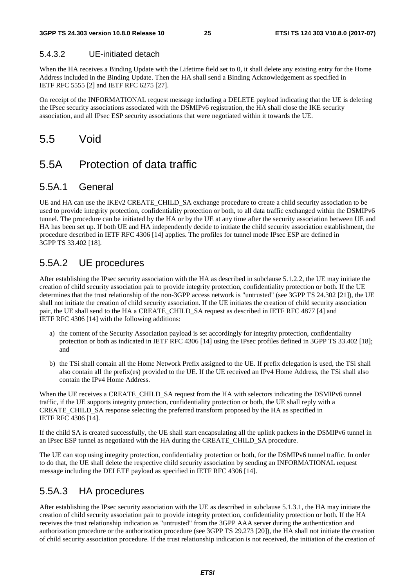#### 5.4.3.2 UE-initiated detach

When the HA receives a Binding Update with the Lifetime field set to 0, it shall delete any existing entry for the Home Address included in the Binding Update. Then the HA shall send a Binding Acknowledgement as specified in IETF RFC 5555 [2] and IETF RFC 6275 [27].

On receipt of the INFORMATIONAL request message including a DELETE payload indicating that the UE is deleting the IPsec security associations associated with the DSMIPv6 registration, the HA shall close the IKE security association, and all IPsec ESP security associations that were negotiated within it towards the UE.

### 5.5 Void

### 5.5A Protection of data traffic

#### 5.5A.1 General

UE and HA can use the IKEv2 CREATE\_CHILD\_SA exchange procedure to create a child security association to be used to provide integrity protection, confidentiality protection or both, to all data traffic exchanged within the DSMIPv6 tunnel. The procedure can be initiated by the HA or by the UE at any time after the security association between UE and HA has been set up. If both UE and HA independently decide to initiate the child security association establishment, the procedure described in IETF RFC 4306 [14] applies. The profiles for tunnel mode IPsec ESP are defined in 3GPP TS 33.402 [18].

### 5.5A.2 UE procedures

After establishing the IPsec security association with the HA as described in subclause 5.1.2.2, the UE may initiate the creation of child security association pair to provide integrity protection, confidentiality protection or both. If the UE determines that the trust relationship of the non-3GPP access network is "untrusted" (see 3GPP TS 24.302 [21]), the UE shall not initiate the creation of child security association. If the UE initiates the creation of child security association pair, the UE shall send to the HA a CREATE\_CHILD\_SA request as described in IETF RFC 4877 [4] and IETF RFC 4306 [14] with the following additions:

- a) the content of the Security Association payload is set accordingly for integrity protection, confidentiality protection or both as indicated in IETF RFC 4306 [14] using the IPsec profiles defined in 3GPP TS 33.402 [18]; and
- b) the TSi shall contain all the Home Network Prefix assigned to the UE. If prefix delegation is used, the TSi shall also contain all the prefix(es) provided to the UE. If the UE received an IPv4 Home Address, the TSi shall also contain the IPv4 Home Address.

When the UE receives a CREATE\_CHILD\_SA request from the HA with selectors indicating the DSMIPv6 tunnel traffic, if the UE supports integrity protection, confidentiality protection or both, the UE shall reply with a CREATE\_CHILD\_SA response selecting the preferred transform proposed by the HA as specified in IETF RFC 4306 [14].

If the child SA is created successfully, the UE shall start encapsulating all the uplink packets in the DSMIPv6 tunnel in an IPsec ESP tunnel as negotiated with the HA during the CREATE\_CHILD\_SA procedure.

The UE can stop using integrity protection, confidentiality protection or both, for the DSMIPv6 tunnel traffic. In order to do that, the UE shall delete the respective child security association by sending an INFORMATIONAL request message including the DELETE payload as specified in IETF RFC 4306 [14].

#### 5.5A.3 HA procedures

After establishing the IPsec security association with the UE as described in subclause 5.1.3.1, the HA may initiate the creation of child security association pair to provide integrity protection, confidentiality protection or both. If the HA receives the trust relationship indication as "untrusted" from the 3GPP AAA server during the authentication and authorization procedure or the authorization procedure (see 3GPP TS 29.273 [20]), the HA shall not initiate the creation of child security association procedure. If the trust relationship indication is not received, the initiation of the creation of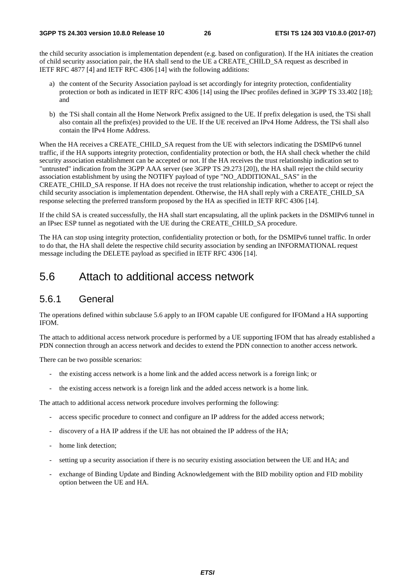the child security association is implementation dependent (e.g. based on configuration). If the HA initiates the creation of child security association pair, the HA shall send to the UE a CREATE\_CHILD\_SA request as described in IETF RFC 4877 [4] and IETF RFC 4306 [14] with the following additions:

- a) the content of the Security Association payload is set accordingly for integrity protection, confidentiality protection or both as indicated in IETF RFC 4306 [14] using the IPsec profiles defined in 3GPP TS 33.402 [18]; and
- b) the TSi shall contain all the Home Network Prefix assigned to the UE. If prefix delegation is used, the TSi shall also contain all the prefix(es) provided to the UE. If the UE received an IPv4 Home Address, the TSi shall also contain the IPv4 Home Address.

When the HA receives a CREATE\_CHILD\_SA request from the UE with selectors indicating the DSMIPv6 tunnel traffic, if the HA supports integrity protection, confidentiality protection or both, the HA shall check whether the child security association establishment can be accepted or not. If the HA receives the trust relationship indication set to "untrusted" indication from the 3GPP AAA server (see 3GPP TS 29.273 [20]), the HA shall reject the child security association establishment by using the NOTIFY payload of type "NO\_ADDITIONAL\_SAS" in the CREATE\_CHILD\_SA response. If HA does not receive the trust relationship indication, whether to accept or reject the child security association is implementation dependent. Otherwise, the HA shall reply with a CREATE\_CHILD\_SA response selecting the preferred transform proposed by the HA as specified in IETF RFC 4306 [14].

If the child SA is created successfully, the HA shall start encapsulating, all the uplink packets in the DSMIPv6 tunnel in an IPsec ESP tunnel as negotiated with the UE during the CREATE\_CHILD\_SA procedure.

The HA can stop using integrity protection, confidentiality protection or both, for the DSMIPv6 tunnel traffic. In order to do that, the HA shall delete the respective child security association by sending an INFORMATIONAL request message including the DELETE payload as specified in IETF RFC 4306 [14].

### 5.6 Attach to additional access network

#### 5.6.1 General

The operations defined within subclause 5.6 apply to an IFOM capable UE configured for IFOMand a HA supporting IFOM.

The attach to additional access network procedure is performed by a UE supporting IFOM that has already established a PDN connection through an access network and decides to extend the PDN connection to another access network.

There can be two possible scenarios:

- the existing access network is a home link and the added access network is a foreign link; or
- the existing access network is a foreign link and the added access network is a home link.

The attach to additional access network procedure involves performing the following:

- access specific procedure to connect and configure an IP address for the added access network;
- discovery of a HA IP address if the UE has not obtained the IP address of the HA;
- home link detection:
- setting up a security association if there is no security existing association between the UE and HA; and
- exchange of Binding Update and Binding Acknowledgement with the BID mobility option and FID mobility option between the UE and HA.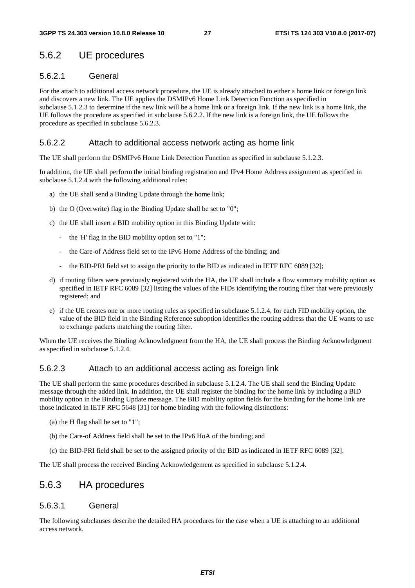### 5.6.2 UE procedures

#### 5.6.2.1 General

For the attach to additional access network procedure, the UE is already attached to either a home link or foreign link and discovers a new link. The UE applies the DSMIPv6 Home Link Detection Function as specified in subclause 5.1.2.3 to determine if the new link will be a home link or a foreign link. If the new link is a home link, the UE follows the procedure as specified in subclause 5.6.2.2. If the new link is a foreign link, the UE follows the procedure as specified in subclause 5.6.2.3.

#### 5.6.2.2 Attach to additional access network acting as home link

The UE shall perform the DSMIPv6 Home Link Detection Function as specified in subclause 5.1.2.3.

In addition, the UE shall perform the initial binding registration and IPv4 Home Address assignment as specified in subclause 5.1.2.4 with the following additional rules:

- a) the UE shall send a Binding Update through the home link;
- b) the O (Overwrite) flag in the Binding Update shall be set to "0";
- c) the UE shall insert a BID mobility option in this Binding Update with:
	- the 'H' flag in the BID mobility option set to "1";
	- the Care-of Address field set to the IPv6 Home Address of the binding; and
	- the BID-PRI field set to assign the priority to the BID as indicated in IETF RFC 6089 [32];
- d) if routing filters were previously registered with the HA, the UE shall include a flow summary mobility option as specified in IETF RFC 6089 [32] listing the values of the FIDs identifying the routing filter that were previously registered; and
- e) if the UE creates one or more routing rules as specified in subclause 5.1.2.4, for each FID mobility option, the value of the BID field in the Binding Reference suboption identifies the routing address that the UE wants to use to exchange packets matching the routing filter.

When the UE receives the Binding Acknowledgment from the HA, the UE shall process the Binding Acknowledgment as specified in subclause 5.1.2.4.

#### 5.6.2.3 Attach to an additional access acting as foreign link

The UE shall perform the same procedures described in subclause 5.1.2.4. The UE shall send the Binding Update message through the added link. In addition, the UE shall register the binding for the home link by including a BID mobility option in the Binding Update message. The BID mobility option fields for the binding for the home link are those indicated in IETF RFC 5648 [31] for home binding with the following distinctions:

- (a) the H flag shall be set to "1";
- (b) the Care-of Address field shall be set to the IPv6 HoA of the binding; and
- (c) the BID-PRI field shall be set to the assigned priority of the BID as indicated in IETF RFC 6089 [32].

The UE shall process the received Binding Acknowledgement as specified in subclause 5.1.2.4.

#### 5.6.3 HA procedures

#### 5.6.3.1 General

The following subclauses describe the detailed HA procedures for the case when a UE is attaching to an additional access network.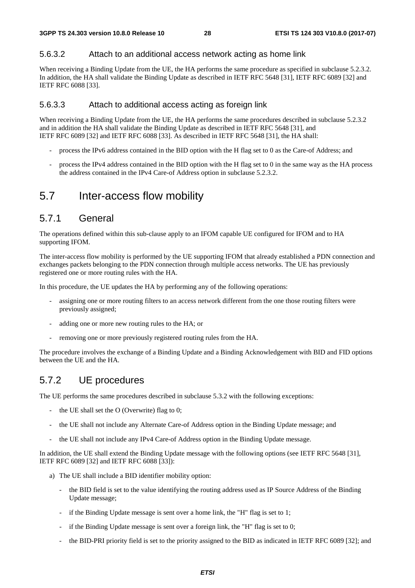#### 5.6.3.2 Attach to an additional access network acting as home link

When receiving a Binding Update from the UE, the HA performs the same procedure as specified in subclause 5.2.3.2. In addition, the HA shall validate the Binding Update as described in IETF RFC 5648 [31], IETF RFC 6089 [32] and IETF RFC 6088 [33].

#### 5.6.3.3 Attach to additional access acting as foreign link

When receiving a Binding Update from the UE, the HA performs the same procedures described in subclause 5.2.3.2 and in addition the HA shall validate the Binding Update as described in IETF RFC 5648 [31], and IETF RFC 6089 [32] and IETF RFC 6088 [33]. As described in IETF RFC 5648 [31], the HA shall:

- process the IPv6 address contained in the BID option with the H flag set to 0 as the Care-of Address; and
- process the IPv4 address contained in the BID option with the H flag set to 0 in the same way as the HA process the address contained in the IPv4 Care-of Address option in subclause 5.2.3.2.

### 5.7 Inter-access flow mobility

#### 5.7.1 General

The operations defined within this sub-clause apply to an IFOM capable UE configured for IFOM and to HA supporting IFOM.

The inter-access flow mobility is performed by the UE supporting IFOM that already established a PDN connection and exchanges packets belonging to the PDN connection through multiple access networks. The UE has previously registered one or more routing rules with the HA.

In this procedure, the UE updates the HA by performing any of the following operations:

- assigning one or more routing filters to an access network different from the one those routing filters were previously assigned;
- adding one or more new routing rules to the HA; or
- removing one or more previously registered routing rules from the HA.

The procedure involves the exchange of a Binding Update and a Binding Acknowledgement with BID and FID options between the UE and the HA.

### 5.7.2 UE procedures

The UE performs the same procedures described in subclause 5.3.2 with the following exceptions:

- the UE shall set the  $O$  (Overwrite) flag to 0;
- the UE shall not include any Alternate Care-of Address option in the Binding Update message; and
- the UE shall not include any IPv4 Care-of Address option in the Binding Update message.

In addition, the UE shall extend the Binding Update message with the following options (see IETF RFC 5648 [31], IETF RFC 6089 [32] and IETF RFC 6088 [33]):

- a) The UE shall include a BID identifier mobility option:
	- the BID field is set to the value identifying the routing address used as IP Source Address of the Binding Update message;
	- if the Binding Update message is sent over a home link, the "H" flag is set to 1;
	- if the Binding Update message is sent over a foreign link, the "H" flag is set to  $0$ ;
	- the BID-PRI priority field is set to the priority assigned to the BID as indicated in IETF RFC 6089 [32]; and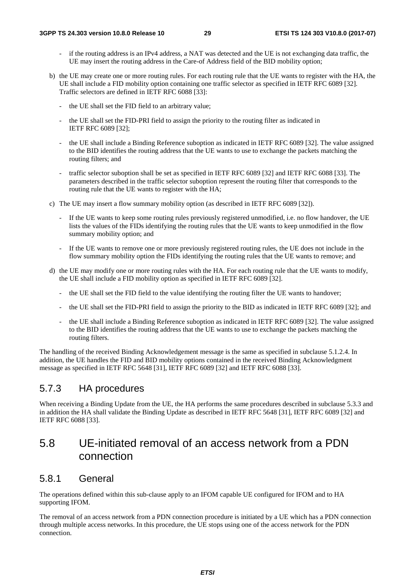- if the routing address is an IPv4 address, a NAT was detected and the UE is not exchanging data traffic, the UE may insert the routing address in the Care-of Address field of the BID mobility option;
- b) the UE may create one or more routing rules. For each routing rule that the UE wants to register with the HA, the UE shall include a FID mobility option containing one traffic selector as specified in IETF RFC 6089 [32]. Traffic selectors are defined in IETF RFC 6088 [33]:
	- the UE shall set the FID field to an arbitrary value:
	- the UE shall set the FID-PRI field to assign the priority to the routing filter as indicated in IETF RFC 6089 [32];
	- the UE shall include a Binding Reference suboption as indicated in IETF RFC 6089 [32]. The value assigned to the BID identifies the routing address that the UE wants to use to exchange the packets matching the routing filters; and
	- traffic selector suboption shall be set as specified in IETF RFC 6089 [32] and IETF RFC 6088 [33]. The parameters described in the traffic selector suboption represent the routing filter that corresponds to the routing rule that the UE wants to register with the HA;
- c) The UE may insert a flow summary mobility option (as described in IETF RFC 6089 [32]).
	- If the UE wants to keep some routing rules previously registered unmodified, i.e. no flow handover, the UE lists the values of the FIDs identifying the routing rules that the UE wants to keep unmodified in the flow summary mobility option; and
	- If the UE wants to remove one or more previously registered routing rules, the UE does not include in the flow summary mobility option the FIDs identifying the routing rules that the UE wants to remove; and
- d) the UE may modify one or more routing rules with the HA. For each routing rule that the UE wants to modify, the UE shall include a FID mobility option as specified in IETF RFC 6089 [32].
	- the UE shall set the FID field to the value identifying the routing filter the UE wants to handover;
	- the UE shall set the FID-PRI field to assign the priority to the BID as indicated in IETF RFC 6089 [32]; and
	- the UE shall include a Binding Reference suboption as indicated in IETF RFC 6089 [32]. The value assigned to the BID identifies the routing address that the UE wants to use to exchange the packets matching the routing filters.

The handling of the received Binding Acknowledgement message is the same as specified in subclause 5.1.2.4. In addition, the UE handles the FID and BID mobility options contained in the received Binding Acknowledgment message as specified in IETF RFC 5648 [31], IETF RFC 6089 [32] and IETF RFC 6088 [33].

### 5.7.3 HA procedures

When receiving a Binding Update from the UE, the HA performs the same procedures described in subclause 5.3.3 and in addition the HA shall validate the Binding Update as described in IETF RFC 5648 [31], IETF RFC 6089 [32] and IETF RFC 6088 [33].

### 5.8 UE-initiated removal of an access network from a PDN connection

#### 5.8.1 General

The operations defined within this sub-clause apply to an IFOM capable UE configured for IFOM and to HA supporting IFOM.

The removal of an access network from a PDN connection procedure is initiated by a UE which has a PDN connection through multiple access networks. In this procedure, the UE stops using one of the access network for the PDN connection.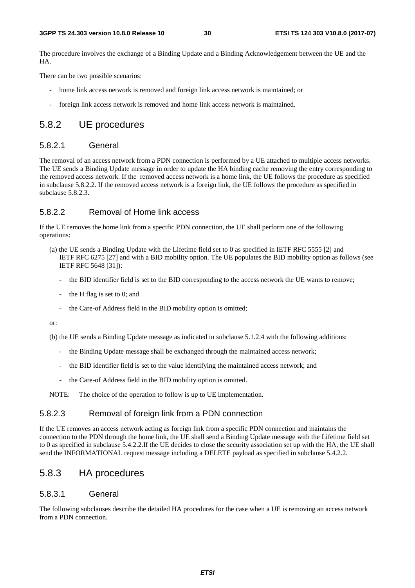The procedure involves the exchange of a Binding Update and a Binding Acknowledgement between the UE and the HA.

There can be two possible scenarios:

- home link access network is removed and foreign link access network is maintained; or
- foreign link access network is removed and home link access network is maintained.

#### 5.8.2 UE procedures

#### 5.8.2.1 General

The removal of an access network from a PDN connection is performed by a UE attached to multiple access networks. The UE sends a Binding Update message in order to update the HA binding cache removing the entry corresponding to the removed access network. If the removed access network is a home link, the UE follows the procedure as specified in subclause 5.8.2.2. If the removed access network is a foreign link, the UE follows the procedure as specified in subclause 5.8.2.3.

#### 5.8.2.2 Removal of Home link access

If the UE removes the home link from a specific PDN connection, the UE shall perform one of the following operations:

- (a) the UE sends a Binding Update with the Lifetime field set to 0 as specified in IETF RFC 5555 [2] and IETF RFC 6275 [27] and with a BID mobility option. The UE populates the BID mobility option as follows (see IETF RFC 5648 [31]):
	- the BID identifier field is set to the BID corresponding to the access network the UE wants to remove;
	- the H flag is set to  $0$ ; and
	- the Care-of Address field in the BID mobility option is omitted;

or:

(b) the UE sends a Binding Update message as indicated in subclause 5.1.2.4 with the following additions:

- the Binding Update message shall be exchanged through the maintained access network;
- the BID identifier field is set to the value identifying the maintained access network; and
- the Care-of Address field in the BID mobility option is omitted.

NOTE: The choice of the operation to follow is up to UE implementation.

#### 5.8.2.3 Removal of foreign link from a PDN connection

If the UE removes an access network acting as foreign link from a specific PDN connection and maintains the connection to the PDN through the home link, the UE shall send a Binding Update message with the Lifetime field set to 0 as specified in subclause 5.4.2.2.If the UE decides to close the security association set up with the HA, the UE shall send the INFORMATIONAL request message including a DELETE payload as specified in subclause 5.4.2.2.

#### 5.8.3 HA procedures

#### 5.8.3.1 General

The following subclauses describe the detailed HA procedures for the case when a UE is removing an access network from a PDN connection.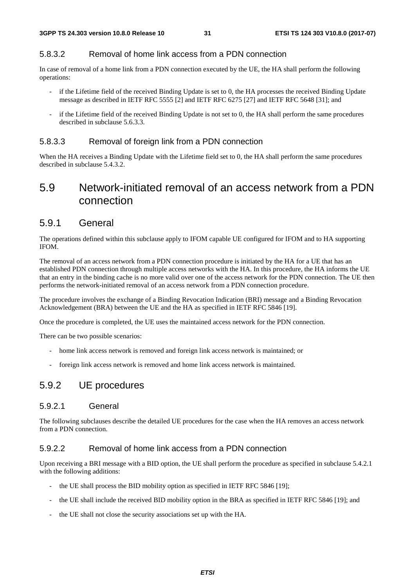#### 5.8.3.2 Removal of home link access from a PDN connection

In case of removal of a home link from a PDN connection executed by the UE, the HA shall perform the following operations:

- if the Lifetime field of the received Binding Update is set to 0, the HA processes the received Binding Update message as described in IETF RFC 5555 [2] and IETF RFC 6275 [27] and IETF RFC 5648 [31]; and
- if the Lifetime field of the received Binding Update is not set to 0, the HA shall perform the same procedures described in subclause 5.6.3.3.

#### 5.8.3.3 Removal of foreign link from a PDN connection

When the HA receives a Binding Update with the Lifetime field set to 0, the HA shall perform the same procedures described in subclause 5.4.3.2.

### 5.9 Network-initiated removal of an access network from a PDN connection

#### 5.9.1 General

The operations defined within this subclause apply to IFOM capable UE configured for IFOM and to HA supporting IFOM.

The removal of an access network from a PDN connection procedure is initiated by the HA for a UE that has an established PDN connection through multiple access networks with the HA. In this procedure, the HA informs the UE that an entry in the binding cache is no more valid over one of the access network for the PDN connection. The UE then performs the network-initiated removal of an access network from a PDN connection procedure.

The procedure involves the exchange of a Binding Revocation Indication (BRI) message and a Binding Revocation Acknowledgement (BRA) between the UE and the HA as specified in IETF RFC 5846 [19].

Once the procedure is completed, the UE uses the maintained access network for the PDN connection.

There can be two possible scenarios:

- home link access network is removed and foreign link access network is maintained; or
- foreign link access network is removed and home link access network is maintained.

### 5.9.2 UE procedures

#### 5.9.2.1 General

The following subclauses describe the detailed UE procedures for the case when the HA removes an access network from a PDN connection.

#### 5.9.2.2 Removal of home link access from a PDN connection

Upon receiving a BRI message with a BID option, the UE shall perform the procedure as specified in subclause 5.4.2.1 with the following additions:

- the UE shall process the BID mobility option as specified in IETF RFC 5846 [19];
- the UE shall include the received BID mobility option in the BRA as specified in IETF RFC 5846 [19]; and
- the UE shall not close the security associations set up with the HA.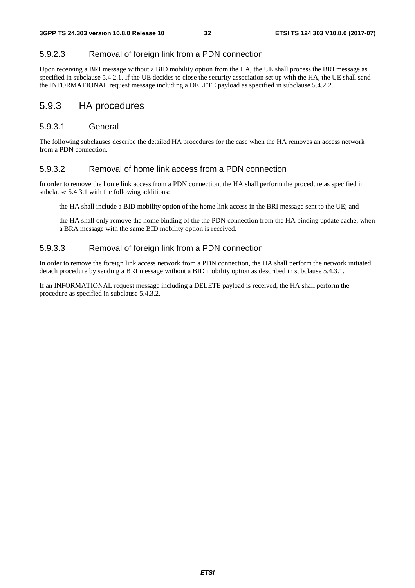#### 5.9.2.3 Removal of foreign link from a PDN connection

Upon receiving a BRI message without a BID mobility option from the HA, the UE shall process the BRI message as specified in subclause 5.4.2.1. If the UE decides to close the security association set up with the HA, the UE shall send the INFORMATIONAL request message including a DELETE payload as specified in subclause 5.4.2.2.

#### 5.9.3 HA procedures

#### 5.9.3.1 General

The following subclauses describe the detailed HA procedures for the case when the HA removes an access network from a PDN connection.

#### 5.9.3.2 Removal of home link access from a PDN connection

In order to remove the home link access from a PDN connection, the HA shall perform the procedure as specified in subclause 5.4.3.1 with the following additions:

- the HA shall include a BID mobility option of the home link access in the BRI message sent to the UE; and
- the HA shall only remove the home binding of the the PDN connection from the HA binding update cache, when a BRA message with the same BID mobility option is received.

#### 5.9.3.3 Removal of foreign link from a PDN connection

In order to remove the foreign link access network from a PDN connection, the HA shall perform the network initiated detach procedure by sending a BRI message without a BID mobility option as described in subclause 5.4.3.1.

If an INFORMATIONAL request message including a DELETE payload is received, the HA shall perform the procedure as specified in subclause 5.4.3.2.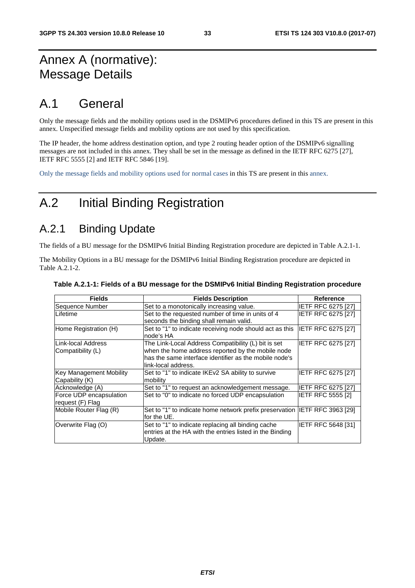# Annex A (normative): Message Details

# A.1 General

Only the message fields and the mobility options used in the DSMIPv6 procedures defined in this TS are present in this annex. Unspecified message fields and mobility options are not used by this specification.

The IP header, the home address destination option, and type 2 routing header option of the DSMIPv6 signalling messages are not included in this annex. They shall be set in the message as defined in the IETF RFC 6275 [27], IETF RFC 5555 [2] and IETF RFC 5846 [19].

Only the message fields and mobility options used for normal cases in this TS are present in this annex.

# A.2 Initial Binding Registration

### A.2.1 Binding Update

The fields of a BU message for the DSMIPv6 Initial Binding Registration procedure are depicted in Table A.2.1-1.

The Mobility Options in a BU message for the DSMIPv6 Initial Binding Registration procedure are depicted in Table A.2.1-2.

| <b>Fields</b>                  | <b>Fields Description</b>                                                  | Reference                 |
|--------------------------------|----------------------------------------------------------------------------|---------------------------|
| Sequence Number                | Set to a monotonically increasing value.                                   | <b>IETF RFC 6275 [27]</b> |
| ILifetime                      | Set to the requested number of time in units of 4                          | <b>IETF RFC 6275 [27]</b> |
|                                | seconds the binding shall remain valid.                                    |                           |
| Home Registration (H)          | Set to "1" to indicate receiving node should act as this                   | <b>IETF RFC 6275 [27]</b> |
|                                | node's HA                                                                  |                           |
| ILink-local Address            | The Link-Local Address Compatibility (L) bit is set                        | IETF RFC 6275 [27]        |
| Compatibility (L)              | when the home address reported by the mobile node                          |                           |
|                                | has the same interface identifier as the mobile node's                     |                           |
|                                | link-local address.                                                        |                           |
| <b>Key Management Mobility</b> | Set to "1" to indicate IKEv2 SA ability to survive                         | <b>IETF RFC 6275 [27]</b> |
| Capability (K)                 | mobility                                                                   |                           |
| Acknowledge (A)                | Set to "1" to request an acknowledgement message.                          | <b>IETF RFC 6275 [27]</b> |
| Force UDP encapsulation        | Set to "0" to indicate no forced UDP encapsulation                         | <b>IETF RFC 5555 [2]</b>  |
| request (F) Flag               |                                                                            |                           |
| Mobile Router Flag (R)         | Set to "1" to indicate home network prefix preservation IETF RFC 3963 [29] |                           |
|                                | for the UE.                                                                |                           |
| Overwrite Flag (O)             | Set to "1" to indicate replacing all binding cache                         | IETF RFC 5648 [31]        |
|                                | entries at the HA with the entries listed in the Binding<br>Update.        |                           |

#### **Table A.2.1-1: Fields of a BU message for the DSMIPv6 Initial Binding Registration procedure**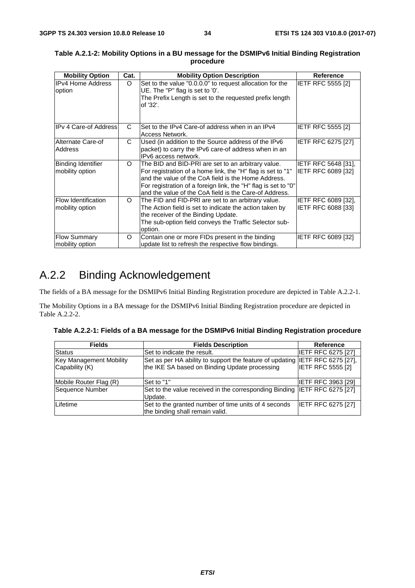| <b>Mobility Option</b>                        | Cat. | <b>Mobility Option Description</b>                                                                                                                                                                                                                                                                   | <b>Reference</b>                                 |
|-----------------------------------------------|------|------------------------------------------------------------------------------------------------------------------------------------------------------------------------------------------------------------------------------------------------------------------------------------------------------|--------------------------------------------------|
| <b>IPv4 Home Address</b><br>option            | O    | Set to the value "0.0.0.0" to request allocation for the<br>UE. The "P" flag is set to '0'.<br>The Prefix Length is set to the requested prefix length<br>of '32'.                                                                                                                                   | <b>IETF RFC 5555 [2]</b>                         |
| <b>IPv 4 Care-of Address</b>                  | C.   | Set to the IPv4 Care-of address when in an IPv4<br>Access Network.                                                                                                                                                                                                                                   | <b>IETF RFC 5555 [2]</b>                         |
| Alternate Care-of<br><b>Address</b>           | C    | Used (in addition to the Source address of the IPv6<br>packet) to carry the IPv6 care-of address when in an<br>IPv6 access network.                                                                                                                                                                  | <b>IETF RFC 6275 [27]</b>                        |
| <b>Binding Identifier</b><br>mobility option  | O    | The BID and BID-PRI are set to an arbitrary value.<br>For registration of a home link, the "H" flag is set to "1"<br>and the value of the CoA field is the Home Address.<br>For registration of a foreign link, the "H" flag is set to "0"<br>and the value of the CoA field is the Care-of Address. | <b>IETF RFC 5648 [31].</b><br>IETF RFC 6089 [32] |
| <b>Flow Identification</b><br>mobility option | O    | The FID and FID-PRI are set to an arbitrary value.<br>The Action field is set to indicate the action taken by<br>the receiver of the Binding Update.<br>The sub-option field conveys the Traffic Selector sub-<br>option.                                                                            | <b>IETF RFC 6089 [32].</b><br>IETF RFC 6088 [33] |
| <b>Flow Summary</b><br>mobility option        | O    | Contain one or more FIDs present in the binding<br>update list to refresh the respective flow bindings.                                                                                                                                                                                              | <b>IETF RFC 6089 [32]</b>                        |

#### **Table A.2.1-2: Mobility Options in a BU message for the DSMIPv6 Initial Binding Registration procedure**

# A.2.2 Binding Acknowledgement

The fields of a BA message for the DSMIPv6 Initial Binding Registration procedure are depicted in Table A.2.2-1.

The Mobility Options in a BA message for the DSMIPv6 Initial Binding Registration procedure are depicted in Table A.2.2-2.

|  | Table A.2.2-1: Fields of a BA message for the DSMIPv6 Initial Binding Registration procedure |  |
|--|----------------------------------------------------------------------------------------------|--|
|  |                                                                                              |  |

| <b>Fields</b>                                    | <b>Fields Description</b>                                                                                                     | <b>Reference</b>          |
|--------------------------------------------------|-------------------------------------------------------------------------------------------------------------------------------|---------------------------|
| <b>Status</b>                                    | Set to indicate the result.                                                                                                   | <b>IETF RFC 6275 [27]</b> |
| <b>Key Management Mobility</b><br>Capability (K) | Set as per HA ability to support the feature of updating IETF RFC 6275 [27],<br>the IKE SA based on Binding Update processing | <b>IETF RFC 5555 [2]</b>  |
| Mobile Router Flag (R)                           | Set to "1"                                                                                                                    | <b>IETF RFC 3963 [29]</b> |
| Sequence Number                                  | Set to the value received in the corresponding Binding IETF RFC 6275 [27]<br>Update.                                          |                           |
| Lifetime                                         | Set to the granted number of time units of 4 seconds<br>the binding shall remain valid.                                       | <b>IETF RFC 6275 [27]</b> |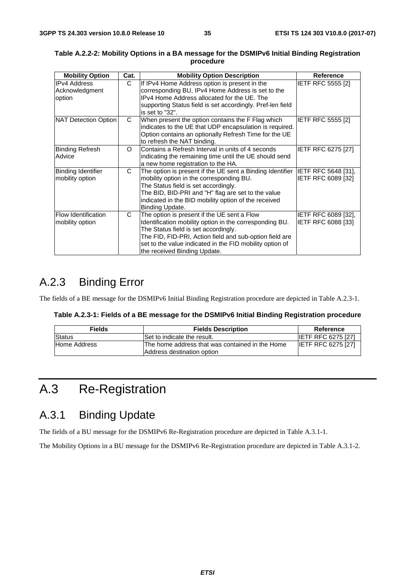| <b>Mobility Option</b>                          | Cat. | <b>Mobility Option Description</b>                                                                                                                                                                                                                                                                    | Reference                                 |
|-------------------------------------------------|------|-------------------------------------------------------------------------------------------------------------------------------------------------------------------------------------------------------------------------------------------------------------------------------------------------------|-------------------------------------------|
| <b>IPv4 Address</b><br>Acknowledgment<br>option | C    | If IPv4 Home Address option is present in the<br>corresponding BU, IPv4 Home Address is set to the<br>IPv4 Home Address allocated for the UE. The<br>supporting Status field is set accordingly. Pref-len field<br>is set to "32".                                                                    | <b>IETF RFC 5555 [2]</b>                  |
| NAT Detection Option                            | C    | When present the option contains the F Flag which<br>indicates to the UE that UDP encapsulation is required.<br>Option contains an optionally Refresh Time for the UE<br>to refresh the NAT binding.                                                                                                  | <b>IETF RFC 5555 [2]</b>                  |
| <b>Binding Refresh</b><br>Advice                | O    | Contains a Refresh Interval in units of 4 seconds<br>indicating the remaining time until the UE should send<br>a new home registration to the HA.                                                                                                                                                     | IETF RFC 6275 [27]                        |
| <b>Binding Identifier</b><br>mobility option    | C    | The option is present if the UE sent a Binding Identifier<br>mobility option in the corresponding BU.<br>The Status field is set accordingly.<br>The BID, BID-PRI and "H" flag are set to the value<br>indicated in the BID mobility option of the received<br>Binding Update.                        | IETF RFC 5648 [31],<br>IETF RFC 6089 [32] |
| <b>Flow Identification</b><br>mobility option   | C    | The option is present if the UE sent a Flow<br>Identification mobility option in the corresponding BU.<br>The Status field is set accordingly.<br>The FID, FID-PRI, Action field and sub-option field are<br>set to the value indicated in the FID mobility option of<br>the received Binding Update. | IETF RFC 6089 [32],<br>IETF RFC 6088 [33] |

#### **Table A.2.2-2: Mobility Options in a BA message for the DSMIPv6 Initial Binding Registration procedure**

# A.2.3 Binding Error

The fields of a BE message for the DSMIPv6 Initial Binding Registration procedure are depicted in Table A.2.3-1.

| Table A.2.3-1: Fields of a BE message for the DSMIPv6 Initial Binding Registration procedure |  |  |
|----------------------------------------------------------------------------------------------|--|--|
|----------------------------------------------------------------------------------------------|--|--|

| <b>Fields</b> | <b>Fields Description</b>                                                      | Reference                 |
|---------------|--------------------------------------------------------------------------------|---------------------------|
| <b>Status</b> | Set to indicate the result.                                                    | <b>IETF RFC 6275 [27]</b> |
| Home Address  | IThe home address that was contained in the Home<br>Address destination option | <b>IETF RFC 6275 [27]</b> |

# A.3 Re-Registration

### A.3.1 Binding Update

The fields of a BU message for the DSMIPv6 Re-Registration procedure are depicted in Table A.3.1-1.

The Mobility Options in a BU message for the DSMIPv6 Re-Registration procedure are depicted in Table A.3.1-2.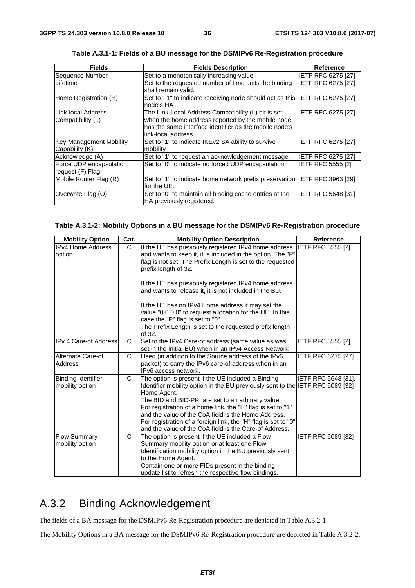| <b>Fields</b>           | <b>Fields Description</b>                                                   | <b>Reference</b>          |
|-------------------------|-----------------------------------------------------------------------------|---------------------------|
| Sequence Number         | Set to a monotonically increasing value.                                    | <b>IETF RFC 6275 [27]</b> |
| Lifetime                | Set to the requested number of time units the binding                       | IETF RFC 6275 [27]        |
|                         | shall remain valid.                                                         |                           |
| Home Registration (H)   | Set to "1" to indicate receiving node should act as this IETF RFC 6275 [27] |                           |
|                         | node's HA                                                                   |                           |
| Link-local Address      | The Link-Local Address Compatibility (L) bit is set                         | IETF RFC 6275 [27]        |
| Compatibility (L)       | when the home address reported by the mobile node                           |                           |
|                         | has the same interface identifier as the mobile node's                      |                           |
|                         | link-local address.                                                         |                           |
| Key Management Mobility | Set to "1" to indicate IKEv2 SA ability to survive                          | IETF RFC 6275 [27]        |
| Capability (K)          | mobility                                                                    |                           |
| Acknowledge (A)         | Set to "1" to request an acknowledgement message.                           | IETF RFC 6275 [27]        |
| Force UDP encapsulation | Set to "0" to indicate no forced UDP encapsulation                          | <b>IETF RFC 5555 [2]</b>  |
| request (F) Flag        |                                                                             |                           |
| Mobile Router Flag (R)  | Set to "1" to indicate home network prefix preservation IETF RFC 3963 [29]  |                           |
|                         | for the UE.                                                                 |                           |
| Overwrite Flag (O)      | Set to "0" to maintain all binding cache entries at the                     | IETF RFC 5648 [31]        |
|                         | HA previously registered.                                                   |                           |

**Table A.3.1-1: Fields of a BU message for the DSMIPv6 Re-Registration procedure** 

#### **Table A.3.1-2: Mobility Options in a BU message for the DSMIPv6 Re-Registration procedure**

| <b>Mobility Option</b>                       | Cat.         | <b>Mobility Option Description</b>                                                                                                                                                                                                                                                           | <b>Reference</b>         |
|----------------------------------------------|--------------|----------------------------------------------------------------------------------------------------------------------------------------------------------------------------------------------------------------------------------------------------------------------------------------------|--------------------------|
| <b>IPv4 Home Address</b><br>option           | C.           | If the UE has previously registered IPv4 home address<br>and wants to keep it, it is included in the option. The "P"<br>flag is not set. The Prefix Length is set to the requested                                                                                                           | <b>IETF RFC 5555 [2]</b> |
|                                              |              | prefix length of 32.                                                                                                                                                                                                                                                                         |                          |
|                                              |              | If the UE has previously registered IPv4 home address<br>and wants to release it, it is not included in the BU.                                                                                                                                                                              |                          |
|                                              |              | If the UE has no IPv4 Home address it may set the<br>value "0.0.0.0" to request allocation for the UE. In this<br>case the "P" flag is set to "0".                                                                                                                                           |                          |
|                                              |              | The Prefix Length is set to the requested prefix length<br>of 32.                                                                                                                                                                                                                            |                          |
| <b>IPv 4 Care-of Address</b>                 | C            | Set to the IPv4 Care-of address (same value as was<br>set in the Initial BU) when in an IPv4 Access Network                                                                                                                                                                                  | <b>IETF RFC 5555 [2]</b> |
| Alternate Care-of<br>Address                 | $\mathsf{C}$ | Used (in addition to the Source address of the IPv6<br>packet) to carry the IPv6 care-of address when in an<br>IPv6 access network.                                                                                                                                                          | IETF RFC 6275 [27]       |
| <b>Binding Identifier</b><br>mobility option | C            | The option is present if the UE included a Binding<br>Identifier mobility option in the BU previously sent to the IETF RFC 6089 [32]<br>Home Agent.<br>The BID and BID-PRI are set to an arbitrary value.<br>For registration of a home link, the "H" flag is set to "1"                     | IETF RFC 5648 [31],      |
|                                              |              | and the value of the CoA field is the Home Address.<br>For registration of a foreign link, the "H" flag is set to "0"<br>and the value of the CoA field is the Care-of Address.                                                                                                              |                          |
| <b>Flow Summary</b><br>mobility option       | C            | The option is present if the UE included a Flow<br>Summary mobility option or at least one Flow<br>Identification mobility option in the BU previously sent<br>to the Home Agent.<br>Contain one or more FIDs present in the binding<br>update list to refresh the respective flow bindings. | IETF RFC 6089 [32]       |

# A.3.2 Binding Acknowledgement

The fields of a BA message for the DSMIPv6 Re-Registration procedure are depicted in Table A.3.2-1.

The Mobility Options in a BA message for the DSMIPv6 Re-Registration procedure are depicted in Table A.3.2-2.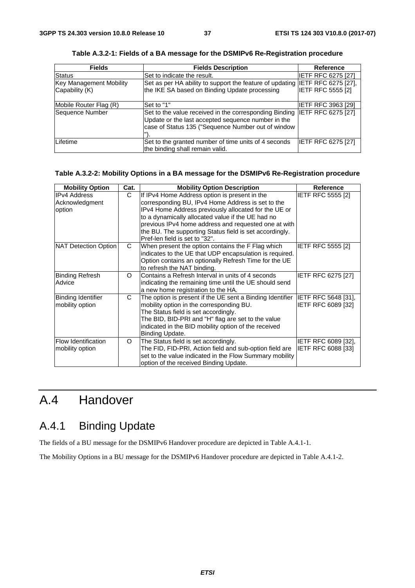| <b>Fields</b>           | <b>Fields Description</b>                                                                                                                                          | Reference                 |
|-------------------------|--------------------------------------------------------------------------------------------------------------------------------------------------------------------|---------------------------|
| Status                  | Set to indicate the result.                                                                                                                                        | <b>IETF RFC 6275 [27]</b> |
| Key Management Mobility | Set as per HA ability to support the feature of updating IETF RFC 6275 [27],                                                                                       |                           |
| Capability (K)          | the IKE SA based on Binding Update processing                                                                                                                      | <b>IETF RFC 5555 [2]</b>  |
| Mobile Router Flag (R)  | Set to "1"                                                                                                                                                         | <b>IETF RFC 3963 [29]</b> |
| Sequence Number         | Set to the value received in the corresponding Binding<br>Update or the last accepted sequence number in the<br>case of Status 135 ("Sequence Number out of window | IETF RFC 6275 [27]        |
| Lifetime                | Set to the granted number of time units of 4 seconds<br>the binding shall remain valid.                                                                            | <b>IETF RFC 6275 [27]</b> |

**Table A.3.2-1: Fields of a BA message for the DSMIPv6 Re-Registration procedure** 

#### **Table A.3.2-2: Mobility Options in a BA message for the DSMIPv6 Re-Registration procedure**

| <b>Mobility Option</b>                          | Cat.     | <b>Mobility Option Description</b>                                                                                                                                                                                                                                                                                                                                   | <b>Reference</b>                                        |
|-------------------------------------------------|----------|----------------------------------------------------------------------------------------------------------------------------------------------------------------------------------------------------------------------------------------------------------------------------------------------------------------------------------------------------------------------|---------------------------------------------------------|
| <b>IPv4 Address</b><br>Acknowledgment<br>option | C        | If IPv4 Home Address option is present in the<br>corresponding BU, IPv4 Home Address is set to the<br>IPv4 Home Address previously allocated for the UE or<br>to a dynamically allocated value if the UE had no<br>previous IPv4 home address and requested one at with<br>the BU. The supporting Status field is set accordingly.<br>Pref-len field is set to "32". | <b>IETF RFC 5555 [2]</b>                                |
| NAT Detection Option                            | C        | When present the option contains the F Flag which<br>indicates to the UE that UDP encapsulation is required.<br>Option contains an optionally Refresh Time for the UE<br>to refresh the NAT binding.                                                                                                                                                                 | <b>IETF RFC 5555 [2]</b>                                |
| <b>Binding Refresh</b><br>Advice                | $\Omega$ | Contains a Refresh Interval in units of 4 seconds<br>indicating the remaining time until the UE should send<br>a new home registration to the HA.                                                                                                                                                                                                                    | IETF RFC 6275 [27]                                      |
| <b>Binding Identifier</b><br>mobility option    | C        | The option is present if the UE sent a Binding Identifier  IETF RFC 5648 [31],<br>mobility option in the corresponding BU.<br>The Status field is set accordingly.<br>The BID, BID-PRI and "H" flag are set to the value<br>indicated in the BID mobility option of the received<br>Binding Update.                                                                  | IETF RFC 6089 [32]                                      |
| Flow Identification<br>mobility option          | O        | The Status field is set accordingly.<br>The FID, FID-PRI, Action field and sub-option field are<br>set to the value indicated in the Flow Summary mobility<br>option of the received Binding Update.                                                                                                                                                                 | <b>IETF RFC 6089 [32].</b><br><b>IETF RFC 6088 [33]</b> |

# A.4 Handover

# A.4.1 Binding Update

The fields of a BU message for the DSMIPv6 Handover procedure are depicted in Table A.4.1-1.

The Mobility Options in a BU message for the DSMIPv6 Handover procedure are depicted in Table A.4.1-2.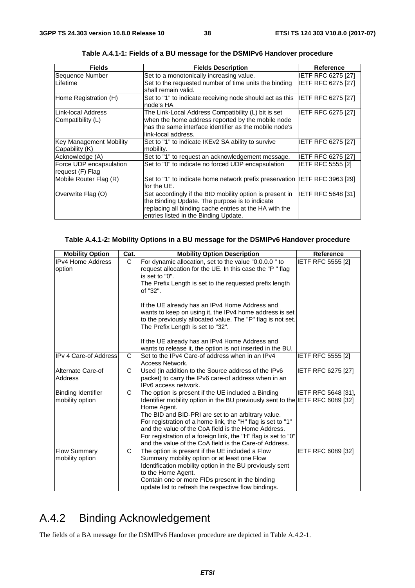| <b>Fields</b>                                    | <b>Fields Description</b>                                                                                                                                                                                     | <b>Reference</b>          |
|--------------------------------------------------|---------------------------------------------------------------------------------------------------------------------------------------------------------------------------------------------------------------|---------------------------|
| Sequence Number                                  | Set to a monotonically increasing value.                                                                                                                                                                      | IETF RFC 6275 [27]        |
| ILifetime                                        | Set to the requested number of time units the binding<br>shall remain valid.                                                                                                                                  | <b>IETF RFC 6275 [27]</b> |
| Home Registration (H)                            | Set to "1" to indicate receiving node should act as this<br>node's HA                                                                                                                                         | <b>IETF RFC 6275 [27]</b> |
| ILink-local Address<br>Compatibility (L)         | The Link-Local Address Compatibility (L) bit is set<br>when the home address reported by the mobile node<br>has the same interface identifier as the mobile node's<br>link-local address.                     | IETF RFC 6275 [27]        |
| <b>Key Management Mobility</b><br>Capability (K) | Set to "1" to indicate IKEv2 SA ability to survive<br>mobility.                                                                                                                                               | <b>IETF RFC 6275 [27]</b> |
| Acknowledge (A)                                  | Set to "1" to request an acknowledgement message.                                                                                                                                                             | <b>IETF RFC 6275 [27]</b> |
| Force UDP encapsulation<br>request (F) Flag      | Set to "0" to indicate no forced UDP encapsulation                                                                                                                                                            | <b>IETF RFC 5555 [2]</b>  |
| Mobile Router Flag (R)                           | Set to "1" to indicate home network prefix preservation IETF RFC 3963 [29]<br>for the UE.                                                                                                                     |                           |
| Overwrite Flag (O)                               | Set accordingly if the BID mobility option is present in<br>the Binding Update. The purpose is to indicate<br>replacing all binding cache entries at the HA with the<br>entries listed in the Binding Update. | IETF RFC 5648 [31]        |

**Table A.4.1-1: Fields of a BU message for the DSMIPv6 Handover procedure** 

#### **Table A.4.1-2: Mobility Options in a BU message for the DSMIPv6 Handover procedure**

| <b>Mobility Option</b>                       | Cat. | <b>Mobility Option Description</b>                                                                                                                                                                                                                                                                                                                                                                                                                          | Reference                 |
|----------------------------------------------|------|-------------------------------------------------------------------------------------------------------------------------------------------------------------------------------------------------------------------------------------------------------------------------------------------------------------------------------------------------------------------------------------------------------------------------------------------------------------|---------------------------|
| <b>IPv4 Home Address</b><br>option           | C    | For dynamic allocation, set to the value "0.0.0.0" to<br>request allocation for the UE. In this case the "P" flag<br>is set to "0".<br>The Prefix Length is set to the requested prefix length<br>of "32".<br>If the UE already has an IPv4 Home Address and<br>wants to keep on using it, the IPv4 home address is set<br>to the previously allocated value. The "P" flag is not set.<br>The Prefix Length is set to "32".                                 | IETF RFC 5555 [2]         |
|                                              |      | If the UE already has an IPv4 Home Address and<br>wants to release it, the option is not inserted in the BU,                                                                                                                                                                                                                                                                                                                                                |                           |
| IIPv 4 Care-of Address                       | C    | Set to the IPv4 Care-of address when in an IPv4<br>Access Network.                                                                                                                                                                                                                                                                                                                                                                                          | <b>IETF RFC 5555 [2]</b>  |
| Alternate Care-of<br>Address                 | C    | Used (in addition to the Source address of the IPv6<br>packet) to carry the IPv6 care-of address when in an<br>IPv6 access network.                                                                                                                                                                                                                                                                                                                         | <b>IETF RFC 6275 [27]</b> |
| <b>Binding Identifier</b><br>mobility option | C    | The option is present if the UE included a Binding<br>Identifier mobility option in the BU previously sent to the IETF RFC 6089 [32]<br>Home Agent.<br>The BID and BID-PRI are set to an arbitrary value.<br>For registration of a home link, the "H" flag is set to "1"<br>and the value of the CoA field is the Home Address.<br>For registration of a foreign link, the "H" flag is set to "0"<br>and the value of the CoA field is the Care-of Address. | IETF RFC 5648 [31],       |
| <b>Flow Summary</b><br>mobility option       | C    | The option is present if the UE included a Flow<br>Summary mobility option or at least one Flow<br>Identification mobility option in the BU previously sent<br>to the Home Agent.<br>Contain one or more FIDs present in the binding<br>update list to refresh the respective flow bindings.                                                                                                                                                                | IETF RFC 6089 [32]        |

# A.4.2 Binding Acknowledgement

The fields of a BA message for the DSMIPv6 Handover procedure are depicted in Table A.4.2-1.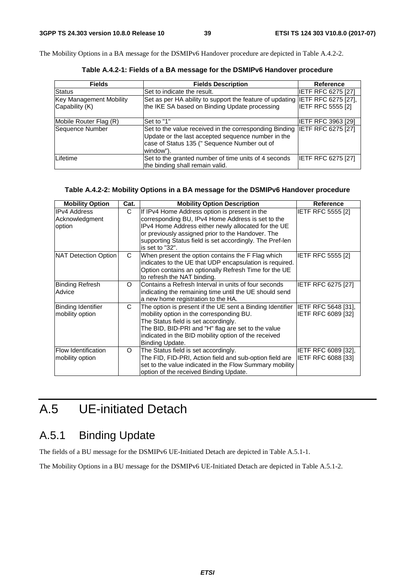The Mobility Options in a BA message for the DSMIPv6 Handover procedure are depicted in Table A.4.2-2.

| <b>Fields</b>                  | <b>Fields Description</b>                                                                                                                                                 | Reference                  |
|--------------------------------|---------------------------------------------------------------------------------------------------------------------------------------------------------------------------|----------------------------|
| <b>Status</b>                  | Set to indicate the result.                                                                                                                                               | <b>IETF RFC 6275 [27]</b>  |
| <b>Key Management Mobility</b> | Set as per HA ability to support the feature of updating                                                                                                                  | <b>IETF RFC 6275 [27],</b> |
| Capability (K)                 | the IKE SA based on Binding Update processing                                                                                                                             | <b>IETF RFC 5555 [2]</b>   |
| Mobile Router Flag (R)         | Set to "1"                                                                                                                                                                | <b>IETF RFC 3963 [29]</b>  |
| Sequence Number                | Set to the value received in the corresponding Binding<br>Update or the last accepted sequence number in the<br>case of Status 135 (" Sequence Number out of<br>window"). | <b>IETF RFC 6275 [27]</b>  |
| Lifetime                       | Set to the granted number of time units of 4 seconds<br>the binding shall remain valid.                                                                                   | IETF RFC 6275 [27]         |

**Table A.4.2-1: Fields of a BA message for the DSMIPv6 Handover procedure** 

#### **Table A.4.2-2: Mobility Options in a BA message for the DSMIPv6 Handover procedure**

| <b>Mobility Option</b> | Cat.     | <b>Mobility Option Description</b>                        | Reference                  |
|------------------------|----------|-----------------------------------------------------------|----------------------------|
| <b>IPv4 Address</b>    | C        | If IPv4 Home Address option is present in the             | <b>IETF RFC 5555 [2]</b>   |
| Acknowledgment         |          | corresponding BU, IPv4 Home Address is set to the         |                            |
| option                 |          | IPv4 Home Address either newly allocated for the UE       |                            |
|                        |          | or previously assigned prior to the Handover. The         |                            |
|                        |          | supporting Status field is set accordingly. The Pref-len  |                            |
|                        |          | is set to "32".                                           |                            |
| NAT Detection Option   | C        | When present the option contains the F Flag which         | <b>IETF RFC 5555 [2]</b>   |
|                        |          | indicates to the UE that UDP encapsulation is required.   |                            |
|                        |          | Option contains an optionally Refresh Time for the UE     |                            |
|                        |          | to refresh the NAT binding.                               |                            |
| <b>Binding Refresh</b> | $\Omega$ | Contains a Refresh Interval in units of four seconds      | IETF RFC 6275 [27]         |
| Advice                 |          | indicating the remaining time until the UE should send    |                            |
|                        |          | a new home registration to the HA.                        |                            |
| Binding Identifier     | C        | The option is present if the UE sent a Binding Identifier | IETF RFC 5648 [31],        |
| mobility option        |          | mobility option in the corresponding BU.                  | IETF RFC 6089 [32]         |
|                        |          | The Status field is set accordingly.                      |                            |
|                        |          | The BID, BID-PRI and "H" flag are set to the value        |                            |
|                        |          | indicated in the BID mobility option of the received      |                            |
|                        |          | Binding Update.                                           |                            |
| Flow Identification    | O        | The Status field is set accordingly.                      | <b>IETF RFC 6089 [32].</b> |
| mobility option        |          | The FID, FID-PRI, Action field and sub-option field are   | IETF RFC 6088 [33]         |
|                        |          | set to the value indicated in the Flow Summary mobility   |                            |
|                        |          | option of the received Binding Update.                    |                            |

# A.5 UE-initiated Detach

# A.5.1 Binding Update

The fields of a BU message for the DSMIPv6 UE-Initiated Detach are depicted in Table A.5.1-1.

The Mobility Options in a BU message for the DSMIPv6 UE-Initiated Detach are depicted in Table A.5.1-2.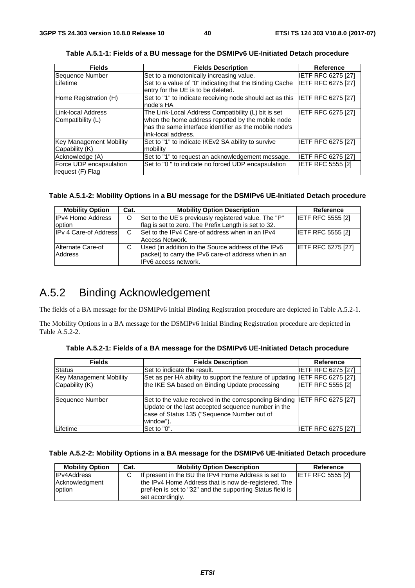| <b>Fields</b>                               | <b>Fields Description</b>                                                                                                                                                                 | Reference                 |
|---------------------------------------------|-------------------------------------------------------------------------------------------------------------------------------------------------------------------------------------------|---------------------------|
| Sequence Number                             | Set to a monotonically increasing value.                                                                                                                                                  | <b>IETF RFC 6275 [27]</b> |
| Lifetime                                    | Set to a value of "0" indicating that the Binding Cache<br>entry for the UE is to be deleted.                                                                                             | IETF RFC 6275 [27]        |
| Home Registration (H)                       | Set to "1" to indicate receiving node should act as this<br>node's HA                                                                                                                     | <b>IETF RFC 6275 [27]</b> |
| Link-local Address<br>Compatibility (L)     | The Link-Local Address Compatibility (L) bit is set<br>when the home address reported by the mobile node<br>has the same interface identifier as the mobile node's<br>link-local address. | IETF RFC 6275 [27]        |
| Key Management Mobility<br>Capability (K)   | Set to "1" to indicate IKEv2 SA ability to survive<br>mobility                                                                                                                            | <b>IETF RFC 6275 [27]</b> |
| Acknowledge (A)                             | Set to "1" to request an acknowledgement message.                                                                                                                                         | <b>IETF RFC 6275 [27]</b> |
| Force UDP encapsulation<br>request (F) Flag | Set to "0" to indicate no forced UDP encapsulation                                                                                                                                        | IETF RFC 5555 [2]         |

**Table A.5.1-1: Fields of a BU message for the DSMIPv6 UE-Initiated Detach procedure** 

#### **Table A.5.1-2: Mobility Options in a BU message for the DSMIPv6 UE-Initiated Detach procedure**

| <b>Mobility Option</b>       | Cat. | <b>Mobility Option Description</b>                                                                                                  | Reference                 |
|------------------------------|------|-------------------------------------------------------------------------------------------------------------------------------------|---------------------------|
| <b>IPv4 Home Address</b>     | O    | Set to the UE's previously registered value. The "P"                                                                                | <b>IETF RFC 5555 [2]</b>  |
| option                       |      | flag is set to zero. The Prefix Length is set to 32.                                                                                |                           |
| <b>IPv 4 Care-of Address</b> | C    | Set to the IPv4 Care-of address when in an IPv4<br>Access Network.                                                                  | <b>IETF RFC 5555 [2]</b>  |
| Alternate Care-of<br>Address | C    | Used (in addition to the Source address of the IPv6<br>packet) to carry the IPv6 care-of address when in an<br>IPv6 access network. | <b>IETF RFC 6275 [27]</b> |

### A.5.2 Binding Acknowledgement

The fields of a BA message for the DSMIPv6 Initial Binding Registration procedure are depicted in Table A.5.2-1.

The Mobility Options in a BA message for the DSMIPv6 Initial Binding Registration procedure are depicted in Table A.5.2-2.

| <b>Fields</b>                  | <b>Fields Description</b>                                                                                                                                                                   | <b>Reference</b>          |
|--------------------------------|---------------------------------------------------------------------------------------------------------------------------------------------------------------------------------------------|---------------------------|
| Status                         | Set to indicate the result.                                                                                                                                                                 | <b>IETF RFC 6275 [27]</b> |
| <b>Key Management Mobility</b> | Set as per HA ability to support the feature of updating IETF RFC 6275 [27],                                                                                                                |                           |
| Capability (K)                 | the IKE SA based on Binding Update processing                                                                                                                                               | <b>IETF RFC 5555 [2]</b>  |
| Sequence Number                | Set to the value received in the corresponding Binding IETF RFC 6275 [27]<br>Update or the last accepted sequence number in the<br>case of Status 135 ("Sequence Number out of<br>window"). |                           |
| Lifetime                       | Set to "0".                                                                                                                                                                                 | <b>IETF RFC 6275 [27]</b> |

**Table A.5.2-1: Fields of a BA message for the DSMIPv6 UE-Initiated Detach procedure** 

#### **Table A.5.2-2: Mobility Options in a BA message for the DSMIPv6 UE-Initiated Detach procedure**

| <b>Mobility Option</b> | Cat. | <b>Mobility Option Description</b>                         | Reference                |
|------------------------|------|------------------------------------------------------------|--------------------------|
| <b>IPv4Address</b>     | C.   | If present in the BU the IPv4 Home Address is set to       | <b>IETF RFC 5555 [2]</b> |
| Acknowledgment         |      | the IPv4 Home Address that is now de-registered. The       |                          |
| option                 |      | pref-len is set to "32" and the supporting Status field is |                          |
|                        |      | set accordingly.                                           |                          |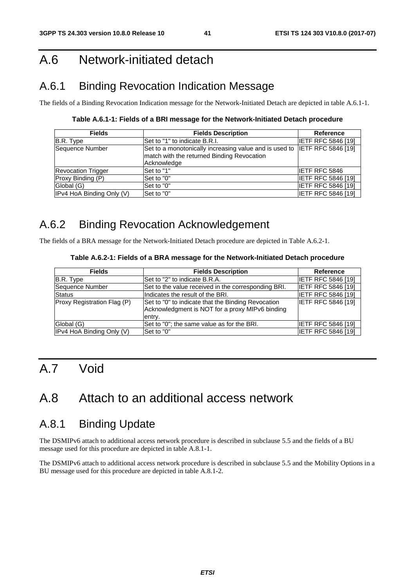# A.6 Network-initiated detach

# A.6.1 Binding Revocation Indication Message

The fields of a Binding Revocation Indication message for the Network-Initiated Detach are depicted in table A.6.1-1.

**Table A.6.1-1: Fields of a BRI message for the Network-Initiated Detach procedure** 

| <b>Fields</b>             | <b>Fields Description</b>                                                 | Reference                 |
|---------------------------|---------------------------------------------------------------------------|---------------------------|
| B.R. Type                 | Set to "1" to indicate B.R.I.                                             | <b>IETF RFC 5846 [19]</b> |
| Sequence Number           | Set to a monotonically increasing value and is used to IETF RFC 5846 [19] |                           |
|                           | match with the returned Binding Revocation                                |                           |
|                           | Acknowledge                                                               |                           |
| <b>Revocation Trigger</b> | Set to "1"                                                                | <b>IETF RFC 5846</b>      |
| Proxy Binding (P)         | Set to "0"                                                                | <b>IETF RFC 5846 [19]</b> |
| Global (G)                | Set to "0"                                                                | <b>IETF RFC 5846 [19]</b> |
| IPv4 HoA Binding Only (V) | Set to "0"                                                                | <b>IETF RFC 5846 [19]</b> |

# A.6.2 Binding Revocation Acknowledgement

The fields of a BRA message for the Network-Initiated Detach procedure are depicted in Table A.6.2-1.

#### **Table A.6.2-1: Fields of a BRA message for the Network-Initiated Detach procedure**

| <b>Fields</b>               | <b>Fields Description</b>                                                                                       | <b>Reference</b>          |
|-----------------------------|-----------------------------------------------------------------------------------------------------------------|---------------------------|
| B.R. Type                   | Set to "2" to indicate B.R.A.                                                                                   | IIETF RFC 5846 [19]       |
| <b>Sequence Number</b>      | Set to the value received in the corresponding BRI.                                                             | <b>IETF RFC 5846 [19]</b> |
| <b>Status</b>               | Indicates the result of the BRI.                                                                                | <b>IETF RFC 5846 [19]</b> |
| Proxy Registration Flag (P) | Set to "0" to indicate that the Binding Revocation<br>Acknowledgment is NOT for a proxy MIPv6 binding<br>entry. | <b>IETF RFC 5846 [19]</b> |
| Global (G)                  | Set to "0"; the same value as for the BRI.                                                                      | IETF RFC 5846 [19]        |
| IPv4 HoA Binding Only (V)   | Set to "0"                                                                                                      | <b>IETF RFC 5846 [19]</b> |

# A.7 Void

# A.8 Attach to an additional access network

### A.8.1 Binding Update

The DSMIPv6 attach to additional access network procedure is described in subclause 5.5 and the fields of a BU message used for this procedure are depicted in table A.8.1-1.

The DSMIPv6 attach to additional access network procedure is described in subclause 5.5 and the Mobility Options in a BU message used for this procedure are depicted in table A.8.1-2.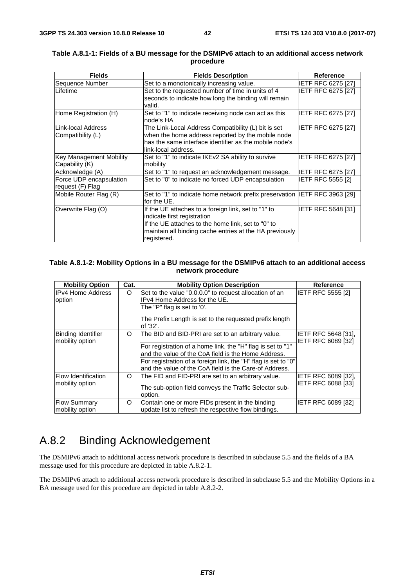| <b>Fields</b>                  | <b>Fields Description</b>                                                   | <b>Reference</b>          |
|--------------------------------|-----------------------------------------------------------------------------|---------------------------|
| Sequence Number                | Set to a monotonically increasing value.                                    | <b>IETF RFC 6275 [27]</b> |
| ILifetime                      | Set to the requested number of time in units of 4                           | IETF RFC 6275 [27]        |
|                                | seconds to indicate how long the binding will remain                        |                           |
|                                | valid.                                                                      |                           |
| Home Registration (H)          | Set to "1" to indicate receiving node can act as this                       | IETF RFC 6275 [27]        |
|                                | node's HA                                                                   |                           |
| Link-local Address             | The Link-Local Address Compatibility (L) bit is set                         | <b>IETF RFC 6275 [27]</b> |
| Compatibility (L)              | when the home address reported by the mobile node                           |                           |
|                                | has the same interface identifier as the mobile node's                      |                           |
|                                | link-local address.                                                         |                           |
| <b>Key Management Mobility</b> | Set to "1" to indicate IKEv2 SA ability to survive                          | <b>IETF RFC 6275 [27]</b> |
| Capability (K)                 | mobility                                                                    |                           |
| Acknowledge (A)                | Set to "1" to request an acknowledgement message.                           | <b>IETF RFC 6275 [27]</b> |
| Force UDP encapsulation        | Set to "0" to indicate no forced UDP encapsulation                          | <b>IETF RFC 5555 [2]</b>  |
| request (F) Flag               |                                                                             |                           |
| Mobile Router Flag (R)         | Set to "1" to indicate home network prefix preservation IIETF RFC 3963 [29] |                           |
|                                | for the UE.                                                                 |                           |
| Overwrite Flag (O)             | If the UE attaches to a foreign link, set to "1" to                         | IETF RFC 5648 [31]        |
|                                | indicate first registration                                                 |                           |
|                                | If the UE attaches to the home link, set to "0" to                          |                           |
|                                | maintain all binding cache entries at the HA previously                     |                           |
|                                | registered.                                                                 |                           |

#### **Table A.8.1-1: Fields of a BU message for the DSMIPv6 attach to an additional access network procedure**

#### **Table A.8.1-2: Mobility Options in a BU message for the DSMIPv6 attach to an additional access network procedure**

| <b>Mobility Option</b>                        | Cat.     | <b>Mobility Option Description</b>                                                                                       | <b>Reference</b>                                        |
|-----------------------------------------------|----------|--------------------------------------------------------------------------------------------------------------------------|---------------------------------------------------------|
| IIPv4 Home Address<br>option                  | O        | Set to the value "0.0.0.0" to request allocation of an<br>IPv4 Home Address for the UE.                                  | <b>IETF RFC 5555 [2]</b>                                |
|                                               |          | The "P" flag is set to '0'.                                                                                              |                                                         |
|                                               |          | The Prefix Length is set to the requested prefix length<br>of '32'.                                                      |                                                         |
| <b>Binding Identifier</b><br>mobility option  | O        | The BID and BID-PRI are set to an arbitrary value.                                                                       | <b>IETF RFC 5648 [31],</b><br><b>IETF RFC 6089 [32]</b> |
|                                               |          | For registration of a home link, the "H" flag is set to "1"                                                              |                                                         |
|                                               |          | and the value of the CoA field is the Home Address.                                                                      |                                                         |
|                                               |          | For registration of a foreign link, the "H" flag is set to "0"<br>and the value of the CoA field is the Care-of Address. |                                                         |
| <b>Flow Identification</b><br>mobility option | $\Omega$ | The FID and FID-PRI are set to an arbitrary value.                                                                       | IETF RFC 6089 [32],<br>IETF RFC 6088 [33]               |
|                                               |          | The sub-option field conveys the Traffic Selector sub-<br>option.                                                        |                                                         |
| <b>Flow Summary</b><br>mobility option        | O        | Contain one or more FIDs present in the binding<br>update list to refresh the respective flow bindings.                  | <b>IETF RFC 6089 [32]</b>                               |

# A.8.2 Binding Acknowledgement

The DSMIPv6 attach to additional access network procedure is described in subclause 5.5 and the fields of a BA message used for this procedure are depicted in table A.8.2-1.

The DSMIPv6 attach to additional access network procedure is described in subclause 5.5 and the Mobility Options in a BA message used for this procedure are depicted in table A.8.2-2.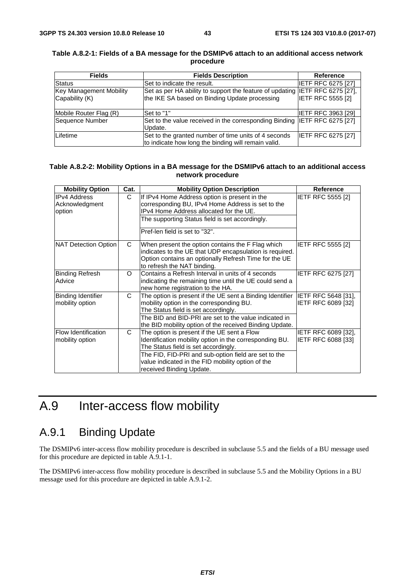| <b>Fields</b>                  | <b>Fields Description</b>                                                    | <b>Reference</b>          |
|--------------------------------|------------------------------------------------------------------------------|---------------------------|
| <b>Status</b>                  | Set to indicate the result.                                                  | <b>IETF RFC 6275 [27]</b> |
| <b>Key Management Mobility</b> | Set as per HA ability to support the feature of updating IETF RFC 6275 [27], |                           |
| Capability (K)                 | the IKE SA based on Binding Update processing                                | <b>IETF RFC 5555 [2]</b>  |
|                                |                                                                              |                           |
| Mobile Router Flag (R)         | Set to "1"                                                                   | <b>IETF RFC 3963 [29]</b> |
| Sequence Number                | Set to the value received in the corresponding Binding IETF RFC 6275 [27]    |                           |
|                                | Update.                                                                      |                           |
| Lifetime                       | Set to the granted number of time units of 4 seconds                         | <b>IETF RFC 6275 [27]</b> |
|                                | to indicate how long the binding will remain valid.                          |                           |

#### **Table A.8.2-1: Fields of a BA message for the DSMIPv6 attach to an additional access network procedure**

#### **Table A.8.2-2: Mobility Options in a BA message for the DSMIPv6 attach to an additional access network procedure**

| <b>Mobility Option</b>                          | Cat.     | <b>Mobility Option Description</b>                                                                                                                                                                                                                                                      | Reference                                 |
|-------------------------------------------------|----------|-----------------------------------------------------------------------------------------------------------------------------------------------------------------------------------------------------------------------------------------------------------------------------------------|-------------------------------------------|
| <b>IPv4 Address</b><br>Acknowledgment<br>option | C        | If IPv4 Home Address option is present in the<br>corresponding BU, IPv4 Home Address is set to the<br>IPv4 Home Address allocated for the UE.<br>The supporting Status field is set accordingly.<br>Pref-len field is set to "32".                                                      | <b>IETF RFC 5555 [2]</b>                  |
| NAT Detection Option                            | C        | When present the option contains the F Flag which<br>indicates to the UE that UDP encapsulation is required.<br>Option contains an optionally Refresh Time for the UE<br>to refresh the NAT binding.                                                                                    | <b>IETF RFC 5555 [2]</b>                  |
| <b>Binding Refresh</b><br>Advice                | $\Omega$ | Contains a Refresh Interval in units of 4 seconds<br>indicating the remaining time until the UE could send a<br>new home registration to the HA.                                                                                                                                        | <b>IETF RFC 6275 [27]</b>                 |
| Binding Identifier<br>mobility option           | C        | The option is present if the UE sent a Binding Identifier IETF RFC 5648 [31],<br>mobility option in the corresponding BU.<br>The Status field is set accordingly.<br>The BID and BID-PRI are set to the value indicated in<br>the BID mobility option of the received Binding Update.   | <b>IETF RFC 6089 [32]</b>                 |
| <b>Flow Identification</b><br>mobility option   | C.       | The option is present if the UE sent a Flow<br>Identification mobility option in the corresponding BU.<br>The Status field is set accordingly.<br>The FID, FID-PRI and sub-option field are set to the<br>value indicated in the FID mobility option of the<br>received Binding Update. | IETF RFC 6089 [32],<br>IETF RFC 6088 [33] |

# A.9 Inter-access flow mobility

### A.9.1 Binding Update

The DSMIPv6 inter-access flow mobility procedure is described in subclause 5.5 and the fields of a BU message used for this procedure are depicted in table A.9.1-1.

The DSMIPv6 inter-access flow mobility procedure is described in subclause 5.5 and the Mobility Options in a BU message used for this procedure are depicted in table A.9.1-2.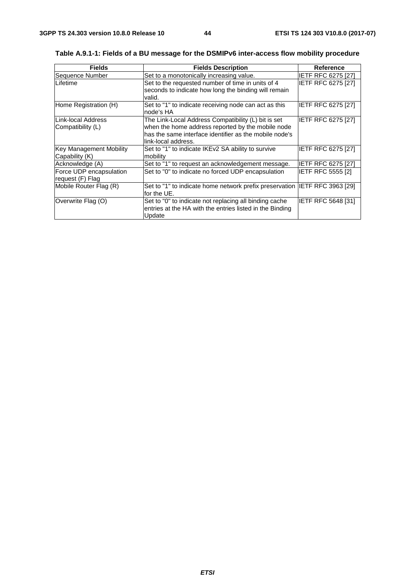| <b>Fields</b>                                    | <b>Fields Description</b>                                                                                                                                                                 | <b>Reference</b>          |
|--------------------------------------------------|-------------------------------------------------------------------------------------------------------------------------------------------------------------------------------------------|---------------------------|
| Sequence Number                                  | Set to a monotonically increasing value.                                                                                                                                                  | <b>IETF RFC 6275 [27]</b> |
| Lifetime                                         | Set to the requested number of time in units of 4<br>seconds to indicate how long the binding will remain<br>valid.                                                                       | <b>IETF RFC 6275 [27]</b> |
| Home Registration (H)                            | Set to "1" to indicate receiving node can act as this<br>node's HA                                                                                                                        | <b>IETF RFC 6275 [27]</b> |
| Link-local Address<br>Compatibility (L)          | The Link-Local Address Compatibility (L) bit is set<br>when the home address reported by the mobile node<br>has the same interface identifier as the mobile node's<br>link-local address. | IETF RFC 6275 [27]        |
| <b>Key Management Mobility</b><br>Capability (K) | Set to "1" to indicate IKEv2 SA ability to survive<br>mobility                                                                                                                            | <b>IETF RFC 6275 [27]</b> |
| Acknowledge (A)                                  | Set to "1" to request an acknowledgement message.                                                                                                                                         | <b>IETF RFC 6275 [27]</b> |
| Force UDP encapsulation<br>request (F) Flag      | Set to "0" to indicate no forced UDP encapsulation                                                                                                                                        | <b>IETF RFC 5555 [2]</b>  |
| Mobile Router Flag (R)                           | Set to "1" to indicate home network prefix preservation IETF RFC 3963 [29]<br>for the UE.                                                                                                 |                           |
| Overwrite Flag (O)                               | Set to "0" to indicate not replacing all binding cache<br>entries at the HA with the entries listed in the Binding<br>Update                                                              | <b>IETF RFC 5648 [31]</b> |

**Table A.9.1-1: Fields of a BU message for the DSMIPv6 inter-access flow mobility procedure**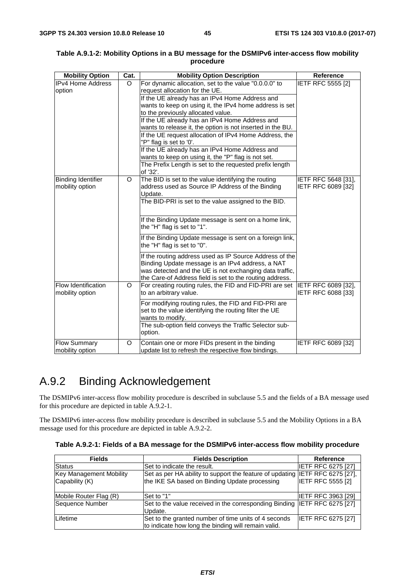| <b>Mobility Option</b>                 | Cat. | <b>Mobility Option Description</b>                                                                                                                                                                                                 | <b>Reference</b>                          |
|----------------------------------------|------|------------------------------------------------------------------------------------------------------------------------------------------------------------------------------------------------------------------------------------|-------------------------------------------|
| <b>IPv4 Home Address</b>               | O    | For dynamic allocation, set to the value "0.0.0.0" to                                                                                                                                                                              | <b>IETF RFC 5555 [2]</b>                  |
| option                                 |      | request allocation for the UE.                                                                                                                                                                                                     |                                           |
|                                        |      | If the UE already has an IPv4 Home Address and                                                                                                                                                                                     |                                           |
|                                        |      | wants to keep on using it, the IPv4 home address is set                                                                                                                                                                            |                                           |
|                                        |      | to the previously allocated value.                                                                                                                                                                                                 |                                           |
|                                        |      | If the UE already has an IPv4 Home Address and                                                                                                                                                                                     |                                           |
|                                        |      | wants to release it, the option is not inserted in the BU.                                                                                                                                                                         |                                           |
|                                        |      | If the UE request allocation of IPv4 Home Address, the                                                                                                                                                                             |                                           |
|                                        |      | "P" flag is set to '0'.                                                                                                                                                                                                            |                                           |
|                                        |      | If the UE already has an IPv4 Home Address and                                                                                                                                                                                     |                                           |
|                                        |      | wants to keep on using it, the "P" flag is not set.                                                                                                                                                                                |                                           |
|                                        |      | The Prefix Length is set to the requested prefix length<br>of '32'.                                                                                                                                                                |                                           |
| <b>Binding Identifier</b>              | O    | The BID is set to the value identifying the routing                                                                                                                                                                                | IETF RFC 5648 [31],                       |
| mobility option                        |      | address used as Source IP Address of the Binding                                                                                                                                                                                   | IETF RFC 6089 [32]                        |
|                                        |      | Update.                                                                                                                                                                                                                            |                                           |
|                                        |      | The BID-PRI is set to the value assigned to the BID.                                                                                                                                                                               |                                           |
|                                        |      |                                                                                                                                                                                                                                    |                                           |
|                                        |      | If the Binding Update message is sent on a home link,<br>the "H" flag is set to "1".                                                                                                                                               |                                           |
|                                        |      | If the Binding Update message is sent on a foreign link,<br>the "H" flag is set to "0".                                                                                                                                            |                                           |
|                                        |      | If the routing address used as IP Source Address of the<br>Binding Update message is an IPv4 address, a NAT<br>was detected and the UE is not exchanging data traffic,<br>the Care-of Address field is set to the routing address. |                                           |
| Flow Identification<br>mobility option | O    | For creating routing rules, the FID and FID-PRI are set<br>to an arbitrary value.                                                                                                                                                  | IETF RFC 6089 [32],<br>IETF RFC 6088 [33] |
|                                        |      | For modifying routing rules, the FID and FID-PRI are<br>set to the value identifying the routing filter the UE<br>wants to modify.                                                                                                 |                                           |
|                                        |      | The sub-option field conveys the Traffic Selector sub-<br>option.                                                                                                                                                                  |                                           |
| <b>Flow Summary</b><br>mobility option | O    | Contain one or more FIDs present in the binding<br>update list to refresh the respective flow bindings.                                                                                                                            | IETF RFC 6089 [32]                        |

#### **Table A.9.1-2: Mobility Options in a BU message for the DSMIPv6 inter-access flow mobility procedure**

# A.9.2 Binding Acknowledgement

The DSMIPv6 inter-access flow mobility procedure is described in subclause 5.5 and the fields of a BA message used for this procedure are depicted in table A.9.2-1.

The DSMIPv6 inter-access flow mobility procedure is described in subclause 5.5 and the Mobility Options in a BA message used for this procedure are depicted in table A.9.2-2.

|  |  | Table A.9.2-1: Fields of a BA message for the DSMIPv6 inter-access flow mobility procedure |
|--|--|--------------------------------------------------------------------------------------------|
|--|--|--------------------------------------------------------------------------------------------|

| <b>Fields</b>           | <b>Fields Description</b>                                                    | <b>Reference</b>          |
|-------------------------|------------------------------------------------------------------------------|---------------------------|
| <b>Status</b>           | Set to indicate the result.                                                  | <b>IETF RFC 6275 [27]</b> |
| Key Management Mobility | Set as per HA ability to support the feature of updating IETF RFC 6275 [27], |                           |
| Capability (K)          | the IKE SA based on Binding Update processing                                | <b>IETF RFC 5555 [2]</b>  |
|                         |                                                                              |                           |
| Mobile Router Flag (R)  | Set to "1"                                                                   | <b>IETF RFC 3963 [29]</b> |
| Sequence Number         | Set to the value received in the corresponding Binding IETF RFC 6275 [27]    |                           |
|                         | Update.                                                                      |                           |
| Lifetime                | Set to the granted number of time units of 4 seconds                         | <b>IETF RFC 6275 [27]</b> |
|                         | to indicate how long the binding will remain valid.                          |                           |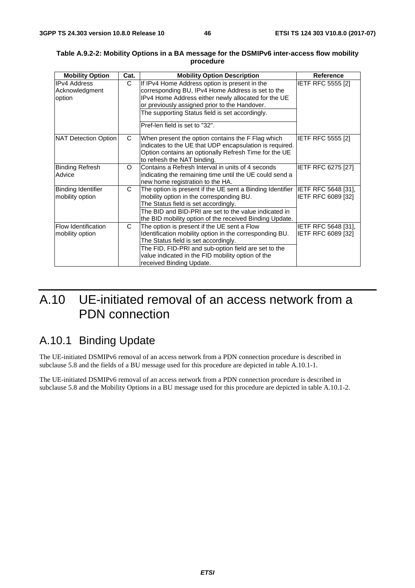| <b>Mobility Option</b>     | Cat. | <b>Mobility Option Description</b>                                            | <b>Reference</b>          |
|----------------------------|------|-------------------------------------------------------------------------------|---------------------------|
| <b>IPv4 Address</b>        | C    | If IPv4 Home Address option is present in the                                 | <b>IETF RFC 5555 [2]</b>  |
| Acknowledgment             |      | corresponding BU, IPv4 Home Address is set to the                             |                           |
| option                     |      | IPv4 Home Address either newly allocated for the UE                           |                           |
|                            |      | or previously assigned prior to the Handover.                                 |                           |
|                            |      | The supporting Status field is set accordingly.                               |                           |
|                            |      | Pref-len field is set to "32".                                                |                           |
| NAT Detection Option       | C    | When present the option contains the F Flag which                             | <b>IETF RFC 5555 [2]</b>  |
|                            |      | indicates to the UE that UDP encapsulation is required.                       |                           |
|                            |      | Option contains an optionally Refresh Time for the UE                         |                           |
|                            |      | to refresh the NAT binding.                                                   |                           |
| <b>Binding Refresh</b>     | O    | Contains a Refresh Interval in units of 4 seconds                             | <b>IETF RFC 6275 [27]</b> |
| Advice                     |      | indicating the remaining time until the UE could send a                       |                           |
|                            |      | new home registration to the HA.                                              |                           |
| Binding Identifier         | C    | The option is present if the UE sent a Binding Identifier IETF RFC 5648 [31], |                           |
| mobility option            |      | mobility option in the corresponding BU.                                      | IETF RFC 6089 [32]        |
|                            |      | The Status field is set accordingly.                                          |                           |
|                            |      | The BID and BID-PRI are set to the value indicated in                         |                           |
|                            |      | the BID mobility option of the received Binding Update.                       |                           |
| <b>Flow Identification</b> | C    | The option is present if the UE sent a Flow                                   | IETF RFC 5648 [31],       |
| mobility option            |      | Identification mobility option in the corresponding BU.                       | IETF RFC 6089 [32]        |
|                            |      | The Status field is set accordingly.                                          |                           |
|                            |      | The FID, FID-PRI and sub-option field are set to the                          |                           |
|                            |      | value indicated in the FID mobility option of the                             |                           |
|                            |      | received Binding Update.                                                      |                           |

#### **Table A.9.2-2: Mobility Options in a BA message for the DSMIPv6 inter-access flow mobility procedure**

# A.10 UE-initiated removal of an access network from a PDN connection

# A.10.1 Binding Update

The UE-initiated DSMIPv6 removal of an access network from a PDN connection procedure is described in subclause 5.8 and the fields of a BU message used for this procedure are depicted in table A.10.1-1.

The UE-initiated DSMIPv6 removal of an access network from a PDN connection procedure is described in subclause 5.8 and the Mobility Options in a BU message used for this procedure are depicted in table A.10.1-2.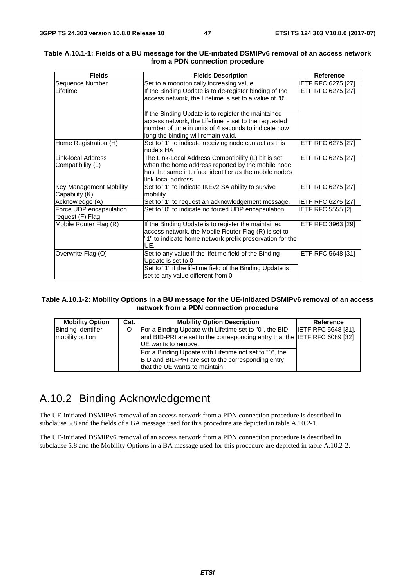| <b>Fields</b>                                    | <b>Fields Description</b>                                                                                                                                                                                  | <b>Reference</b>          |
|--------------------------------------------------|------------------------------------------------------------------------------------------------------------------------------------------------------------------------------------------------------------|---------------------------|
| Sequence Number                                  | Set to a monotonically increasing value.                                                                                                                                                                   | <b>IETF RFC 6275 [27]</b> |
| Lifetime                                         | If the Binding Update is to de-register binding of the<br>access network, the Lifetime is set to a value of "0".                                                                                           | <b>IETF RFC 6275 [27]</b> |
|                                                  | If the Binding Update is to register the maintained<br>access network, the Lifetime is set to the requested<br>number of time in units of 4 seconds to indicate how<br>long the binding will remain valid. |                           |
| Home Registration (H)                            | Set to "1" to indicate receiving node can act as this<br>node's HA                                                                                                                                         | IETF RFC 6275 [27]        |
| Link-local Address<br>Compatibility (L)          | The Link-Local Address Compatibility (L) bit is set<br>when the home address reported by the mobile node<br>has the same interface identifier as the mobile node's<br>link-local address.                  | IETF RFC 6275 [27]        |
| <b>Key Management Mobility</b><br>Capability (K) | Set to "1" to indicate IKEv2 SA ability to survive<br>mobility                                                                                                                                             | <b>IETF RFC 6275 [27]</b> |
| Acknowledge (A)                                  | Set to "1" to request an acknowledgement message.                                                                                                                                                          | <b>IETF RFC 6275 [27]</b> |
| Force UDP encapsulation<br>request (F) Flag      | Set to "0" to indicate no forced UDP encapsulation                                                                                                                                                         | IETF RFC 5555 [2]         |
| Mobile Router Flag (R)                           | If the Binding Update is to register the maintained<br>access network, the Mobile Router Flag (R) is set to<br>"1" to indicate home network prefix preservation for the<br>UE.                             | IETF RFC 3963 [29]        |
| Overwrite Flag (O)                               | Set to any value if the lifetime field of the Binding<br>Update is set to 0<br>Set to "1" if the lifetime field of the Binding Update is<br>set to any value different from 0                              | IETF RFC 5648 [31]        |

#### **Table A.10.1-1: Fields of a BU message for the UE-initiated DSMIPv6 removal of an access network from a PDN connection procedure**

#### **Table A.10.1-2: Mobility Options in a BU message for the UE-initiated DSMIPv6 removal of an access network from a PDN connection procedure**

| <b>Mobility Option</b>                       | Cat. | <b>Mobility Option Description</b>                                                                                                                          | Reference                  |
|----------------------------------------------|------|-------------------------------------------------------------------------------------------------------------------------------------------------------------|----------------------------|
| <b>Binding Identifier</b><br>mobility option |      | For a Binding Update with Lifetime set to "0", the BID<br>and BID-PRI are set to the corresponding entry that the IETF RFC 6089 [32]<br>UE wants to remove. | <b>IETF RFC 5648 [31].</b> |
|                                              |      | For a Binding Update with Lifetime not set to "0", the<br>BID and BID-PRI are set to the corresponding entry<br>that the UE wants to maintain.              |                            |

# A.10.2 Binding Acknowledgement

The UE-initiated DSMIPv6 removal of an access network from a PDN connection procedure is described in subclause 5.8 and the fields of a BA message used for this procedure are depicted in table A.10.2-1.

The UE-initiated DSMIPv6 removal of an access network from a PDN connection procedure is described in subclause 5.8 and the Mobility Options in a BA message used for this procedure are depicted in table A.10.2-2.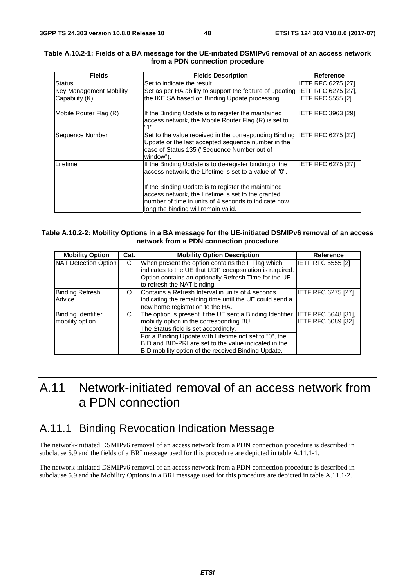| <b>Fields</b>                                    | <b>Fields Description</b>                                                                                                                                                                                | Reference                 |
|--------------------------------------------------|----------------------------------------------------------------------------------------------------------------------------------------------------------------------------------------------------------|---------------------------|
| <b>Status</b>                                    | Set to indicate the result.                                                                                                                                                                              | IETF RFC 6275 [27]        |
| <b>Key Management Mobility</b><br>Capability (K) | Set as per HA ability to support the feature of updating IETF RFC 6275 [27],<br>the IKE SA based on Binding Update processing                                                                            | <b>IETF RFC 5555 [2]</b>  |
| Mobile Router Flag (R)                           | If the Binding Update is to register the maintained<br>access network, the Mobile Router Flag (R) is set to<br>"1"                                                                                       | <b>IETF RFC 3963 [29]</b> |
| Sequence Number                                  | Set to the value received in the corresponding Binding IETF RFC 6275 [27]<br>Update or the last accepted sequence number in the<br>case of Status 135 ("Sequence Number out of<br>window").              |                           |
| Lifetime                                         | If the Binding Update is to de-register binding of the<br>access network, the Lifetime is set to a value of "0".                                                                                         | IETF RFC 6275 [27]        |
|                                                  | If the Binding Update is to register the maintained<br>access network, the Lifetime is set to the granted<br>number of time in units of 4 seconds to indicate how<br>long the binding will remain valid. |                           |

#### **Table A.10.2-1: Fields of a BA message for the UE-initiated DSMIPv6 removal of an access network from a PDN connection procedure**

#### **Table A.10.2-2: Mobility Options in a BA message for the UE-initiated DSMIPv6 removal of an access network from a PDN connection procedure**

| <b>Mobility Option</b>                       | Cat. | <b>Mobility Option Description</b>                                                                                                                                                                                                                                                                                             | <b>Reference</b>                          |
|----------------------------------------------|------|--------------------------------------------------------------------------------------------------------------------------------------------------------------------------------------------------------------------------------------------------------------------------------------------------------------------------------|-------------------------------------------|
| NAT Detection Option                         | C    | When present the option contains the F Flag which<br>indicates to the UE that UDP encapsulation is required.<br>Option contains an optionally Refresh Time for the UE<br>to refresh the NAT binding.                                                                                                                           | <b>IETF RFC 5555 [2]</b>                  |
| <b>Binding Refresh</b><br>Advice             | O    | Contains a Refresh Interval in units of 4 seconds<br>indicating the remaining time until the UE could send a<br>new home registration to the HA.                                                                                                                                                                               | <b>IETF RFC 6275 [27]</b>                 |
| <b>Binding Identifier</b><br>mobility option | C    | The option is present if the UE sent a Binding Identifier<br>mobility option in the corresponding BU.<br>The Status field is set accordingly.<br>For a Binding Update with Lifetime not set to "0", the<br><b>BID and BID-PRI are set to the value indicated in the</b><br>BID mobility option of the received Binding Update. | IETF RFC 5648 [31],<br>IETF RFC 6089 [32] |

# A.11 Network-initiated removal of an access network from a PDN connection

### A.11.1 Binding Revocation Indication Message

The network-initiated DSMIPv6 removal of an access network from a PDN connection procedure is described in subclause 5.9 and the fields of a BRI message used for this procedure are depicted in table A.11.1-1.

The network-initiated DSMIPv6 removal of an access network from a PDN connection procedure is described in subclause 5.9 and the Mobility Options in a BRI message used for this procedure are depicted in table A.11.1-2.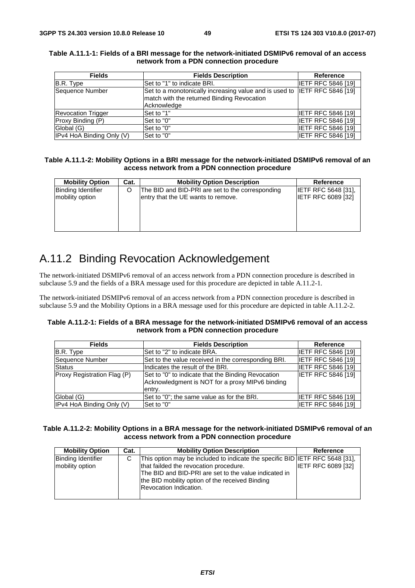| <b>Fields</b>             | <b>Fields Description</b>                                                 | <b>Reference</b>          |
|---------------------------|---------------------------------------------------------------------------|---------------------------|
| B.R. Type                 | Set to "1" to indicate BRI.                                               | <b>IETF RFC 5846 [19]</b> |
| Sequence Number           | Set to a monotonically increasing value and is used to IETF RFC 5846 [19] |                           |
|                           | match with the returned Binding Revocation                                |                           |
|                           | Acknowledge                                                               |                           |
| <b>Revocation Trigger</b> | Set to "1"                                                                | <b>IETF RFC 5846 [19]</b> |
| Proxy Binding (P)         | Set to "0"                                                                | <b>IETF RFC 5846 [19]</b> |
| Global (G)                | Set to "0"                                                                | <b>IETF RFC 5846 [19]</b> |
| IPv4 HoA Binding Only (V) | Set to "0"                                                                | <b>IETF RFC 5846 [19]</b> |

#### **Table A.11.1-1: Fields of a BRI message for the network-initiated DSMIPv6 removal of an access network from a PDN connection procedure**

#### **Table A.11.1-2: Mobility Options in a BRI message for the network-initiated DSMIPv6 removal of an access network from a PDN connection procedure**

| <b>Mobility Option</b>    | Cat. | <b>Mobility Option Description</b>               | Reference                  |
|---------------------------|------|--------------------------------------------------|----------------------------|
| <b>Binding Identifier</b> |      | The BID and BID-PRI are set to the corresponding | <b>IETF RFC 5648 [31].</b> |
| mobility option           |      | entry that the UE wants to remove.               | <b>IETF RFC 6089 [32]</b>  |
|                           |      |                                                  |                            |
|                           |      |                                                  |                            |
|                           |      |                                                  |                            |
|                           |      |                                                  |                            |

# A.11.2 Binding Revocation Acknowledgement

The network-initiated DSMIPv6 removal of an access network from a PDN connection procedure is described in subclause 5.9 and the fields of a BRA message used for this procedure are depicted in table A.11.2-1.

The network-initiated DSMIPv6 removal of an access network from a PDN connection procedure is described in subclause 5.9 and the Mobility Options in a BRA message used for this procedure are depicted in table A.11.2-2.

#### **Table A.11.2-1: Fields of a BRA message for the network-initiated DSMIPv6 removal of an access network from a PDN connection procedure**

| <b>Fields</b>               | <b>Fields Description</b>                                                                                       | Reference                 |
|-----------------------------|-----------------------------------------------------------------------------------------------------------------|---------------------------|
| B.R. Type                   | Set to "2" to indicate BRA.                                                                                     | <b>IETF RFC 5846 [19]</b> |
| Sequence Number             | Set to the value received in the corresponding BRI.                                                             | <b>IETF RFC 5846 [19]</b> |
| <b>Status</b>               | Indicates the result of the BRI.                                                                                | <b>IETF RFC 5846 [19]</b> |
| Proxy Registration Flag (P) | Set to "0" to indicate that the Binding Revocation<br>Acknowledgment is NOT for a proxy MIPv6 binding<br>entry. | <b>IETF RFC 5846 [19]</b> |
| Global (G)                  | Set to "0"; the same value as for the BRI.                                                                      | <b>IETF RFC 5846 [19]</b> |
| IPv4 HoA Binding Only (V)   | Set to "0"                                                                                                      | <b>IETF RFC 5846 [19]</b> |

#### **Table A.11.2-2: Mobility Options in a BRA message for the network-initiated DSMIPv6 removal of an access network from a PDN connection procedure**

| <b>Mobility Option</b>                       | Cat. | <b>Mobility Option Description</b>                                                                                                                                                                                                                                  | Reference                 |
|----------------------------------------------|------|---------------------------------------------------------------------------------------------------------------------------------------------------------------------------------------------------------------------------------------------------------------------|---------------------------|
| <b>Binding Identifier</b><br>mobility option | C    | This option may be included to indicate the specific BID IETF RFC 5648 [31],<br>that failded the revocation procedure.<br>The BID and BID-PRI are set to the value indicated in<br>the BID mobility option of the received Binding<br><b>Revocation Indication.</b> | <b>IETF RFC 6089 [32]</b> |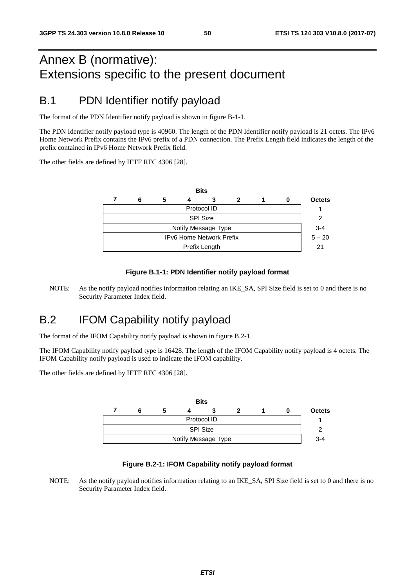# Annex B (normative): Extensions specific to the present document

### B.1 PDN Identifier notify payload

The format of the PDN Identifier notify payload is shown in figure B-1-1.

The PDN Identifier notify payload type is 40960. The length of the PDN Identifier notify payload is 21 octets. The IPv6 Home Network Prefix contains the IPv6 prefix of a PDN connection. The Prefix Length field indicates the length of the prefix contained in IPv6 Home Network Prefix field.

The other fields are defined by IETF RFC 4306 [28].

|                                 |   |   |  | <b>Bits</b> |  |  |   |               |
|---------------------------------|---|---|--|-------------|--|--|---|---------------|
|                                 | 6 | 5 |  | 3           |  |  | o | <b>Octets</b> |
| Protocol ID                     |   |   |  |             |  |  |   |               |
| <b>SPI Size</b>                 |   |   |  |             |  |  |   |               |
| Notify Message Type             |   |   |  |             |  |  |   |               |
| <b>IPv6 Home Network Prefix</b> |   |   |  |             |  |  |   | $5 - 20$      |
| Prefix Length                   |   |   |  |             |  |  |   | 21            |
|                                 |   |   |  |             |  |  |   |               |

#### **Figure B.1-1: PDN Identifier notify payload format**

NOTE: As the notify payload notifies information relating an IKE\_SA, SPI Size field is set to 0 and there is no Security Parameter Index field.

### B.2 IFOM Capability notify payload

The format of the IFOM Capability notify payload is shown in figure B.2-1.

The IFOM Capability notify payload type is 16428. The length of the IFOM Capability notify payload is 4 octets. The IFOM Capability notify payload is used to indicate the IFOM capability.

The other fields are defined by IETF RFC 4306 [28].



#### **Figure B.2-1: IFOM Capability notify payload format**

NOTE: As the notify payload notifies information relating to an IKE\_SA, SPI Size field is set to 0 and there is no Security Parameter Index field.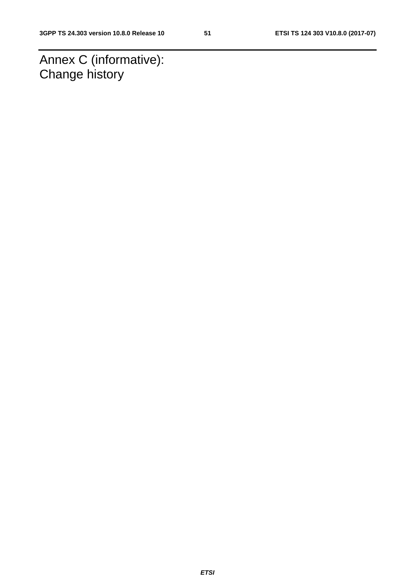Annex C (informative): Change history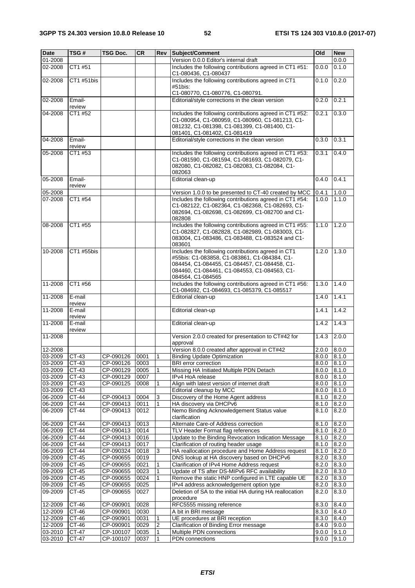| <b>Date</b> | TSG#             | TSG Doc.       | <b>CR</b> | Rev            | Subject/Comment                                                                                                                                                                                                         | Old             | <b>New</b> |
|-------------|------------------|----------------|-----------|----------------|-------------------------------------------------------------------------------------------------------------------------------------------------------------------------------------------------------------------------|-----------------|------------|
| 01-2008     |                  |                |           |                | Version 0.0.0 Editor's internal draft                                                                                                                                                                                   |                 | 0.0.0      |
| 02-2008     | CT1 #51          |                |           |                | Includes the following contributions agreed in CT1 #51:<br>C1-080436, C1-080437                                                                                                                                         | 0.0.0           | 0.1.0      |
| 02-2008     | CT1 #51bis       |                |           |                | Includes the following contributions agreed in CT1<br>#51bis:                                                                                                                                                           | 0.1.0           | 0.2.0      |
|             |                  |                |           |                | C1-080770, C1-080776, C1-080791.                                                                                                                                                                                        |                 |            |
| 02-2008     | Email-<br>review |                |           |                | Editorial/style corrections in the clean version                                                                                                                                                                        | 0.2.0           | 0.2.1      |
| 04-2008     | CT1 #52          |                |           |                | Includes the following contributions agreed in CT1 #52:<br>C1-080954, C1-080959, C1-080960, C1-081213, C1-<br>081232, C1-081398, C1-081399, C1-081400, C1-<br>081401, C1-081402, C1-081419                              | 0.2.1           | 0.3.0      |
| 04-2008     | Email-<br>review |                |           |                | Editorial/style corrections in the clean version                                                                                                                                                                        | 0.3.0           | 0.3.1      |
| 05-2008     | CT1 #53          |                |           |                | Includes the following contributions agreed in CT1 #53:<br>C1-081590, C1-081594, C1-081693, C1-082079, C1-<br>082080, C1-082082, C1-082083, C1-082084, C1-<br>082063                                                    | 0.3.1           | 0.4.0      |
| 05-2008     | Email-<br>review |                |           |                | Editorial clean-up                                                                                                                                                                                                      | 0.4.0           | 0.4.1      |
| 05-2008     |                  |                |           |                | Version 1.0.0 to be presented to CT-40 created by MCC                                                                                                                                                                   | 0.4.1           | 1.0.0      |
| 07-2008     | CT1 #54          |                |           |                | Includes the following contributions agreed in CT1 #54:<br>C1-082122, C1-082364, C1-082368, C1-082693, C1-<br>082694, C1-082698, C1-082699, C1-082700 and C1-<br>082808                                                 | 1.0.0           | 1.1.0      |
| 08-2008     | CT1 #55          |                |           |                | Includes the following contributions agreed in CT1 #55:<br>C1-082827, C1-082828, C1-082989, C1-083003, C1-<br>083004, C1-083486, C1-083488, C1-083524 and C1-<br>083601                                                 | 1.1.0           | 1.2.0      |
| 10-2008     | CT1 #55bis       |                |           |                | Includes the following contributions agreed in CT1<br>#55bis: C1-083858, C1-083861, C1-084384, C1-<br>084454, C1-084455, C1-084457, C1-084458, C1-<br>084460, C1-084461, C1-084553, C1-084563, C1-<br>084564, C1-084565 | 1.2.0           | 1.3.0      |
| 11-2008     | CT1 #56          |                |           |                | Includes the following contributions agreed in CT1 #56:<br>C1-084692, C1-084693, C1-085379, C1-085517                                                                                                                   | 1.3.0           | 1.4.0      |
| 11-2008     | E-mail<br>review |                |           |                | Editorial clean-up                                                                                                                                                                                                      | 1.4.0           | 1.4.1      |
| 11-2008     | E-mail<br>review |                |           |                | Editorial clean-up                                                                                                                                                                                                      | 1.4.1           | 1.4.2      |
| 11-2008     | E-mail<br>review |                |           |                | Editorial clean-up                                                                                                                                                                                                      | 1.4.2           | 1.4.3      |
| 11-2008     |                  |                |           |                | Version 2.0.0 created for presentation to CT#42 for<br>approval                                                                                                                                                         | 1.4.3           | 2.0.0      |
| 12-2008     |                  |                |           |                | Version 8.0.0 created after approval in CT#42                                                                                                                                                                           | 2.0.0           | 8.0.0      |
| 03-2009     | CT-43            | CP-090126      | 0001      | 1              | <b>Binding Update Optimization</b>                                                                                                                                                                                      | 8.0.0           | 8.1.0      |
| 03-2009     | $CT-43$          | CP-090126 0003 |           |                | <b>BRI</b> error correction                                                                                                                                                                                             | $8.0.0$ $8.1.0$ |            |
| $03 - 2009$ | CT-43            | CP-090129      | 0005      | 1              | Missing HA Initiated Multiple PDN Detach                                                                                                                                                                                | 8.0.0           | 8.1.0      |
| 03-2009     | $CT-43$          | CP-090129      | 0007      |                | IPv4 HoA release                                                                                                                                                                                                        | 8.0.0           | 8.1.0      |
| 03-2009     | CT-43            | CP-090125      | 0008      | $\mathbf{1}$   | Align with latest version of internet draft                                                                                                                                                                             | 8.0.0           | 8.1.0      |
| 03-2009     | CT-43            |                |           |                | Editorial cleanup by MCC                                                                                                                                                                                                | 8.0.0           | 8.1.0      |
| 06-2009     | CT-44            | CP-090413      | 0004      | 3              | Discovery of the Home Agent address                                                                                                                                                                                     | 8.1.0           | 8.2.0      |
| 06-2009     | CT-44            | CP-090413      | 0011      | $\mathbf{1}$   | HA discovery via DHCPv6                                                                                                                                                                                                 | 8.1.0           | 8.2.0      |
| 06-2009     | CT-44            | CP-090413      | 0012      |                | Nemo Binding Acknowledgement Status value<br>clarification                                                                                                                                                              | 8.1.0           | 8.2.0      |
| 06-2009     | CT-44            | CP-090413      | 0013      |                | Alternate Care-of Address correction                                                                                                                                                                                    | 8.1.0           | 8.2.0      |
| 06-2009     | CT-44            | CP-090413      | 0014      |                | TLV Header Format flag references                                                                                                                                                                                       | 8.1.0           | 8.2.0      |
| 06-2009     | CT-44            | CP-090413      | 0016      |                | Update to the Binding Revocation Indication Message                                                                                                                                                                     | 8.1.0           | 8.2.0      |
| 06-2009     | CT-44            | CP-090413      | 0017      |                | Clarification of routing header usage                                                                                                                                                                                   | 8.1.0           | 8.2.0      |
| 06-2009     | CT-44            | CP-090324      | 0018      | 3              | HA reallocation procedure and Home Address request                                                                                                                                                                      | 8.1.0           | 8.2.0      |
| 09-2009     | CT-45            | CP-090655      | 0019      |                | DNS lookup at HA discovery based on DHCPv6                                                                                                                                                                              | 8.2.0           | 8.3.0      |
| 09-2009     | CT-45            | CP-090655      | 0021      | 1              | Clarification of IPv4 Home Address request                                                                                                                                                                              | 8.2.0           | 8.3.0      |
| 09-2009     | CT-45            | CP-090655      | 0023      | $\mathbf{1}$   | Update of TS after DS-MIPv6 RFC availability                                                                                                                                                                            | 8.2.0           | 8.3.0      |
| 09-2009     | CT-45            | CP-090655      | 0024      | 1              | Remove the static HNP configured in LTE capable UE                                                                                                                                                                      | 8.2.0           | 8.3.0      |
| 09-2009     | CT-45            | CP-090655      | 0025      |                | IPv4 address acknowledgement option type                                                                                                                                                                                | 8.2.0           | 8.3.0      |
| 09-2009     | CT-45            | CP-090655      | 0027      |                | Deletion of SA to the initial HA during HA reallocation<br>procedure                                                                                                                                                    | 8.2.0           | 8.3.0      |
| 12-2009     | CT-46            | CP-090901      | 0028      |                | RFC5555 missing reference                                                                                                                                                                                               | 8.3.0           | 8.4.0      |
| 12-2009     | CT-46            | CP-090901      | 0030      |                | A bit in BRI message                                                                                                                                                                                                    | 8.3.0           | 8.4.0      |
| 12-2009     | CT-46            | CP-090901      | 0031      | 1              | UE procedures at BRI reception                                                                                                                                                                                          | 8.3.0           | 8.4.0      |
| 12-2009     | $CT-46$          | CP-090901      | 0029      | $\overline{2}$ | Clarification of Binding Error message                                                                                                                                                                                  | 8.4.0           | 9.0.0      |
| 03-2010     | CT-47            | CP-100107      | 0035      | 1              | Multiple PDN connections                                                                                                                                                                                                | 9.0.0           | 9.1.0      |
| 03-2010     | CT-47            | CP-100107      | 0037      | $\mathbf{1}$   | PDN connections                                                                                                                                                                                                         | 9.0.0           | 9.1.0      |
|             |                  |                |           |                |                                                                                                                                                                                                                         |                 |            |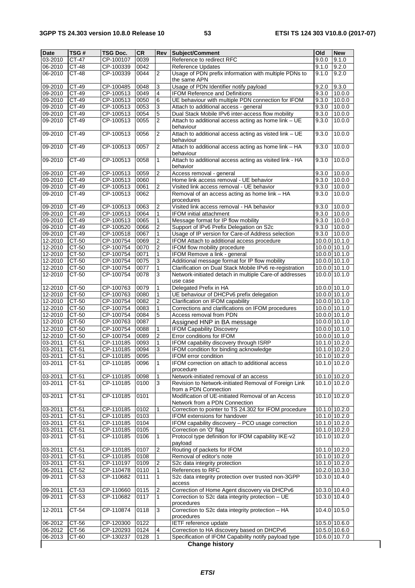ן

| 03-2010<br>CT-47<br>CP-100107<br>0039<br>Reference to redirect RFC<br>9.1.0<br>9.0.0<br>06-2010<br>CT-48<br>CP-100339<br>0042<br><b>Reference Updates</b><br>9.1.0<br>9.2.0<br>Usage of PDN prefix information with multiple PDNs to<br>CT-48<br>CP-100339<br>0044<br>9.2.0<br>06-2010<br>2<br>9.1.0<br>the same APN<br>CT-49<br>CP-100485<br>0048<br>Usage of PDN Identifier notify payload<br>9.2.0<br>9.3.0<br>09-2010<br>3<br>CT-49<br>CP-100513<br>0049<br>4<br><b>IFOM Reference and Definitions</b><br>09-2010<br>9.3.0<br>10.0.0<br>09-2010<br>CT-49<br>CP-100513<br>0050<br>UE behaviour with multiple PDN connection for IFOM<br>6<br>9.3.0<br>10.0.0<br>09-2010<br>CT-49<br>CP-100513<br>0053<br>3<br>9.3.0<br>10.0.0<br>Attach to additional access - general<br>09-2010<br>CT-49<br>CP-100513<br>0054<br>5<br>Dual Stack Mobile IPv6 inter-access flow mobility<br>9.3.0<br>10.0.0<br>CP-100513<br>09-2010<br>CT-49<br>0055<br>$\overline{2}$<br>Attach to additional access acting as home link - UE<br>9.3.0<br>10.0.0<br>behaviour<br>09-2010<br>$CT-49$<br>CP-100513<br>Attach to additional access acting as visted link - UE<br>10.0.0<br>0056<br>$\overline{2}$<br>9.3.0<br>behaviour<br>09-2010<br>$CT-49$<br>CP-100513<br>0057<br>$\overline{2}$<br>Attach to additional access acting as home link - HA<br>9.3.0<br>10.0.0<br>behaviour<br>$CT-49$<br>09-2010<br>0058<br>$\mathbf{1}$<br>Attach to additional access acting as visited link - HA<br>10.0.0<br>CP-100513<br>9.3.0<br>behavior<br>$CT-49$<br>09-2010<br>CP-100513<br>0059<br>$\overline{2}$<br>Access removal - general<br>9.3.0<br>10.0.0<br>09-2010<br>CT-49<br>CP-100513<br>0060<br>Home link access removal - UE behavior<br>9.3.0<br>10.0.0<br>CT-49<br>CP-100513<br>$\overline{2}$<br>Visited link access removal - UE behavior<br>09-2010<br>0061<br>10.0.0<br>9.3.0<br>CP-100513<br>09-2010<br>CT-49<br>0062<br>9.3.0<br>Removal of an access acting as home link - HA<br>10.0.0<br>procedures<br>$CT-49$<br>Visited link access removal - HA behavior<br>09-2010<br>CP-100513<br>0063<br>2<br>9.3.0<br>10.0.0<br>09-2010<br>CT-49<br>CP-100513<br>0064<br>1<br><b>IFOM</b> initial attachment<br>9.3.0<br>10.0.0<br>09-2010<br>CT-49<br>CP-100513<br>Message format for IP flow mobility<br>0065<br>1<br>9.3.0<br>10.0.0<br>09-2010<br>$\overline{2}$<br>CT-49<br>CP-100520<br>0066<br>Support of IPv6 Prefix Delegation on S2c<br>9.3.0<br>10.0.0<br>09-2010<br>$CT-49$<br>0067<br>1<br>Usage of IP version for Care-of Address selection<br>CP-100518<br>9.3.0<br>10.0.0<br>$\overline{\mathbf{c}}$<br>12-2010<br>CT-50<br>CP-100754<br>0069<br>10.0.0 10.1.0<br>IFOM Attach to additional access procedure<br>$\overline{2}$<br>12-2010<br>CT-50<br>CP-100754<br>0070<br>IFOM flow mobility procedure<br>10.0.0 10.1.0<br>12-2010<br>CT-50<br>CP-100754<br>0071<br>IFOM Remove a link - general<br>10.0.0 10.1.0<br>1<br>3<br>12-2010<br>CP-100754<br>0075<br>Additional message format for IP flow mobility<br>10.0.0 10.1.0<br>CT-50<br>$\mathbf{1}$<br>12-2010<br>$CT-50$<br>CP-100754<br>0077<br>Clarification on Dual Stack Mobile IPv6 re-registration<br>$10.0.0$ 10.1.0<br>12-2010<br>CT-50<br>CP-100754<br>0078<br>3<br>Network-initiated detach in multiple Care-of addresses<br>10.0.0 10.1.0<br>use case<br>12-2010<br>CT-50<br>CP-100763<br>0079<br>Delegated Prefix in HA<br>1<br>10.0.0 10.1.0<br>12-2010<br>0080<br>$\mathbf{1}$<br>UE behaviour of DHCPv6 prefix delegation<br>10.0.0 10.1.0<br>CT-50<br>CP-100763<br>12-2010<br>CT-50<br>CP-100754<br>0082<br>$\overline{c}$<br>Clarification on IFOM capability<br>10.0.0 10.1.0<br>Corrections and clarifications on IFOM procedures<br>CT-50<br>1<br>10.0.0 10.1.0<br>12-2010<br>CP-100754<br>0083<br>12-2010<br>0084<br>5<br>Access removal from PDN<br>CT-50<br>CP-100754<br>10.0.0 10.1.0<br>12-2010<br>CP-100763<br>0087<br>CT-50<br>10.0.0 10.1.0<br>Assigned HNP in BA message<br>$CT-50$<br>CP-100754<br>10.0.0 10.1.0<br>12-2010<br>0088<br><b>IFOM Capability Discovery</b><br>1<br>12-2010<br>$\overline{2}$<br>$CT-50$<br>CP-100754<br>0089<br>Error conditions for IFOM<br>10.0.0 10.1.0<br>CT-51<br>IFOM capability discovery through ISRP<br>03-2011<br>CP-110185<br>0093<br>1<br>10.1.0 10.2.0<br>03-2011<br>CT-51<br>CP-110185<br>0094<br>3<br>IFOM condition for binding acknowledge<br>10.1.0 10.2.0<br>03-2011<br>CT-51<br>CP-110185<br>0095<br>IFOM error condition<br>10.1.0 10.2.0<br>IFOM correction on attach to additional access<br>CT-51<br>10.1.0 10.2.0<br>03-2011<br>CP-110185<br>0096<br>l 1<br>procedure<br>CT-51<br>03-2011<br>CP-110185<br>0098<br>Network-initiated removal of an access<br>10.1.0 10.2.0<br>1<br>CP-110185<br>Revision to Network-initiated Removal of Foreign Link<br>10.1.0 10.2.0<br>03-2011<br>CT-51<br>0100<br>3<br>from a PDN Connection<br>Modification of UE-initiated Removal of an Access<br>10.1.0 10.2.0<br>03-2011<br>CT-51<br>CP-110185<br>0101<br>Network from a PDN Connection<br>CT-51<br>CP-110185<br>0102<br>Correction to pointer to TS 24.302 for IFOM procedure<br>$10.\overline{1.0}$ $10.\overline{2.0}$<br>03-2011<br>1<br>03-2011<br>CT-51<br>CP-110185<br>0103<br>IFOM extensions for handover<br>10.1.0 10.2.0<br>IFOM capability discovery - PCO usage correction<br>03-2011<br>CT-51<br>CP-110185<br>0104<br>10.1.0 10.2.0<br>03-2011<br>CT-51<br>CP-110185<br>Correction on 'O' flag<br>0105<br>10.1.0 10.2.0<br>Protocol type definition for IFOM capability IKE-v2<br>03-2011<br>CT-51<br>CP-110185<br>0106<br>1<br>$10.1.0$ 10.2.0<br>payload<br>$CT-51$<br>$\overline{2}$<br>Routing of packets for IFOM<br>03-2011<br>CP-110185<br>0107<br>10.1.0 10.2.0<br>03-2011<br>CT-51<br>CP-110185<br>0108<br>Removal of editor's note<br>10.1.0 10.2.0<br>03-2011<br>CT-51<br>CP-110197<br>10.1.0 10.2.0<br>0109<br>S2c data integrity protection<br>2<br>CP-110478<br>06-2011<br>CT-52<br>0110<br>$\mathbf{1}$<br>References to RFC<br>10.2.0 10.3.0<br>S2c data integrity protection over trusted non-3GPP<br>09-2011<br>CT-53<br>CP-110682<br>0111<br>$\mathbf{1}$<br>10.3.0 10.4.0<br>access<br>09-2011<br>CT-53<br>CP-110660<br>0115<br>Correction of Home Agent discovery via DHCPv6<br>10.3.0 10.4.0<br>$\overline{c}$<br>Correction to S2c data integrity protection - UE<br>09-2011<br>CT-53<br>CP-110682<br>0117<br>$\mathbf{1}$<br>10.3.0 10.4.0<br>procedures<br>CT-54<br>Correction to S2c data integrity protection - HA<br>12-2011<br>CP-110874<br>0118<br>3<br>10.4.0 10.5.0<br>procedures<br><b>IETF</b> reference update<br>CT-56<br>06-2012<br>CP-120300<br>0122<br>10.5.0 10.6.0<br>Correction to HA discovery based on DHCPv6<br>CT-56<br>CP-120293<br>0124<br>10.5.0 10.6.0<br>06-2012<br>4<br>Specification of IFOM Capability notify payload type<br>06-2013<br>CT-60<br>CP-130237<br>0128<br>$\mathbf{1}$<br>10.6.0 10.7.0<br><b>Change history</b> | <b>Date</b> | TSG# | <b>TSG Doc.</b> | <b>CR</b> | Rev | Subject/Comment | Old | <b>New</b> |
|------------------------------------------------------------------------------------------------------------------------------------------------------------------------------------------------------------------------------------------------------------------------------------------------------------------------------------------------------------------------------------------------------------------------------------------------------------------------------------------------------------------------------------------------------------------------------------------------------------------------------------------------------------------------------------------------------------------------------------------------------------------------------------------------------------------------------------------------------------------------------------------------------------------------------------------------------------------------------------------------------------------------------------------------------------------------------------------------------------------------------------------------------------------------------------------------------------------------------------------------------------------------------------------------------------------------------------------------------------------------------------------------------------------------------------------------------------------------------------------------------------------------------------------------------------------------------------------------------------------------------------------------------------------------------------------------------------------------------------------------------------------------------------------------------------------------------------------------------------------------------------------------------------------------------------------------------------------------------------------------------------------------------------------------------------------------------------------------------------------------------------------------------------------------------------------------------------------------------------------------------------------------------------------------------------------------------------------------------------------------------------------------------------------------------------------------------------------------------------------------------------------------------------------------------------------------------------------------------------------------------------------------------------------------------------------------------------------------------------------------------------------------------------------------------------------------------------------------------------------------------------------------------------------------------------------------------------------------------------------------------------------------------------------------------------------------------------------------------------------------------------------------------------------------------------------------------------------------------------------------------------------------------------------------------------------------------------------------------------------------------------------------------------------------------------------------------------------------------------------------------------------------------------------------------------------------------------------------------------------------------------------------------------------------------------------------------------------------------------------------------------------------------------------------------------------------------------------------------------------------------------------------------------------------------------------------------------------------------------------------------------------------------------------------------------------------------------------------------------------------------------------------------------------------------------------------------------------------------------------------------------------------------------------------------------------------------------------------------------------------------------------------------------------------------------------------------------------------------------------------------------------------------------------------------------------------------------------------------------------------------------------------------------------------------------------------------------------------------------------------------------------------------------------------------------------------------------------------------------------------------------------------------------------------------------------------------------------------------------------------------------------------------------------------------------------------------------------------------------------------------------------------------------------------------------------------------------------------------------------------------------------------------------------------------------------------------------------------------------------------------------------------------------------------------------------------------------------------------------------------------------------------------------------------------------------------------------------------------------------------------------------------------------------------------------------------------------------------------------------------------------------------------------------------------------------------------------------------------------------------------------------------------------------------------------------------------------------------------------------------------------------------------------------------------------------------------------------------------------------------------------------------------------------------------------------------------------------------------------------------------------------------------------------------------------------------------------------------------------------------------------------------------------------------------------------------------------------------------------------------------------------------------------------------------------------------------------------------------------------------------------------------------------------------------------------------------------------------------------------------------------------------------------------------------------------------------------------------------------------------------------------------------------------------------------|-------------|------|-----------------|-----------|-----|-----------------|-----|------------|
|                                                                                                                                                                                                                                                                                                                                                                                                                                                                                                                                                                                                                                                                                                                                                                                                                                                                                                                                                                                                                                                                                                                                                                                                                                                                                                                                                                                                                                                                                                                                                                                                                                                                                                                                                                                                                                                                                                                                                                                                                                                                                                                                                                                                                                                                                                                                                                                                                                                                                                                                                                                                                                                                                                                                                                                                                                                                                                                                                                                                                                                                                                                                                                                                                                                                                                                                                                                                                                                                                                                                                                                                                                                                                                                                                                                                                                                                                                                                                                                                                                                                                                                                                                                                                                                                                                                                                                                                                                                                                                                                                                                                                                                                                                                                                                                                                                                                                                                                                                                                                                                                                                                                                                                                                                                                                                                                                                                                                                                                                                                                                                                                                                                                                                                                                                                                                                                                                                                                                                                                                                                                                                                                                                                                                                                                                                                                                                                                                                                                                                                                                                                                                                                                                                                                                                                                                                                                                                                                    |             |      |                 |           |     |                 |     |            |
|                                                                                                                                                                                                                                                                                                                                                                                                                                                                                                                                                                                                                                                                                                                                                                                                                                                                                                                                                                                                                                                                                                                                                                                                                                                                                                                                                                                                                                                                                                                                                                                                                                                                                                                                                                                                                                                                                                                                                                                                                                                                                                                                                                                                                                                                                                                                                                                                                                                                                                                                                                                                                                                                                                                                                                                                                                                                                                                                                                                                                                                                                                                                                                                                                                                                                                                                                                                                                                                                                                                                                                                                                                                                                                                                                                                                                                                                                                                                                                                                                                                                                                                                                                                                                                                                                                                                                                                                                                                                                                                                                                                                                                                                                                                                                                                                                                                                                                                                                                                                                                                                                                                                                                                                                                                                                                                                                                                                                                                                                                                                                                                                                                                                                                                                                                                                                                                                                                                                                                                                                                                                                                                                                                                                                                                                                                                                                                                                                                                                                                                                                                                                                                                                                                                                                                                                                                                                                                                                    |             |      |                 |           |     |                 |     |            |
|                                                                                                                                                                                                                                                                                                                                                                                                                                                                                                                                                                                                                                                                                                                                                                                                                                                                                                                                                                                                                                                                                                                                                                                                                                                                                                                                                                                                                                                                                                                                                                                                                                                                                                                                                                                                                                                                                                                                                                                                                                                                                                                                                                                                                                                                                                                                                                                                                                                                                                                                                                                                                                                                                                                                                                                                                                                                                                                                                                                                                                                                                                                                                                                                                                                                                                                                                                                                                                                                                                                                                                                                                                                                                                                                                                                                                                                                                                                                                                                                                                                                                                                                                                                                                                                                                                                                                                                                                                                                                                                                                                                                                                                                                                                                                                                                                                                                                                                                                                                                                                                                                                                                                                                                                                                                                                                                                                                                                                                                                                                                                                                                                                                                                                                                                                                                                                                                                                                                                                                                                                                                                                                                                                                                                                                                                                                                                                                                                                                                                                                                                                                                                                                                                                                                                                                                                                                                                                                                    |             |      |                 |           |     |                 |     |            |
|                                                                                                                                                                                                                                                                                                                                                                                                                                                                                                                                                                                                                                                                                                                                                                                                                                                                                                                                                                                                                                                                                                                                                                                                                                                                                                                                                                                                                                                                                                                                                                                                                                                                                                                                                                                                                                                                                                                                                                                                                                                                                                                                                                                                                                                                                                                                                                                                                                                                                                                                                                                                                                                                                                                                                                                                                                                                                                                                                                                                                                                                                                                                                                                                                                                                                                                                                                                                                                                                                                                                                                                                                                                                                                                                                                                                                                                                                                                                                                                                                                                                                                                                                                                                                                                                                                                                                                                                                                                                                                                                                                                                                                                                                                                                                                                                                                                                                                                                                                                                                                                                                                                                                                                                                                                                                                                                                                                                                                                                                                                                                                                                                                                                                                                                                                                                                                                                                                                                                                                                                                                                                                                                                                                                                                                                                                                                                                                                                                                                                                                                                                                                                                                                                                                                                                                                                                                                                                                                    |             |      |                 |           |     |                 |     |            |
|                                                                                                                                                                                                                                                                                                                                                                                                                                                                                                                                                                                                                                                                                                                                                                                                                                                                                                                                                                                                                                                                                                                                                                                                                                                                                                                                                                                                                                                                                                                                                                                                                                                                                                                                                                                                                                                                                                                                                                                                                                                                                                                                                                                                                                                                                                                                                                                                                                                                                                                                                                                                                                                                                                                                                                                                                                                                                                                                                                                                                                                                                                                                                                                                                                                                                                                                                                                                                                                                                                                                                                                                                                                                                                                                                                                                                                                                                                                                                                                                                                                                                                                                                                                                                                                                                                                                                                                                                                                                                                                                                                                                                                                                                                                                                                                                                                                                                                                                                                                                                                                                                                                                                                                                                                                                                                                                                                                                                                                                                                                                                                                                                                                                                                                                                                                                                                                                                                                                                                                                                                                                                                                                                                                                                                                                                                                                                                                                                                                                                                                                                                                                                                                                                                                                                                                                                                                                                                                                    |             |      |                 |           |     |                 |     |            |
|                                                                                                                                                                                                                                                                                                                                                                                                                                                                                                                                                                                                                                                                                                                                                                                                                                                                                                                                                                                                                                                                                                                                                                                                                                                                                                                                                                                                                                                                                                                                                                                                                                                                                                                                                                                                                                                                                                                                                                                                                                                                                                                                                                                                                                                                                                                                                                                                                                                                                                                                                                                                                                                                                                                                                                                                                                                                                                                                                                                                                                                                                                                                                                                                                                                                                                                                                                                                                                                                                                                                                                                                                                                                                                                                                                                                                                                                                                                                                                                                                                                                                                                                                                                                                                                                                                                                                                                                                                                                                                                                                                                                                                                                                                                                                                                                                                                                                                                                                                                                                                                                                                                                                                                                                                                                                                                                                                                                                                                                                                                                                                                                                                                                                                                                                                                                                                                                                                                                                                                                                                                                                                                                                                                                                                                                                                                                                                                                                                                                                                                                                                                                                                                                                                                                                                                                                                                                                                                                    |             |      |                 |           |     |                 |     |            |
|                                                                                                                                                                                                                                                                                                                                                                                                                                                                                                                                                                                                                                                                                                                                                                                                                                                                                                                                                                                                                                                                                                                                                                                                                                                                                                                                                                                                                                                                                                                                                                                                                                                                                                                                                                                                                                                                                                                                                                                                                                                                                                                                                                                                                                                                                                                                                                                                                                                                                                                                                                                                                                                                                                                                                                                                                                                                                                                                                                                                                                                                                                                                                                                                                                                                                                                                                                                                                                                                                                                                                                                                                                                                                                                                                                                                                                                                                                                                                                                                                                                                                                                                                                                                                                                                                                                                                                                                                                                                                                                                                                                                                                                                                                                                                                                                                                                                                                                                                                                                                                                                                                                                                                                                                                                                                                                                                                                                                                                                                                                                                                                                                                                                                                                                                                                                                                                                                                                                                                                                                                                                                                                                                                                                                                                                                                                                                                                                                                                                                                                                                                                                                                                                                                                                                                                                                                                                                                                                    |             |      |                 |           |     |                 |     |            |
|                                                                                                                                                                                                                                                                                                                                                                                                                                                                                                                                                                                                                                                                                                                                                                                                                                                                                                                                                                                                                                                                                                                                                                                                                                                                                                                                                                                                                                                                                                                                                                                                                                                                                                                                                                                                                                                                                                                                                                                                                                                                                                                                                                                                                                                                                                                                                                                                                                                                                                                                                                                                                                                                                                                                                                                                                                                                                                                                                                                                                                                                                                                                                                                                                                                                                                                                                                                                                                                                                                                                                                                                                                                                                                                                                                                                                                                                                                                                                                                                                                                                                                                                                                                                                                                                                                                                                                                                                                                                                                                                                                                                                                                                                                                                                                                                                                                                                                                                                                                                                                                                                                                                                                                                                                                                                                                                                                                                                                                                                                                                                                                                                                                                                                                                                                                                                                                                                                                                                                                                                                                                                                                                                                                                                                                                                                                                                                                                                                                                                                                                                                                                                                                                                                                                                                                                                                                                                                                                    |             |      |                 |           |     |                 |     |            |
|                                                                                                                                                                                                                                                                                                                                                                                                                                                                                                                                                                                                                                                                                                                                                                                                                                                                                                                                                                                                                                                                                                                                                                                                                                                                                                                                                                                                                                                                                                                                                                                                                                                                                                                                                                                                                                                                                                                                                                                                                                                                                                                                                                                                                                                                                                                                                                                                                                                                                                                                                                                                                                                                                                                                                                                                                                                                                                                                                                                                                                                                                                                                                                                                                                                                                                                                                                                                                                                                                                                                                                                                                                                                                                                                                                                                                                                                                                                                                                                                                                                                                                                                                                                                                                                                                                                                                                                                                                                                                                                                                                                                                                                                                                                                                                                                                                                                                                                                                                                                                                                                                                                                                                                                                                                                                                                                                                                                                                                                                                                                                                                                                                                                                                                                                                                                                                                                                                                                                                                                                                                                                                                                                                                                                                                                                                                                                                                                                                                                                                                                                                                                                                                                                                                                                                                                                                                                                                                                    |             |      |                 |           |     |                 |     |            |
|                                                                                                                                                                                                                                                                                                                                                                                                                                                                                                                                                                                                                                                                                                                                                                                                                                                                                                                                                                                                                                                                                                                                                                                                                                                                                                                                                                                                                                                                                                                                                                                                                                                                                                                                                                                                                                                                                                                                                                                                                                                                                                                                                                                                                                                                                                                                                                                                                                                                                                                                                                                                                                                                                                                                                                                                                                                                                                                                                                                                                                                                                                                                                                                                                                                                                                                                                                                                                                                                                                                                                                                                                                                                                                                                                                                                                                                                                                                                                                                                                                                                                                                                                                                                                                                                                                                                                                                                                                                                                                                                                                                                                                                                                                                                                                                                                                                                                                                                                                                                                                                                                                                                                                                                                                                                                                                                                                                                                                                                                                                                                                                                                                                                                                                                                                                                                                                                                                                                                                                                                                                                                                                                                                                                                                                                                                                                                                                                                                                                                                                                                                                                                                                                                                                                                                                                                                                                                                                                    |             |      |                 |           |     |                 |     |            |
|                                                                                                                                                                                                                                                                                                                                                                                                                                                                                                                                                                                                                                                                                                                                                                                                                                                                                                                                                                                                                                                                                                                                                                                                                                                                                                                                                                                                                                                                                                                                                                                                                                                                                                                                                                                                                                                                                                                                                                                                                                                                                                                                                                                                                                                                                                                                                                                                                                                                                                                                                                                                                                                                                                                                                                                                                                                                                                                                                                                                                                                                                                                                                                                                                                                                                                                                                                                                                                                                                                                                                                                                                                                                                                                                                                                                                                                                                                                                                                                                                                                                                                                                                                                                                                                                                                                                                                                                                                                                                                                                                                                                                                                                                                                                                                                                                                                                                                                                                                                                                                                                                                                                                                                                                                                                                                                                                                                                                                                                                                                                                                                                                                                                                                                                                                                                                                                                                                                                                                                                                                                                                                                                                                                                                                                                                                                                                                                                                                                                                                                                                                                                                                                                                                                                                                                                                                                                                                                                    |             |      |                 |           |     |                 |     |            |
|                                                                                                                                                                                                                                                                                                                                                                                                                                                                                                                                                                                                                                                                                                                                                                                                                                                                                                                                                                                                                                                                                                                                                                                                                                                                                                                                                                                                                                                                                                                                                                                                                                                                                                                                                                                                                                                                                                                                                                                                                                                                                                                                                                                                                                                                                                                                                                                                                                                                                                                                                                                                                                                                                                                                                                                                                                                                                                                                                                                                                                                                                                                                                                                                                                                                                                                                                                                                                                                                                                                                                                                                                                                                                                                                                                                                                                                                                                                                                                                                                                                                                                                                                                                                                                                                                                                                                                                                                                                                                                                                                                                                                                                                                                                                                                                                                                                                                                                                                                                                                                                                                                                                                                                                                                                                                                                                                                                                                                                                                                                                                                                                                                                                                                                                                                                                                                                                                                                                                                                                                                                                                                                                                                                                                                                                                                                                                                                                                                                                                                                                                                                                                                                                                                                                                                                                                                                                                                                                    |             |      |                 |           |     |                 |     |            |
|                                                                                                                                                                                                                                                                                                                                                                                                                                                                                                                                                                                                                                                                                                                                                                                                                                                                                                                                                                                                                                                                                                                                                                                                                                                                                                                                                                                                                                                                                                                                                                                                                                                                                                                                                                                                                                                                                                                                                                                                                                                                                                                                                                                                                                                                                                                                                                                                                                                                                                                                                                                                                                                                                                                                                                                                                                                                                                                                                                                                                                                                                                                                                                                                                                                                                                                                                                                                                                                                                                                                                                                                                                                                                                                                                                                                                                                                                                                                                                                                                                                                                                                                                                                                                                                                                                                                                                                                                                                                                                                                                                                                                                                                                                                                                                                                                                                                                                                                                                                                                                                                                                                                                                                                                                                                                                                                                                                                                                                                                                                                                                                                                                                                                                                                                                                                                                                                                                                                                                                                                                                                                                                                                                                                                                                                                                                                                                                                                                                                                                                                                                                                                                                                                                                                                                                                                                                                                                                                    |             |      |                 |           |     |                 |     |            |
|                                                                                                                                                                                                                                                                                                                                                                                                                                                                                                                                                                                                                                                                                                                                                                                                                                                                                                                                                                                                                                                                                                                                                                                                                                                                                                                                                                                                                                                                                                                                                                                                                                                                                                                                                                                                                                                                                                                                                                                                                                                                                                                                                                                                                                                                                                                                                                                                                                                                                                                                                                                                                                                                                                                                                                                                                                                                                                                                                                                                                                                                                                                                                                                                                                                                                                                                                                                                                                                                                                                                                                                                                                                                                                                                                                                                                                                                                                                                                                                                                                                                                                                                                                                                                                                                                                                                                                                                                                                                                                                                                                                                                                                                                                                                                                                                                                                                                                                                                                                                                                                                                                                                                                                                                                                                                                                                                                                                                                                                                                                                                                                                                                                                                                                                                                                                                                                                                                                                                                                                                                                                                                                                                                                                                                                                                                                                                                                                                                                                                                                                                                                                                                                                                                                                                                                                                                                                                                                                    |             |      |                 |           |     |                 |     |            |
|                                                                                                                                                                                                                                                                                                                                                                                                                                                                                                                                                                                                                                                                                                                                                                                                                                                                                                                                                                                                                                                                                                                                                                                                                                                                                                                                                                                                                                                                                                                                                                                                                                                                                                                                                                                                                                                                                                                                                                                                                                                                                                                                                                                                                                                                                                                                                                                                                                                                                                                                                                                                                                                                                                                                                                                                                                                                                                                                                                                                                                                                                                                                                                                                                                                                                                                                                                                                                                                                                                                                                                                                                                                                                                                                                                                                                                                                                                                                                                                                                                                                                                                                                                                                                                                                                                                                                                                                                                                                                                                                                                                                                                                                                                                                                                                                                                                                                                                                                                                                                                                                                                                                                                                                                                                                                                                                                                                                                                                                                                                                                                                                                                                                                                                                                                                                                                                                                                                                                                                                                                                                                                                                                                                                                                                                                                                                                                                                                                                                                                                                                                                                                                                                                                                                                                                                                                                                                                                                    |             |      |                 |           |     |                 |     |            |
|                                                                                                                                                                                                                                                                                                                                                                                                                                                                                                                                                                                                                                                                                                                                                                                                                                                                                                                                                                                                                                                                                                                                                                                                                                                                                                                                                                                                                                                                                                                                                                                                                                                                                                                                                                                                                                                                                                                                                                                                                                                                                                                                                                                                                                                                                                                                                                                                                                                                                                                                                                                                                                                                                                                                                                                                                                                                                                                                                                                                                                                                                                                                                                                                                                                                                                                                                                                                                                                                                                                                                                                                                                                                                                                                                                                                                                                                                                                                                                                                                                                                                                                                                                                                                                                                                                                                                                                                                                                                                                                                                                                                                                                                                                                                                                                                                                                                                                                                                                                                                                                                                                                                                                                                                                                                                                                                                                                                                                                                                                                                                                                                                                                                                                                                                                                                                                                                                                                                                                                                                                                                                                                                                                                                                                                                                                                                                                                                                                                                                                                                                                                                                                                                                                                                                                                                                                                                                                                                    |             |      |                 |           |     |                 |     |            |
|                                                                                                                                                                                                                                                                                                                                                                                                                                                                                                                                                                                                                                                                                                                                                                                                                                                                                                                                                                                                                                                                                                                                                                                                                                                                                                                                                                                                                                                                                                                                                                                                                                                                                                                                                                                                                                                                                                                                                                                                                                                                                                                                                                                                                                                                                                                                                                                                                                                                                                                                                                                                                                                                                                                                                                                                                                                                                                                                                                                                                                                                                                                                                                                                                                                                                                                                                                                                                                                                                                                                                                                                                                                                                                                                                                                                                                                                                                                                                                                                                                                                                                                                                                                                                                                                                                                                                                                                                                                                                                                                                                                                                                                                                                                                                                                                                                                                                                                                                                                                                                                                                                                                                                                                                                                                                                                                                                                                                                                                                                                                                                                                                                                                                                                                                                                                                                                                                                                                                                                                                                                                                                                                                                                                                                                                                                                                                                                                                                                                                                                                                                                                                                                                                                                                                                                                                                                                                                                                    |             |      |                 |           |     |                 |     |            |
|                                                                                                                                                                                                                                                                                                                                                                                                                                                                                                                                                                                                                                                                                                                                                                                                                                                                                                                                                                                                                                                                                                                                                                                                                                                                                                                                                                                                                                                                                                                                                                                                                                                                                                                                                                                                                                                                                                                                                                                                                                                                                                                                                                                                                                                                                                                                                                                                                                                                                                                                                                                                                                                                                                                                                                                                                                                                                                                                                                                                                                                                                                                                                                                                                                                                                                                                                                                                                                                                                                                                                                                                                                                                                                                                                                                                                                                                                                                                                                                                                                                                                                                                                                                                                                                                                                                                                                                                                                                                                                                                                                                                                                                                                                                                                                                                                                                                                                                                                                                                                                                                                                                                                                                                                                                                                                                                                                                                                                                                                                                                                                                                                                                                                                                                                                                                                                                                                                                                                                                                                                                                                                                                                                                                                                                                                                                                                                                                                                                                                                                                                                                                                                                                                                                                                                                                                                                                                                                                    |             |      |                 |           |     |                 |     |            |
|                                                                                                                                                                                                                                                                                                                                                                                                                                                                                                                                                                                                                                                                                                                                                                                                                                                                                                                                                                                                                                                                                                                                                                                                                                                                                                                                                                                                                                                                                                                                                                                                                                                                                                                                                                                                                                                                                                                                                                                                                                                                                                                                                                                                                                                                                                                                                                                                                                                                                                                                                                                                                                                                                                                                                                                                                                                                                                                                                                                                                                                                                                                                                                                                                                                                                                                                                                                                                                                                                                                                                                                                                                                                                                                                                                                                                                                                                                                                                                                                                                                                                                                                                                                                                                                                                                                                                                                                                                                                                                                                                                                                                                                                                                                                                                                                                                                                                                                                                                                                                                                                                                                                                                                                                                                                                                                                                                                                                                                                                                                                                                                                                                                                                                                                                                                                                                                                                                                                                                                                                                                                                                                                                                                                                                                                                                                                                                                                                                                                                                                                                                                                                                                                                                                                                                                                                                                                                                                                    |             |      |                 |           |     |                 |     |            |
|                                                                                                                                                                                                                                                                                                                                                                                                                                                                                                                                                                                                                                                                                                                                                                                                                                                                                                                                                                                                                                                                                                                                                                                                                                                                                                                                                                                                                                                                                                                                                                                                                                                                                                                                                                                                                                                                                                                                                                                                                                                                                                                                                                                                                                                                                                                                                                                                                                                                                                                                                                                                                                                                                                                                                                                                                                                                                                                                                                                                                                                                                                                                                                                                                                                                                                                                                                                                                                                                                                                                                                                                                                                                                                                                                                                                                                                                                                                                                                                                                                                                                                                                                                                                                                                                                                                                                                                                                                                                                                                                                                                                                                                                                                                                                                                                                                                                                                                                                                                                                                                                                                                                                                                                                                                                                                                                                                                                                                                                                                                                                                                                                                                                                                                                                                                                                                                                                                                                                                                                                                                                                                                                                                                                                                                                                                                                                                                                                                                                                                                                                                                                                                                                                                                                                                                                                                                                                                                                    |             |      |                 |           |     |                 |     |            |
|                                                                                                                                                                                                                                                                                                                                                                                                                                                                                                                                                                                                                                                                                                                                                                                                                                                                                                                                                                                                                                                                                                                                                                                                                                                                                                                                                                                                                                                                                                                                                                                                                                                                                                                                                                                                                                                                                                                                                                                                                                                                                                                                                                                                                                                                                                                                                                                                                                                                                                                                                                                                                                                                                                                                                                                                                                                                                                                                                                                                                                                                                                                                                                                                                                                                                                                                                                                                                                                                                                                                                                                                                                                                                                                                                                                                                                                                                                                                                                                                                                                                                                                                                                                                                                                                                                                                                                                                                                                                                                                                                                                                                                                                                                                                                                                                                                                                                                                                                                                                                                                                                                                                                                                                                                                                                                                                                                                                                                                                                                                                                                                                                                                                                                                                                                                                                                                                                                                                                                                                                                                                                                                                                                                                                                                                                                                                                                                                                                                                                                                                                                                                                                                                                                                                                                                                                                                                                                                                    |             |      |                 |           |     |                 |     |            |
|                                                                                                                                                                                                                                                                                                                                                                                                                                                                                                                                                                                                                                                                                                                                                                                                                                                                                                                                                                                                                                                                                                                                                                                                                                                                                                                                                                                                                                                                                                                                                                                                                                                                                                                                                                                                                                                                                                                                                                                                                                                                                                                                                                                                                                                                                                                                                                                                                                                                                                                                                                                                                                                                                                                                                                                                                                                                                                                                                                                                                                                                                                                                                                                                                                                                                                                                                                                                                                                                                                                                                                                                                                                                                                                                                                                                                                                                                                                                                                                                                                                                                                                                                                                                                                                                                                                                                                                                                                                                                                                                                                                                                                                                                                                                                                                                                                                                                                                                                                                                                                                                                                                                                                                                                                                                                                                                                                                                                                                                                                                                                                                                                                                                                                                                                                                                                                                                                                                                                                                                                                                                                                                                                                                                                                                                                                                                                                                                                                                                                                                                                                                                                                                                                                                                                                                                                                                                                                                                    |             |      |                 |           |     |                 |     |            |
|                                                                                                                                                                                                                                                                                                                                                                                                                                                                                                                                                                                                                                                                                                                                                                                                                                                                                                                                                                                                                                                                                                                                                                                                                                                                                                                                                                                                                                                                                                                                                                                                                                                                                                                                                                                                                                                                                                                                                                                                                                                                                                                                                                                                                                                                                                                                                                                                                                                                                                                                                                                                                                                                                                                                                                                                                                                                                                                                                                                                                                                                                                                                                                                                                                                                                                                                                                                                                                                                                                                                                                                                                                                                                                                                                                                                                                                                                                                                                                                                                                                                                                                                                                                                                                                                                                                                                                                                                                                                                                                                                                                                                                                                                                                                                                                                                                                                                                                                                                                                                                                                                                                                                                                                                                                                                                                                                                                                                                                                                                                                                                                                                                                                                                                                                                                                                                                                                                                                                                                                                                                                                                                                                                                                                                                                                                                                                                                                                                                                                                                                                                                                                                                                                                                                                                                                                                                                                                                                    |             |      |                 |           |     |                 |     |            |
|                                                                                                                                                                                                                                                                                                                                                                                                                                                                                                                                                                                                                                                                                                                                                                                                                                                                                                                                                                                                                                                                                                                                                                                                                                                                                                                                                                                                                                                                                                                                                                                                                                                                                                                                                                                                                                                                                                                                                                                                                                                                                                                                                                                                                                                                                                                                                                                                                                                                                                                                                                                                                                                                                                                                                                                                                                                                                                                                                                                                                                                                                                                                                                                                                                                                                                                                                                                                                                                                                                                                                                                                                                                                                                                                                                                                                                                                                                                                                                                                                                                                                                                                                                                                                                                                                                                                                                                                                                                                                                                                                                                                                                                                                                                                                                                                                                                                                                                                                                                                                                                                                                                                                                                                                                                                                                                                                                                                                                                                                                                                                                                                                                                                                                                                                                                                                                                                                                                                                                                                                                                                                                                                                                                                                                                                                                                                                                                                                                                                                                                                                                                                                                                                                                                                                                                                                                                                                                                                    |             |      |                 |           |     |                 |     |            |
|                                                                                                                                                                                                                                                                                                                                                                                                                                                                                                                                                                                                                                                                                                                                                                                                                                                                                                                                                                                                                                                                                                                                                                                                                                                                                                                                                                                                                                                                                                                                                                                                                                                                                                                                                                                                                                                                                                                                                                                                                                                                                                                                                                                                                                                                                                                                                                                                                                                                                                                                                                                                                                                                                                                                                                                                                                                                                                                                                                                                                                                                                                                                                                                                                                                                                                                                                                                                                                                                                                                                                                                                                                                                                                                                                                                                                                                                                                                                                                                                                                                                                                                                                                                                                                                                                                                                                                                                                                                                                                                                                                                                                                                                                                                                                                                                                                                                                                                                                                                                                                                                                                                                                                                                                                                                                                                                                                                                                                                                                                                                                                                                                                                                                                                                                                                                                                                                                                                                                                                                                                                                                                                                                                                                                                                                                                                                                                                                                                                                                                                                                                                                                                                                                                                                                                                                                                                                                                                                    |             |      |                 |           |     |                 |     |            |
|                                                                                                                                                                                                                                                                                                                                                                                                                                                                                                                                                                                                                                                                                                                                                                                                                                                                                                                                                                                                                                                                                                                                                                                                                                                                                                                                                                                                                                                                                                                                                                                                                                                                                                                                                                                                                                                                                                                                                                                                                                                                                                                                                                                                                                                                                                                                                                                                                                                                                                                                                                                                                                                                                                                                                                                                                                                                                                                                                                                                                                                                                                                                                                                                                                                                                                                                                                                                                                                                                                                                                                                                                                                                                                                                                                                                                                                                                                                                                                                                                                                                                                                                                                                                                                                                                                                                                                                                                                                                                                                                                                                                                                                                                                                                                                                                                                                                                                                                                                                                                                                                                                                                                                                                                                                                                                                                                                                                                                                                                                                                                                                                                                                                                                                                                                                                                                                                                                                                                                                                                                                                                                                                                                                                                                                                                                                                                                                                                                                                                                                                                                                                                                                                                                                                                                                                                                                                                                                                    |             |      |                 |           |     |                 |     |            |
|                                                                                                                                                                                                                                                                                                                                                                                                                                                                                                                                                                                                                                                                                                                                                                                                                                                                                                                                                                                                                                                                                                                                                                                                                                                                                                                                                                                                                                                                                                                                                                                                                                                                                                                                                                                                                                                                                                                                                                                                                                                                                                                                                                                                                                                                                                                                                                                                                                                                                                                                                                                                                                                                                                                                                                                                                                                                                                                                                                                                                                                                                                                                                                                                                                                                                                                                                                                                                                                                                                                                                                                                                                                                                                                                                                                                                                                                                                                                                                                                                                                                                                                                                                                                                                                                                                                                                                                                                                                                                                                                                                                                                                                                                                                                                                                                                                                                                                                                                                                                                                                                                                                                                                                                                                                                                                                                                                                                                                                                                                                                                                                                                                                                                                                                                                                                                                                                                                                                                                                                                                                                                                                                                                                                                                                                                                                                                                                                                                                                                                                                                                                                                                                                                                                                                                                                                                                                                                                                    |             |      |                 |           |     |                 |     |            |
|                                                                                                                                                                                                                                                                                                                                                                                                                                                                                                                                                                                                                                                                                                                                                                                                                                                                                                                                                                                                                                                                                                                                                                                                                                                                                                                                                                                                                                                                                                                                                                                                                                                                                                                                                                                                                                                                                                                                                                                                                                                                                                                                                                                                                                                                                                                                                                                                                                                                                                                                                                                                                                                                                                                                                                                                                                                                                                                                                                                                                                                                                                                                                                                                                                                                                                                                                                                                                                                                                                                                                                                                                                                                                                                                                                                                                                                                                                                                                                                                                                                                                                                                                                                                                                                                                                                                                                                                                                                                                                                                                                                                                                                                                                                                                                                                                                                                                                                                                                                                                                                                                                                                                                                                                                                                                                                                                                                                                                                                                                                                                                                                                                                                                                                                                                                                                                                                                                                                                                                                                                                                                                                                                                                                                                                                                                                                                                                                                                                                                                                                                                                                                                                                                                                                                                                                                                                                                                                                    |             |      |                 |           |     |                 |     |            |
|                                                                                                                                                                                                                                                                                                                                                                                                                                                                                                                                                                                                                                                                                                                                                                                                                                                                                                                                                                                                                                                                                                                                                                                                                                                                                                                                                                                                                                                                                                                                                                                                                                                                                                                                                                                                                                                                                                                                                                                                                                                                                                                                                                                                                                                                                                                                                                                                                                                                                                                                                                                                                                                                                                                                                                                                                                                                                                                                                                                                                                                                                                                                                                                                                                                                                                                                                                                                                                                                                                                                                                                                                                                                                                                                                                                                                                                                                                                                                                                                                                                                                                                                                                                                                                                                                                                                                                                                                                                                                                                                                                                                                                                                                                                                                                                                                                                                                                                                                                                                                                                                                                                                                                                                                                                                                                                                                                                                                                                                                                                                                                                                                                                                                                                                                                                                                                                                                                                                                                                                                                                                                                                                                                                                                                                                                                                                                                                                                                                                                                                                                                                                                                                                                                                                                                                                                                                                                                                                    |             |      |                 |           |     |                 |     |            |
|                                                                                                                                                                                                                                                                                                                                                                                                                                                                                                                                                                                                                                                                                                                                                                                                                                                                                                                                                                                                                                                                                                                                                                                                                                                                                                                                                                                                                                                                                                                                                                                                                                                                                                                                                                                                                                                                                                                                                                                                                                                                                                                                                                                                                                                                                                                                                                                                                                                                                                                                                                                                                                                                                                                                                                                                                                                                                                                                                                                                                                                                                                                                                                                                                                                                                                                                                                                                                                                                                                                                                                                                                                                                                                                                                                                                                                                                                                                                                                                                                                                                                                                                                                                                                                                                                                                                                                                                                                                                                                                                                                                                                                                                                                                                                                                                                                                                                                                                                                                                                                                                                                                                                                                                                                                                                                                                                                                                                                                                                                                                                                                                                                                                                                                                                                                                                                                                                                                                                                                                                                                                                                                                                                                                                                                                                                                                                                                                                                                                                                                                                                                                                                                                                                                                                                                                                                                                                                                                    |             |      |                 |           |     |                 |     |            |
|                                                                                                                                                                                                                                                                                                                                                                                                                                                                                                                                                                                                                                                                                                                                                                                                                                                                                                                                                                                                                                                                                                                                                                                                                                                                                                                                                                                                                                                                                                                                                                                                                                                                                                                                                                                                                                                                                                                                                                                                                                                                                                                                                                                                                                                                                                                                                                                                                                                                                                                                                                                                                                                                                                                                                                                                                                                                                                                                                                                                                                                                                                                                                                                                                                                                                                                                                                                                                                                                                                                                                                                                                                                                                                                                                                                                                                                                                                                                                                                                                                                                                                                                                                                                                                                                                                                                                                                                                                                                                                                                                                                                                                                                                                                                                                                                                                                                                                                                                                                                                                                                                                                                                                                                                                                                                                                                                                                                                                                                                                                                                                                                                                                                                                                                                                                                                                                                                                                                                                                                                                                                                                                                                                                                                                                                                                                                                                                                                                                                                                                                                                                                                                                                                                                                                                                                                                                                                                                                    |             |      |                 |           |     |                 |     |            |
|                                                                                                                                                                                                                                                                                                                                                                                                                                                                                                                                                                                                                                                                                                                                                                                                                                                                                                                                                                                                                                                                                                                                                                                                                                                                                                                                                                                                                                                                                                                                                                                                                                                                                                                                                                                                                                                                                                                                                                                                                                                                                                                                                                                                                                                                                                                                                                                                                                                                                                                                                                                                                                                                                                                                                                                                                                                                                                                                                                                                                                                                                                                                                                                                                                                                                                                                                                                                                                                                                                                                                                                                                                                                                                                                                                                                                                                                                                                                                                                                                                                                                                                                                                                                                                                                                                                                                                                                                                                                                                                                                                                                                                                                                                                                                                                                                                                                                                                                                                                                                                                                                                                                                                                                                                                                                                                                                                                                                                                                                                                                                                                                                                                                                                                                                                                                                                                                                                                                                                                                                                                                                                                                                                                                                                                                                                                                                                                                                                                                                                                                                                                                                                                                                                                                                                                                                                                                                                                                    |             |      |                 |           |     |                 |     |            |
|                                                                                                                                                                                                                                                                                                                                                                                                                                                                                                                                                                                                                                                                                                                                                                                                                                                                                                                                                                                                                                                                                                                                                                                                                                                                                                                                                                                                                                                                                                                                                                                                                                                                                                                                                                                                                                                                                                                                                                                                                                                                                                                                                                                                                                                                                                                                                                                                                                                                                                                                                                                                                                                                                                                                                                                                                                                                                                                                                                                                                                                                                                                                                                                                                                                                                                                                                                                                                                                                                                                                                                                                                                                                                                                                                                                                                                                                                                                                                                                                                                                                                                                                                                                                                                                                                                                                                                                                                                                                                                                                                                                                                                                                                                                                                                                                                                                                                                                                                                                                                                                                                                                                                                                                                                                                                                                                                                                                                                                                                                                                                                                                                                                                                                                                                                                                                                                                                                                                                                                                                                                                                                                                                                                                                                                                                                                                                                                                                                                                                                                                                                                                                                                                                                                                                                                                                                                                                                                                    |             |      |                 |           |     |                 |     |            |
|                                                                                                                                                                                                                                                                                                                                                                                                                                                                                                                                                                                                                                                                                                                                                                                                                                                                                                                                                                                                                                                                                                                                                                                                                                                                                                                                                                                                                                                                                                                                                                                                                                                                                                                                                                                                                                                                                                                                                                                                                                                                                                                                                                                                                                                                                                                                                                                                                                                                                                                                                                                                                                                                                                                                                                                                                                                                                                                                                                                                                                                                                                                                                                                                                                                                                                                                                                                                                                                                                                                                                                                                                                                                                                                                                                                                                                                                                                                                                                                                                                                                                                                                                                                                                                                                                                                                                                                                                                                                                                                                                                                                                                                                                                                                                                                                                                                                                                                                                                                                                                                                                                                                                                                                                                                                                                                                                                                                                                                                                                                                                                                                                                                                                                                                                                                                                                                                                                                                                                                                                                                                                                                                                                                                                                                                                                                                                                                                                                                                                                                                                                                                                                                                                                                                                                                                                                                                                                                                    |             |      |                 |           |     |                 |     |            |
|                                                                                                                                                                                                                                                                                                                                                                                                                                                                                                                                                                                                                                                                                                                                                                                                                                                                                                                                                                                                                                                                                                                                                                                                                                                                                                                                                                                                                                                                                                                                                                                                                                                                                                                                                                                                                                                                                                                                                                                                                                                                                                                                                                                                                                                                                                                                                                                                                                                                                                                                                                                                                                                                                                                                                                                                                                                                                                                                                                                                                                                                                                                                                                                                                                                                                                                                                                                                                                                                                                                                                                                                                                                                                                                                                                                                                                                                                                                                                                                                                                                                                                                                                                                                                                                                                                                                                                                                                                                                                                                                                                                                                                                                                                                                                                                                                                                                                                                                                                                                                                                                                                                                                                                                                                                                                                                                                                                                                                                                                                                                                                                                                                                                                                                                                                                                                                                                                                                                                                                                                                                                                                                                                                                                                                                                                                                                                                                                                                                                                                                                                                                                                                                                                                                                                                                                                                                                                                                                    |             |      |                 |           |     |                 |     |            |
|                                                                                                                                                                                                                                                                                                                                                                                                                                                                                                                                                                                                                                                                                                                                                                                                                                                                                                                                                                                                                                                                                                                                                                                                                                                                                                                                                                                                                                                                                                                                                                                                                                                                                                                                                                                                                                                                                                                                                                                                                                                                                                                                                                                                                                                                                                                                                                                                                                                                                                                                                                                                                                                                                                                                                                                                                                                                                                                                                                                                                                                                                                                                                                                                                                                                                                                                                                                                                                                                                                                                                                                                                                                                                                                                                                                                                                                                                                                                                                                                                                                                                                                                                                                                                                                                                                                                                                                                                                                                                                                                                                                                                                                                                                                                                                                                                                                                                                                                                                                                                                                                                                                                                                                                                                                                                                                                                                                                                                                                                                                                                                                                                                                                                                                                                                                                                                                                                                                                                                                                                                                                                                                                                                                                                                                                                                                                                                                                                                                                                                                                                                                                                                                                                                                                                                                                                                                                                                                                    |             |      |                 |           |     |                 |     |            |
|                                                                                                                                                                                                                                                                                                                                                                                                                                                                                                                                                                                                                                                                                                                                                                                                                                                                                                                                                                                                                                                                                                                                                                                                                                                                                                                                                                                                                                                                                                                                                                                                                                                                                                                                                                                                                                                                                                                                                                                                                                                                                                                                                                                                                                                                                                                                                                                                                                                                                                                                                                                                                                                                                                                                                                                                                                                                                                                                                                                                                                                                                                                                                                                                                                                                                                                                                                                                                                                                                                                                                                                                                                                                                                                                                                                                                                                                                                                                                                                                                                                                                                                                                                                                                                                                                                                                                                                                                                                                                                                                                                                                                                                                                                                                                                                                                                                                                                                                                                                                                                                                                                                                                                                                                                                                                                                                                                                                                                                                                                                                                                                                                                                                                                                                                                                                                                                                                                                                                                                                                                                                                                                                                                                                                                                                                                                                                                                                                                                                                                                                                                                                                                                                                                                                                                                                                                                                                                                                    |             |      |                 |           |     |                 |     |            |
|                                                                                                                                                                                                                                                                                                                                                                                                                                                                                                                                                                                                                                                                                                                                                                                                                                                                                                                                                                                                                                                                                                                                                                                                                                                                                                                                                                                                                                                                                                                                                                                                                                                                                                                                                                                                                                                                                                                                                                                                                                                                                                                                                                                                                                                                                                                                                                                                                                                                                                                                                                                                                                                                                                                                                                                                                                                                                                                                                                                                                                                                                                                                                                                                                                                                                                                                                                                                                                                                                                                                                                                                                                                                                                                                                                                                                                                                                                                                                                                                                                                                                                                                                                                                                                                                                                                                                                                                                                                                                                                                                                                                                                                                                                                                                                                                                                                                                                                                                                                                                                                                                                                                                                                                                                                                                                                                                                                                                                                                                                                                                                                                                                                                                                                                                                                                                                                                                                                                                                                                                                                                                                                                                                                                                                                                                                                                                                                                                                                                                                                                                                                                                                                                                                                                                                                                                                                                                                                                    |             |      |                 |           |     |                 |     |            |
|                                                                                                                                                                                                                                                                                                                                                                                                                                                                                                                                                                                                                                                                                                                                                                                                                                                                                                                                                                                                                                                                                                                                                                                                                                                                                                                                                                                                                                                                                                                                                                                                                                                                                                                                                                                                                                                                                                                                                                                                                                                                                                                                                                                                                                                                                                                                                                                                                                                                                                                                                                                                                                                                                                                                                                                                                                                                                                                                                                                                                                                                                                                                                                                                                                                                                                                                                                                                                                                                                                                                                                                                                                                                                                                                                                                                                                                                                                                                                                                                                                                                                                                                                                                                                                                                                                                                                                                                                                                                                                                                                                                                                                                                                                                                                                                                                                                                                                                                                                                                                                                                                                                                                                                                                                                                                                                                                                                                                                                                                                                                                                                                                                                                                                                                                                                                                                                                                                                                                                                                                                                                                                                                                                                                                                                                                                                                                                                                                                                                                                                                                                                                                                                                                                                                                                                                                                                                                                                                    |             |      |                 |           |     |                 |     |            |
|                                                                                                                                                                                                                                                                                                                                                                                                                                                                                                                                                                                                                                                                                                                                                                                                                                                                                                                                                                                                                                                                                                                                                                                                                                                                                                                                                                                                                                                                                                                                                                                                                                                                                                                                                                                                                                                                                                                                                                                                                                                                                                                                                                                                                                                                                                                                                                                                                                                                                                                                                                                                                                                                                                                                                                                                                                                                                                                                                                                                                                                                                                                                                                                                                                                                                                                                                                                                                                                                                                                                                                                                                                                                                                                                                                                                                                                                                                                                                                                                                                                                                                                                                                                                                                                                                                                                                                                                                                                                                                                                                                                                                                                                                                                                                                                                                                                                                                                                                                                                                                                                                                                                                                                                                                                                                                                                                                                                                                                                                                                                                                                                                                                                                                                                                                                                                                                                                                                                                                                                                                                                                                                                                                                                                                                                                                                                                                                                                                                                                                                                                                                                                                                                                                                                                                                                                                                                                                                                    |             |      |                 |           |     |                 |     |            |
|                                                                                                                                                                                                                                                                                                                                                                                                                                                                                                                                                                                                                                                                                                                                                                                                                                                                                                                                                                                                                                                                                                                                                                                                                                                                                                                                                                                                                                                                                                                                                                                                                                                                                                                                                                                                                                                                                                                                                                                                                                                                                                                                                                                                                                                                                                                                                                                                                                                                                                                                                                                                                                                                                                                                                                                                                                                                                                                                                                                                                                                                                                                                                                                                                                                                                                                                                                                                                                                                                                                                                                                                                                                                                                                                                                                                                                                                                                                                                                                                                                                                                                                                                                                                                                                                                                                                                                                                                                                                                                                                                                                                                                                                                                                                                                                                                                                                                                                                                                                                                                                                                                                                                                                                                                                                                                                                                                                                                                                                                                                                                                                                                                                                                                                                                                                                                                                                                                                                                                                                                                                                                                                                                                                                                                                                                                                                                                                                                                                                                                                                                                                                                                                                                                                                                                                                                                                                                                                                    |             |      |                 |           |     |                 |     |            |
|                                                                                                                                                                                                                                                                                                                                                                                                                                                                                                                                                                                                                                                                                                                                                                                                                                                                                                                                                                                                                                                                                                                                                                                                                                                                                                                                                                                                                                                                                                                                                                                                                                                                                                                                                                                                                                                                                                                                                                                                                                                                                                                                                                                                                                                                                                                                                                                                                                                                                                                                                                                                                                                                                                                                                                                                                                                                                                                                                                                                                                                                                                                                                                                                                                                                                                                                                                                                                                                                                                                                                                                                                                                                                                                                                                                                                                                                                                                                                                                                                                                                                                                                                                                                                                                                                                                                                                                                                                                                                                                                                                                                                                                                                                                                                                                                                                                                                                                                                                                                                                                                                                                                                                                                                                                                                                                                                                                                                                                                                                                                                                                                                                                                                                                                                                                                                                                                                                                                                                                                                                                                                                                                                                                                                                                                                                                                                                                                                                                                                                                                                                                                                                                                                                                                                                                                                                                                                                                                    |             |      |                 |           |     |                 |     |            |
|                                                                                                                                                                                                                                                                                                                                                                                                                                                                                                                                                                                                                                                                                                                                                                                                                                                                                                                                                                                                                                                                                                                                                                                                                                                                                                                                                                                                                                                                                                                                                                                                                                                                                                                                                                                                                                                                                                                                                                                                                                                                                                                                                                                                                                                                                                                                                                                                                                                                                                                                                                                                                                                                                                                                                                                                                                                                                                                                                                                                                                                                                                                                                                                                                                                                                                                                                                                                                                                                                                                                                                                                                                                                                                                                                                                                                                                                                                                                                                                                                                                                                                                                                                                                                                                                                                                                                                                                                                                                                                                                                                                                                                                                                                                                                                                                                                                                                                                                                                                                                                                                                                                                                                                                                                                                                                                                                                                                                                                                                                                                                                                                                                                                                                                                                                                                                                                                                                                                                                                                                                                                                                                                                                                                                                                                                                                                                                                                                                                                                                                                                                                                                                                                                                                                                                                                                                                                                                                                    |             |      |                 |           |     |                 |     |            |
|                                                                                                                                                                                                                                                                                                                                                                                                                                                                                                                                                                                                                                                                                                                                                                                                                                                                                                                                                                                                                                                                                                                                                                                                                                                                                                                                                                                                                                                                                                                                                                                                                                                                                                                                                                                                                                                                                                                                                                                                                                                                                                                                                                                                                                                                                                                                                                                                                                                                                                                                                                                                                                                                                                                                                                                                                                                                                                                                                                                                                                                                                                                                                                                                                                                                                                                                                                                                                                                                                                                                                                                                                                                                                                                                                                                                                                                                                                                                                                                                                                                                                                                                                                                                                                                                                                                                                                                                                                                                                                                                                                                                                                                                                                                                                                                                                                                                                                                                                                                                                                                                                                                                                                                                                                                                                                                                                                                                                                                                                                                                                                                                                                                                                                                                                                                                                                                                                                                                                                                                                                                                                                                                                                                                                                                                                                                                                                                                                                                                                                                                                                                                                                                                                                                                                                                                                                                                                                                                    |             |      |                 |           |     |                 |     |            |
|                                                                                                                                                                                                                                                                                                                                                                                                                                                                                                                                                                                                                                                                                                                                                                                                                                                                                                                                                                                                                                                                                                                                                                                                                                                                                                                                                                                                                                                                                                                                                                                                                                                                                                                                                                                                                                                                                                                                                                                                                                                                                                                                                                                                                                                                                                                                                                                                                                                                                                                                                                                                                                                                                                                                                                                                                                                                                                                                                                                                                                                                                                                                                                                                                                                                                                                                                                                                                                                                                                                                                                                                                                                                                                                                                                                                                                                                                                                                                                                                                                                                                                                                                                                                                                                                                                                                                                                                                                                                                                                                                                                                                                                                                                                                                                                                                                                                                                                                                                                                                                                                                                                                                                                                                                                                                                                                                                                                                                                                                                                                                                                                                                                                                                                                                                                                                                                                                                                                                                                                                                                                                                                                                                                                                                                                                                                                                                                                                                                                                                                                                                                                                                                                                                                                                                                                                                                                                                                                    |             |      |                 |           |     |                 |     |            |
|                                                                                                                                                                                                                                                                                                                                                                                                                                                                                                                                                                                                                                                                                                                                                                                                                                                                                                                                                                                                                                                                                                                                                                                                                                                                                                                                                                                                                                                                                                                                                                                                                                                                                                                                                                                                                                                                                                                                                                                                                                                                                                                                                                                                                                                                                                                                                                                                                                                                                                                                                                                                                                                                                                                                                                                                                                                                                                                                                                                                                                                                                                                                                                                                                                                                                                                                                                                                                                                                                                                                                                                                                                                                                                                                                                                                                                                                                                                                                                                                                                                                                                                                                                                                                                                                                                                                                                                                                                                                                                                                                                                                                                                                                                                                                                                                                                                                                                                                                                                                                                                                                                                                                                                                                                                                                                                                                                                                                                                                                                                                                                                                                                                                                                                                                                                                                                                                                                                                                                                                                                                                                                                                                                                                                                                                                                                                                                                                                                                                                                                                                                                                                                                                                                                                                                                                                                                                                                                                    |             |      |                 |           |     |                 |     |            |
|                                                                                                                                                                                                                                                                                                                                                                                                                                                                                                                                                                                                                                                                                                                                                                                                                                                                                                                                                                                                                                                                                                                                                                                                                                                                                                                                                                                                                                                                                                                                                                                                                                                                                                                                                                                                                                                                                                                                                                                                                                                                                                                                                                                                                                                                                                                                                                                                                                                                                                                                                                                                                                                                                                                                                                                                                                                                                                                                                                                                                                                                                                                                                                                                                                                                                                                                                                                                                                                                                                                                                                                                                                                                                                                                                                                                                                                                                                                                                                                                                                                                                                                                                                                                                                                                                                                                                                                                                                                                                                                                                                                                                                                                                                                                                                                                                                                                                                                                                                                                                                                                                                                                                                                                                                                                                                                                                                                                                                                                                                                                                                                                                                                                                                                                                                                                                                                                                                                                                                                                                                                                                                                                                                                                                                                                                                                                                                                                                                                                                                                                                                                                                                                                                                                                                                                                                                                                                                                                    |             |      |                 |           |     |                 |     |            |
|                                                                                                                                                                                                                                                                                                                                                                                                                                                                                                                                                                                                                                                                                                                                                                                                                                                                                                                                                                                                                                                                                                                                                                                                                                                                                                                                                                                                                                                                                                                                                                                                                                                                                                                                                                                                                                                                                                                                                                                                                                                                                                                                                                                                                                                                                                                                                                                                                                                                                                                                                                                                                                                                                                                                                                                                                                                                                                                                                                                                                                                                                                                                                                                                                                                                                                                                                                                                                                                                                                                                                                                                                                                                                                                                                                                                                                                                                                                                                                                                                                                                                                                                                                                                                                                                                                                                                                                                                                                                                                                                                                                                                                                                                                                                                                                                                                                                                                                                                                                                                                                                                                                                                                                                                                                                                                                                                                                                                                                                                                                                                                                                                                                                                                                                                                                                                                                                                                                                                                                                                                                                                                                                                                                                                                                                                                                                                                                                                                                                                                                                                                                                                                                                                                                                                                                                                                                                                                                                    |             |      |                 |           |     |                 |     |            |
|                                                                                                                                                                                                                                                                                                                                                                                                                                                                                                                                                                                                                                                                                                                                                                                                                                                                                                                                                                                                                                                                                                                                                                                                                                                                                                                                                                                                                                                                                                                                                                                                                                                                                                                                                                                                                                                                                                                                                                                                                                                                                                                                                                                                                                                                                                                                                                                                                                                                                                                                                                                                                                                                                                                                                                                                                                                                                                                                                                                                                                                                                                                                                                                                                                                                                                                                                                                                                                                                                                                                                                                                                                                                                                                                                                                                                                                                                                                                                                                                                                                                                                                                                                                                                                                                                                                                                                                                                                                                                                                                                                                                                                                                                                                                                                                                                                                                                                                                                                                                                                                                                                                                                                                                                                                                                                                                                                                                                                                                                                                                                                                                                                                                                                                                                                                                                                                                                                                                                                                                                                                                                                                                                                                                                                                                                                                                                                                                                                                                                                                                                                                                                                                                                                                                                                                                                                                                                                                                    |             |      |                 |           |     |                 |     |            |
|                                                                                                                                                                                                                                                                                                                                                                                                                                                                                                                                                                                                                                                                                                                                                                                                                                                                                                                                                                                                                                                                                                                                                                                                                                                                                                                                                                                                                                                                                                                                                                                                                                                                                                                                                                                                                                                                                                                                                                                                                                                                                                                                                                                                                                                                                                                                                                                                                                                                                                                                                                                                                                                                                                                                                                                                                                                                                                                                                                                                                                                                                                                                                                                                                                                                                                                                                                                                                                                                                                                                                                                                                                                                                                                                                                                                                                                                                                                                                                                                                                                                                                                                                                                                                                                                                                                                                                                                                                                                                                                                                                                                                                                                                                                                                                                                                                                                                                                                                                                                                                                                                                                                                                                                                                                                                                                                                                                                                                                                                                                                                                                                                                                                                                                                                                                                                                                                                                                                                                                                                                                                                                                                                                                                                                                                                                                                                                                                                                                                                                                                                                                                                                                                                                                                                                                                                                                                                                                                    |             |      |                 |           |     |                 |     |            |
|                                                                                                                                                                                                                                                                                                                                                                                                                                                                                                                                                                                                                                                                                                                                                                                                                                                                                                                                                                                                                                                                                                                                                                                                                                                                                                                                                                                                                                                                                                                                                                                                                                                                                                                                                                                                                                                                                                                                                                                                                                                                                                                                                                                                                                                                                                                                                                                                                                                                                                                                                                                                                                                                                                                                                                                                                                                                                                                                                                                                                                                                                                                                                                                                                                                                                                                                                                                                                                                                                                                                                                                                                                                                                                                                                                                                                                                                                                                                                                                                                                                                                                                                                                                                                                                                                                                                                                                                                                                                                                                                                                                                                                                                                                                                                                                                                                                                                                                                                                                                                                                                                                                                                                                                                                                                                                                                                                                                                                                                                                                                                                                                                                                                                                                                                                                                                                                                                                                                                                                                                                                                                                                                                                                                                                                                                                                                                                                                                                                                                                                                                                                                                                                                                                                                                                                                                                                                                                                                    |             |      |                 |           |     |                 |     |            |
|                                                                                                                                                                                                                                                                                                                                                                                                                                                                                                                                                                                                                                                                                                                                                                                                                                                                                                                                                                                                                                                                                                                                                                                                                                                                                                                                                                                                                                                                                                                                                                                                                                                                                                                                                                                                                                                                                                                                                                                                                                                                                                                                                                                                                                                                                                                                                                                                                                                                                                                                                                                                                                                                                                                                                                                                                                                                                                                                                                                                                                                                                                                                                                                                                                                                                                                                                                                                                                                                                                                                                                                                                                                                                                                                                                                                                                                                                                                                                                                                                                                                                                                                                                                                                                                                                                                                                                                                                                                                                                                                                                                                                                                                                                                                                                                                                                                                                                                                                                                                                                                                                                                                                                                                                                                                                                                                                                                                                                                                                                                                                                                                                                                                                                                                                                                                                                                                                                                                                                                                                                                                                                                                                                                                                                                                                                                                                                                                                                                                                                                                                                                                                                                                                                                                                                                                                                                                                                                                    |             |      |                 |           |     |                 |     |            |
|                                                                                                                                                                                                                                                                                                                                                                                                                                                                                                                                                                                                                                                                                                                                                                                                                                                                                                                                                                                                                                                                                                                                                                                                                                                                                                                                                                                                                                                                                                                                                                                                                                                                                                                                                                                                                                                                                                                                                                                                                                                                                                                                                                                                                                                                                                                                                                                                                                                                                                                                                                                                                                                                                                                                                                                                                                                                                                                                                                                                                                                                                                                                                                                                                                                                                                                                                                                                                                                                                                                                                                                                                                                                                                                                                                                                                                                                                                                                                                                                                                                                                                                                                                                                                                                                                                                                                                                                                                                                                                                                                                                                                                                                                                                                                                                                                                                                                                                                                                                                                                                                                                                                                                                                                                                                                                                                                                                                                                                                                                                                                                                                                                                                                                                                                                                                                                                                                                                                                                                                                                                                                                                                                                                                                                                                                                                                                                                                                                                                                                                                                                                                                                                                                                                                                                                                                                                                                                                                    |             |      |                 |           |     |                 |     |            |
|                                                                                                                                                                                                                                                                                                                                                                                                                                                                                                                                                                                                                                                                                                                                                                                                                                                                                                                                                                                                                                                                                                                                                                                                                                                                                                                                                                                                                                                                                                                                                                                                                                                                                                                                                                                                                                                                                                                                                                                                                                                                                                                                                                                                                                                                                                                                                                                                                                                                                                                                                                                                                                                                                                                                                                                                                                                                                                                                                                                                                                                                                                                                                                                                                                                                                                                                                                                                                                                                                                                                                                                                                                                                                                                                                                                                                                                                                                                                                                                                                                                                                                                                                                                                                                                                                                                                                                                                                                                                                                                                                                                                                                                                                                                                                                                                                                                                                                                                                                                                                                                                                                                                                                                                                                                                                                                                                                                                                                                                                                                                                                                                                                                                                                                                                                                                                                                                                                                                                                                                                                                                                                                                                                                                                                                                                                                                                                                                                                                                                                                                                                                                                                                                                                                                                                                                                                                                                                                                    |             |      |                 |           |     |                 |     |            |
|                                                                                                                                                                                                                                                                                                                                                                                                                                                                                                                                                                                                                                                                                                                                                                                                                                                                                                                                                                                                                                                                                                                                                                                                                                                                                                                                                                                                                                                                                                                                                                                                                                                                                                                                                                                                                                                                                                                                                                                                                                                                                                                                                                                                                                                                                                                                                                                                                                                                                                                                                                                                                                                                                                                                                                                                                                                                                                                                                                                                                                                                                                                                                                                                                                                                                                                                                                                                                                                                                                                                                                                                                                                                                                                                                                                                                                                                                                                                                                                                                                                                                                                                                                                                                                                                                                                                                                                                                                                                                                                                                                                                                                                                                                                                                                                                                                                                                                                                                                                                                                                                                                                                                                                                                                                                                                                                                                                                                                                                                                                                                                                                                                                                                                                                                                                                                                                                                                                                                                                                                                                                                                                                                                                                                                                                                                                                                                                                                                                                                                                                                                                                                                                                                                                                                                                                                                                                                                                                    |             |      |                 |           |     |                 |     |            |
|                                                                                                                                                                                                                                                                                                                                                                                                                                                                                                                                                                                                                                                                                                                                                                                                                                                                                                                                                                                                                                                                                                                                                                                                                                                                                                                                                                                                                                                                                                                                                                                                                                                                                                                                                                                                                                                                                                                                                                                                                                                                                                                                                                                                                                                                                                                                                                                                                                                                                                                                                                                                                                                                                                                                                                                                                                                                                                                                                                                                                                                                                                                                                                                                                                                                                                                                                                                                                                                                                                                                                                                                                                                                                                                                                                                                                                                                                                                                                                                                                                                                                                                                                                                                                                                                                                                                                                                                                                                                                                                                                                                                                                                                                                                                                                                                                                                                                                                                                                                                                                                                                                                                                                                                                                                                                                                                                                                                                                                                                                                                                                                                                                                                                                                                                                                                                                                                                                                                                                                                                                                                                                                                                                                                                                                                                                                                                                                                                                                                                                                                                                                                                                                                                                                                                                                                                                                                                                                                    |             |      |                 |           |     |                 |     |            |
|                                                                                                                                                                                                                                                                                                                                                                                                                                                                                                                                                                                                                                                                                                                                                                                                                                                                                                                                                                                                                                                                                                                                                                                                                                                                                                                                                                                                                                                                                                                                                                                                                                                                                                                                                                                                                                                                                                                                                                                                                                                                                                                                                                                                                                                                                                                                                                                                                                                                                                                                                                                                                                                                                                                                                                                                                                                                                                                                                                                                                                                                                                                                                                                                                                                                                                                                                                                                                                                                                                                                                                                                                                                                                                                                                                                                                                                                                                                                                                                                                                                                                                                                                                                                                                                                                                                                                                                                                                                                                                                                                                                                                                                                                                                                                                                                                                                                                                                                                                                                                                                                                                                                                                                                                                                                                                                                                                                                                                                                                                                                                                                                                                                                                                                                                                                                                                                                                                                                                                                                                                                                                                                                                                                                                                                                                                                                                                                                                                                                                                                                                                                                                                                                                                                                                                                                                                                                                                                                    |             |      |                 |           |     |                 |     |            |
|                                                                                                                                                                                                                                                                                                                                                                                                                                                                                                                                                                                                                                                                                                                                                                                                                                                                                                                                                                                                                                                                                                                                                                                                                                                                                                                                                                                                                                                                                                                                                                                                                                                                                                                                                                                                                                                                                                                                                                                                                                                                                                                                                                                                                                                                                                                                                                                                                                                                                                                                                                                                                                                                                                                                                                                                                                                                                                                                                                                                                                                                                                                                                                                                                                                                                                                                                                                                                                                                                                                                                                                                                                                                                                                                                                                                                                                                                                                                                                                                                                                                                                                                                                                                                                                                                                                                                                                                                                                                                                                                                                                                                                                                                                                                                                                                                                                                                                                                                                                                                                                                                                                                                                                                                                                                                                                                                                                                                                                                                                                                                                                                                                                                                                                                                                                                                                                                                                                                                                                                                                                                                                                                                                                                                                                                                                                                                                                                                                                                                                                                                                                                                                                                                                                                                                                                                                                                                                                                    |             |      |                 |           |     |                 |     |            |
|                                                                                                                                                                                                                                                                                                                                                                                                                                                                                                                                                                                                                                                                                                                                                                                                                                                                                                                                                                                                                                                                                                                                                                                                                                                                                                                                                                                                                                                                                                                                                                                                                                                                                                                                                                                                                                                                                                                                                                                                                                                                                                                                                                                                                                                                                                                                                                                                                                                                                                                                                                                                                                                                                                                                                                                                                                                                                                                                                                                                                                                                                                                                                                                                                                                                                                                                                                                                                                                                                                                                                                                                                                                                                                                                                                                                                                                                                                                                                                                                                                                                                                                                                                                                                                                                                                                                                                                                                                                                                                                                                                                                                                                                                                                                                                                                                                                                                                                                                                                                                                                                                                                                                                                                                                                                                                                                                                                                                                                                                                                                                                                                                                                                                                                                                                                                                                                                                                                                                                                                                                                                                                                                                                                                                                                                                                                                                                                                                                                                                                                                                                                                                                                                                                                                                                                                                                                                                                                                    |             |      |                 |           |     |                 |     |            |
|                                                                                                                                                                                                                                                                                                                                                                                                                                                                                                                                                                                                                                                                                                                                                                                                                                                                                                                                                                                                                                                                                                                                                                                                                                                                                                                                                                                                                                                                                                                                                                                                                                                                                                                                                                                                                                                                                                                                                                                                                                                                                                                                                                                                                                                                                                                                                                                                                                                                                                                                                                                                                                                                                                                                                                                                                                                                                                                                                                                                                                                                                                                                                                                                                                                                                                                                                                                                                                                                                                                                                                                                                                                                                                                                                                                                                                                                                                                                                                                                                                                                                                                                                                                                                                                                                                                                                                                                                                                                                                                                                                                                                                                                                                                                                                                                                                                                                                                                                                                                                                                                                                                                                                                                                                                                                                                                                                                                                                                                                                                                                                                                                                                                                                                                                                                                                                                                                                                                                                                                                                                                                                                                                                                                                                                                                                                                                                                                                                                                                                                                                                                                                                                                                                                                                                                                                                                                                                                                    |             |      |                 |           |     |                 |     |            |
|                                                                                                                                                                                                                                                                                                                                                                                                                                                                                                                                                                                                                                                                                                                                                                                                                                                                                                                                                                                                                                                                                                                                                                                                                                                                                                                                                                                                                                                                                                                                                                                                                                                                                                                                                                                                                                                                                                                                                                                                                                                                                                                                                                                                                                                                                                                                                                                                                                                                                                                                                                                                                                                                                                                                                                                                                                                                                                                                                                                                                                                                                                                                                                                                                                                                                                                                                                                                                                                                                                                                                                                                                                                                                                                                                                                                                                                                                                                                                                                                                                                                                                                                                                                                                                                                                                                                                                                                                                                                                                                                                                                                                                                                                                                                                                                                                                                                                                                                                                                                                                                                                                                                                                                                                                                                                                                                                                                                                                                                                                                                                                                                                                                                                                                                                                                                                                                                                                                                                                                                                                                                                                                                                                                                                                                                                                                                                                                                                                                                                                                                                                                                                                                                                                                                                                                                                                                                                                                                    |             |      |                 |           |     |                 |     |            |
|                                                                                                                                                                                                                                                                                                                                                                                                                                                                                                                                                                                                                                                                                                                                                                                                                                                                                                                                                                                                                                                                                                                                                                                                                                                                                                                                                                                                                                                                                                                                                                                                                                                                                                                                                                                                                                                                                                                                                                                                                                                                                                                                                                                                                                                                                                                                                                                                                                                                                                                                                                                                                                                                                                                                                                                                                                                                                                                                                                                                                                                                                                                                                                                                                                                                                                                                                                                                                                                                                                                                                                                                                                                                                                                                                                                                                                                                                                                                                                                                                                                                                                                                                                                                                                                                                                                                                                                                                                                                                                                                                                                                                                                                                                                                                                                                                                                                                                                                                                                                                                                                                                                                                                                                                                                                                                                                                                                                                                                                                                                                                                                                                                                                                                                                                                                                                                                                                                                                                                                                                                                                                                                                                                                                                                                                                                                                                                                                                                                                                                                                                                                                                                                                                                                                                                                                                                                                                                                                    |             |      |                 |           |     |                 |     |            |
|                                                                                                                                                                                                                                                                                                                                                                                                                                                                                                                                                                                                                                                                                                                                                                                                                                                                                                                                                                                                                                                                                                                                                                                                                                                                                                                                                                                                                                                                                                                                                                                                                                                                                                                                                                                                                                                                                                                                                                                                                                                                                                                                                                                                                                                                                                                                                                                                                                                                                                                                                                                                                                                                                                                                                                                                                                                                                                                                                                                                                                                                                                                                                                                                                                                                                                                                                                                                                                                                                                                                                                                                                                                                                                                                                                                                                                                                                                                                                                                                                                                                                                                                                                                                                                                                                                                                                                                                                                                                                                                                                                                                                                                                                                                                                                                                                                                                                                                                                                                                                                                                                                                                                                                                                                                                                                                                                                                                                                                                                                                                                                                                                                                                                                                                                                                                                                                                                                                                                                                                                                                                                                                                                                                                                                                                                                                                                                                                                                                                                                                                                                                                                                                                                                                                                                                                                                                                                                                                    |             |      |                 |           |     |                 |     |            |
|                                                                                                                                                                                                                                                                                                                                                                                                                                                                                                                                                                                                                                                                                                                                                                                                                                                                                                                                                                                                                                                                                                                                                                                                                                                                                                                                                                                                                                                                                                                                                                                                                                                                                                                                                                                                                                                                                                                                                                                                                                                                                                                                                                                                                                                                                                                                                                                                                                                                                                                                                                                                                                                                                                                                                                                                                                                                                                                                                                                                                                                                                                                                                                                                                                                                                                                                                                                                                                                                                                                                                                                                                                                                                                                                                                                                                                                                                                                                                                                                                                                                                                                                                                                                                                                                                                                                                                                                                                                                                                                                                                                                                                                                                                                                                                                                                                                                                                                                                                                                                                                                                                                                                                                                                                                                                                                                                                                                                                                                                                                                                                                                                                                                                                                                                                                                                                                                                                                                                                                                                                                                                                                                                                                                                                                                                                                                                                                                                                                                                                                                                                                                                                                                                                                                                                                                                                                                                                                                    |             |      |                 |           |     |                 |     |            |
|                                                                                                                                                                                                                                                                                                                                                                                                                                                                                                                                                                                                                                                                                                                                                                                                                                                                                                                                                                                                                                                                                                                                                                                                                                                                                                                                                                                                                                                                                                                                                                                                                                                                                                                                                                                                                                                                                                                                                                                                                                                                                                                                                                                                                                                                                                                                                                                                                                                                                                                                                                                                                                                                                                                                                                                                                                                                                                                                                                                                                                                                                                                                                                                                                                                                                                                                                                                                                                                                                                                                                                                                                                                                                                                                                                                                                                                                                                                                                                                                                                                                                                                                                                                                                                                                                                                                                                                                                                                                                                                                                                                                                                                                                                                                                                                                                                                                                                                                                                                                                                                                                                                                                                                                                                                                                                                                                                                                                                                                                                                                                                                                                                                                                                                                                                                                                                                                                                                                                                                                                                                                                                                                                                                                                                                                                                                                                                                                                                                                                                                                                                                                                                                                                                                                                                                                                                                                                                                                    |             |      |                 |           |     |                 |     |            |
|                                                                                                                                                                                                                                                                                                                                                                                                                                                                                                                                                                                                                                                                                                                                                                                                                                                                                                                                                                                                                                                                                                                                                                                                                                                                                                                                                                                                                                                                                                                                                                                                                                                                                                                                                                                                                                                                                                                                                                                                                                                                                                                                                                                                                                                                                                                                                                                                                                                                                                                                                                                                                                                                                                                                                                                                                                                                                                                                                                                                                                                                                                                                                                                                                                                                                                                                                                                                                                                                                                                                                                                                                                                                                                                                                                                                                                                                                                                                                                                                                                                                                                                                                                                                                                                                                                                                                                                                                                                                                                                                                                                                                                                                                                                                                                                                                                                                                                                                                                                                                                                                                                                                                                                                                                                                                                                                                                                                                                                                                                                                                                                                                                                                                                                                                                                                                                                                                                                                                                                                                                                                                                                                                                                                                                                                                                                                                                                                                                                                                                                                                                                                                                                                                                                                                                                                                                                                                                                                    |             |      |                 |           |     |                 |     |            |
|                                                                                                                                                                                                                                                                                                                                                                                                                                                                                                                                                                                                                                                                                                                                                                                                                                                                                                                                                                                                                                                                                                                                                                                                                                                                                                                                                                                                                                                                                                                                                                                                                                                                                                                                                                                                                                                                                                                                                                                                                                                                                                                                                                                                                                                                                                                                                                                                                                                                                                                                                                                                                                                                                                                                                                                                                                                                                                                                                                                                                                                                                                                                                                                                                                                                                                                                                                                                                                                                                                                                                                                                                                                                                                                                                                                                                                                                                                                                                                                                                                                                                                                                                                                                                                                                                                                                                                                                                                                                                                                                                                                                                                                                                                                                                                                                                                                                                                                                                                                                                                                                                                                                                                                                                                                                                                                                                                                                                                                                                                                                                                                                                                                                                                                                                                                                                                                                                                                                                                                                                                                                                                                                                                                                                                                                                                                                                                                                                                                                                                                                                                                                                                                                                                                                                                                                                                                                                                                                    |             |      |                 |           |     |                 |     |            |
|                                                                                                                                                                                                                                                                                                                                                                                                                                                                                                                                                                                                                                                                                                                                                                                                                                                                                                                                                                                                                                                                                                                                                                                                                                                                                                                                                                                                                                                                                                                                                                                                                                                                                                                                                                                                                                                                                                                                                                                                                                                                                                                                                                                                                                                                                                                                                                                                                                                                                                                                                                                                                                                                                                                                                                                                                                                                                                                                                                                                                                                                                                                                                                                                                                                                                                                                                                                                                                                                                                                                                                                                                                                                                                                                                                                                                                                                                                                                                                                                                                                                                                                                                                                                                                                                                                                                                                                                                                                                                                                                                                                                                                                                                                                                                                                                                                                                                                                                                                                                                                                                                                                                                                                                                                                                                                                                                                                                                                                                                                                                                                                                                                                                                                                                                                                                                                                                                                                                                                                                                                                                                                                                                                                                                                                                                                                                                                                                                                                                                                                                                                                                                                                                                                                                                                                                                                                                                                                                    |             |      |                 |           |     |                 |     |            |
|                                                                                                                                                                                                                                                                                                                                                                                                                                                                                                                                                                                                                                                                                                                                                                                                                                                                                                                                                                                                                                                                                                                                                                                                                                                                                                                                                                                                                                                                                                                                                                                                                                                                                                                                                                                                                                                                                                                                                                                                                                                                                                                                                                                                                                                                                                                                                                                                                                                                                                                                                                                                                                                                                                                                                                                                                                                                                                                                                                                                                                                                                                                                                                                                                                                                                                                                                                                                                                                                                                                                                                                                                                                                                                                                                                                                                                                                                                                                                                                                                                                                                                                                                                                                                                                                                                                                                                                                                                                                                                                                                                                                                                                                                                                                                                                                                                                                                                                                                                                                                                                                                                                                                                                                                                                                                                                                                                                                                                                                                                                                                                                                                                                                                                                                                                                                                                                                                                                                                                                                                                                                                                                                                                                                                                                                                                                                                                                                                                                                                                                                                                                                                                                                                                                                                                                                                                                                                                                                    |             |      |                 |           |     |                 |     |            |
|                                                                                                                                                                                                                                                                                                                                                                                                                                                                                                                                                                                                                                                                                                                                                                                                                                                                                                                                                                                                                                                                                                                                                                                                                                                                                                                                                                                                                                                                                                                                                                                                                                                                                                                                                                                                                                                                                                                                                                                                                                                                                                                                                                                                                                                                                                                                                                                                                                                                                                                                                                                                                                                                                                                                                                                                                                                                                                                                                                                                                                                                                                                                                                                                                                                                                                                                                                                                                                                                                                                                                                                                                                                                                                                                                                                                                                                                                                                                                                                                                                                                                                                                                                                                                                                                                                                                                                                                                                                                                                                                                                                                                                                                                                                                                                                                                                                                                                                                                                                                                                                                                                                                                                                                                                                                                                                                                                                                                                                                                                                                                                                                                                                                                                                                                                                                                                                                                                                                                                                                                                                                                                                                                                                                                                                                                                                                                                                                                                                                                                                                                                                                                                                                                                                                                                                                                                                                                                                                    |             |      |                 |           |     |                 |     |            |
|                                                                                                                                                                                                                                                                                                                                                                                                                                                                                                                                                                                                                                                                                                                                                                                                                                                                                                                                                                                                                                                                                                                                                                                                                                                                                                                                                                                                                                                                                                                                                                                                                                                                                                                                                                                                                                                                                                                                                                                                                                                                                                                                                                                                                                                                                                                                                                                                                                                                                                                                                                                                                                                                                                                                                                                                                                                                                                                                                                                                                                                                                                                                                                                                                                                                                                                                                                                                                                                                                                                                                                                                                                                                                                                                                                                                                                                                                                                                                                                                                                                                                                                                                                                                                                                                                                                                                                                                                                                                                                                                                                                                                                                                                                                                                                                                                                                                                                                                                                                                                                                                                                                                                                                                                                                                                                                                                                                                                                                                                                                                                                                                                                                                                                                                                                                                                                                                                                                                                                                                                                                                                                                                                                                                                                                                                                                                                                                                                                                                                                                                                                                                                                                                                                                                                                                                                                                                                                                                    |             |      |                 |           |     |                 |     |            |
|                                                                                                                                                                                                                                                                                                                                                                                                                                                                                                                                                                                                                                                                                                                                                                                                                                                                                                                                                                                                                                                                                                                                                                                                                                                                                                                                                                                                                                                                                                                                                                                                                                                                                                                                                                                                                                                                                                                                                                                                                                                                                                                                                                                                                                                                                                                                                                                                                                                                                                                                                                                                                                                                                                                                                                                                                                                                                                                                                                                                                                                                                                                                                                                                                                                                                                                                                                                                                                                                                                                                                                                                                                                                                                                                                                                                                                                                                                                                                                                                                                                                                                                                                                                                                                                                                                                                                                                                                                                                                                                                                                                                                                                                                                                                                                                                                                                                                                                                                                                                                                                                                                                                                                                                                                                                                                                                                                                                                                                                                                                                                                                                                                                                                                                                                                                                                                                                                                                                                                                                                                                                                                                                                                                                                                                                                                                                                                                                                                                                                                                                                                                                                                                                                                                                                                                                                                                                                                                                    |             |      |                 |           |     |                 |     |            |
|                                                                                                                                                                                                                                                                                                                                                                                                                                                                                                                                                                                                                                                                                                                                                                                                                                                                                                                                                                                                                                                                                                                                                                                                                                                                                                                                                                                                                                                                                                                                                                                                                                                                                                                                                                                                                                                                                                                                                                                                                                                                                                                                                                                                                                                                                                                                                                                                                                                                                                                                                                                                                                                                                                                                                                                                                                                                                                                                                                                                                                                                                                                                                                                                                                                                                                                                                                                                                                                                                                                                                                                                                                                                                                                                                                                                                                                                                                                                                                                                                                                                                                                                                                                                                                                                                                                                                                                                                                                                                                                                                                                                                                                                                                                                                                                                                                                                                                                                                                                                                                                                                                                                                                                                                                                                                                                                                                                                                                                                                                                                                                                                                                                                                                                                                                                                                                                                                                                                                                                                                                                                                                                                                                                                                                                                                                                                                                                                                                                                                                                                                                                                                                                                                                                                                                                                                                                                                                                                    |             |      |                 |           |     |                 |     |            |
|                                                                                                                                                                                                                                                                                                                                                                                                                                                                                                                                                                                                                                                                                                                                                                                                                                                                                                                                                                                                                                                                                                                                                                                                                                                                                                                                                                                                                                                                                                                                                                                                                                                                                                                                                                                                                                                                                                                                                                                                                                                                                                                                                                                                                                                                                                                                                                                                                                                                                                                                                                                                                                                                                                                                                                                                                                                                                                                                                                                                                                                                                                                                                                                                                                                                                                                                                                                                                                                                                                                                                                                                                                                                                                                                                                                                                                                                                                                                                                                                                                                                                                                                                                                                                                                                                                                                                                                                                                                                                                                                                                                                                                                                                                                                                                                                                                                                                                                                                                                                                                                                                                                                                                                                                                                                                                                                                                                                                                                                                                                                                                                                                                                                                                                                                                                                                                                                                                                                                                                                                                                                                                                                                                                                                                                                                                                                                                                                                                                                                                                                                                                                                                                                                                                                                                                                                                                                                                                                    |             |      |                 |           |     |                 |     |            |
|                                                                                                                                                                                                                                                                                                                                                                                                                                                                                                                                                                                                                                                                                                                                                                                                                                                                                                                                                                                                                                                                                                                                                                                                                                                                                                                                                                                                                                                                                                                                                                                                                                                                                                                                                                                                                                                                                                                                                                                                                                                                                                                                                                                                                                                                                                                                                                                                                                                                                                                                                                                                                                                                                                                                                                                                                                                                                                                                                                                                                                                                                                                                                                                                                                                                                                                                                                                                                                                                                                                                                                                                                                                                                                                                                                                                                                                                                                                                                                                                                                                                                                                                                                                                                                                                                                                                                                                                                                                                                                                                                                                                                                                                                                                                                                                                                                                                                                                                                                                                                                                                                                                                                                                                                                                                                                                                                                                                                                                                                                                                                                                                                                                                                                                                                                                                                                                                                                                                                                                                                                                                                                                                                                                                                                                                                                                                                                                                                                                                                                                                                                                                                                                                                                                                                                                                                                                                                                                                    |             |      |                 |           |     |                 |     |            |
|                                                                                                                                                                                                                                                                                                                                                                                                                                                                                                                                                                                                                                                                                                                                                                                                                                                                                                                                                                                                                                                                                                                                                                                                                                                                                                                                                                                                                                                                                                                                                                                                                                                                                                                                                                                                                                                                                                                                                                                                                                                                                                                                                                                                                                                                                                                                                                                                                                                                                                                                                                                                                                                                                                                                                                                                                                                                                                                                                                                                                                                                                                                                                                                                                                                                                                                                                                                                                                                                                                                                                                                                                                                                                                                                                                                                                                                                                                                                                                                                                                                                                                                                                                                                                                                                                                                                                                                                                                                                                                                                                                                                                                                                                                                                                                                                                                                                                                                                                                                                                                                                                                                                                                                                                                                                                                                                                                                                                                                                                                                                                                                                                                                                                                                                                                                                                                                                                                                                                                                                                                                                                                                                                                                                                                                                                                                                                                                                                                                                                                                                                                                                                                                                                                                                                                                                                                                                                                                                    |             |      |                 |           |     |                 |     |            |
|                                                                                                                                                                                                                                                                                                                                                                                                                                                                                                                                                                                                                                                                                                                                                                                                                                                                                                                                                                                                                                                                                                                                                                                                                                                                                                                                                                                                                                                                                                                                                                                                                                                                                                                                                                                                                                                                                                                                                                                                                                                                                                                                                                                                                                                                                                                                                                                                                                                                                                                                                                                                                                                                                                                                                                                                                                                                                                                                                                                                                                                                                                                                                                                                                                                                                                                                                                                                                                                                                                                                                                                                                                                                                                                                                                                                                                                                                                                                                                                                                                                                                                                                                                                                                                                                                                                                                                                                                                                                                                                                                                                                                                                                                                                                                                                                                                                                                                                                                                                                                                                                                                                                                                                                                                                                                                                                                                                                                                                                                                                                                                                                                                                                                                                                                                                                                                                                                                                                                                                                                                                                                                                                                                                                                                                                                                                                                                                                                                                                                                                                                                                                                                                                                                                                                                                                                                                                                                                                    |             |      |                 |           |     |                 |     |            |
|                                                                                                                                                                                                                                                                                                                                                                                                                                                                                                                                                                                                                                                                                                                                                                                                                                                                                                                                                                                                                                                                                                                                                                                                                                                                                                                                                                                                                                                                                                                                                                                                                                                                                                                                                                                                                                                                                                                                                                                                                                                                                                                                                                                                                                                                                                                                                                                                                                                                                                                                                                                                                                                                                                                                                                                                                                                                                                                                                                                                                                                                                                                                                                                                                                                                                                                                                                                                                                                                                                                                                                                                                                                                                                                                                                                                                                                                                                                                                                                                                                                                                                                                                                                                                                                                                                                                                                                                                                                                                                                                                                                                                                                                                                                                                                                                                                                                                                                                                                                                                                                                                                                                                                                                                                                                                                                                                                                                                                                                                                                                                                                                                                                                                                                                                                                                                                                                                                                                                                                                                                                                                                                                                                                                                                                                                                                                                                                                                                                                                                                                                                                                                                                                                                                                                                                                                                                                                                                                    |             |      |                 |           |     |                 |     |            |
|                                                                                                                                                                                                                                                                                                                                                                                                                                                                                                                                                                                                                                                                                                                                                                                                                                                                                                                                                                                                                                                                                                                                                                                                                                                                                                                                                                                                                                                                                                                                                                                                                                                                                                                                                                                                                                                                                                                                                                                                                                                                                                                                                                                                                                                                                                                                                                                                                                                                                                                                                                                                                                                                                                                                                                                                                                                                                                                                                                                                                                                                                                                                                                                                                                                                                                                                                                                                                                                                                                                                                                                                                                                                                                                                                                                                                                                                                                                                                                                                                                                                                                                                                                                                                                                                                                                                                                                                                                                                                                                                                                                                                                                                                                                                                                                                                                                                                                                                                                                                                                                                                                                                                                                                                                                                                                                                                                                                                                                                                                                                                                                                                                                                                                                                                                                                                                                                                                                                                                                                                                                                                                                                                                                                                                                                                                                                                                                                                                                                                                                                                                                                                                                                                                                                                                                                                                                                                                                                    |             |      |                 |           |     |                 |     |            |

#### **Change history**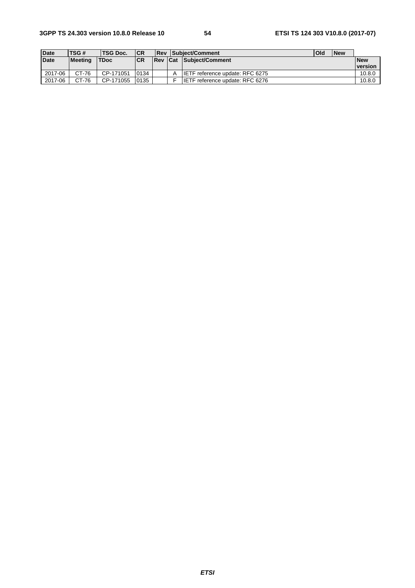| <b>Date</b> | TSG#           | TSG Doc.    | <b>ICR</b> | l Rev      | Subject/Comment                         | Old | <b>New</b> |                       |
|-------------|----------------|-------------|------------|------------|-----------------------------------------|-----|------------|-----------------------|
| <b>Date</b> | <b>Meeting</b> | <b>TDoc</b> | <b>CR</b>  | <b>Rev</b> | <b>Cat Subiect/Comment</b>              |     |            | <b>New</b><br>version |
| 2017-06     | CT-76          | CP-171051   | 0134       |            | <b>ILETF</b> reference update: RFC 6275 |     |            | 10.8.0                |
| 2017-06     | CT-76          | CP-171055   | 0135       |            | IIETF reference update: RFC 6276        |     |            | 10.8.0                |